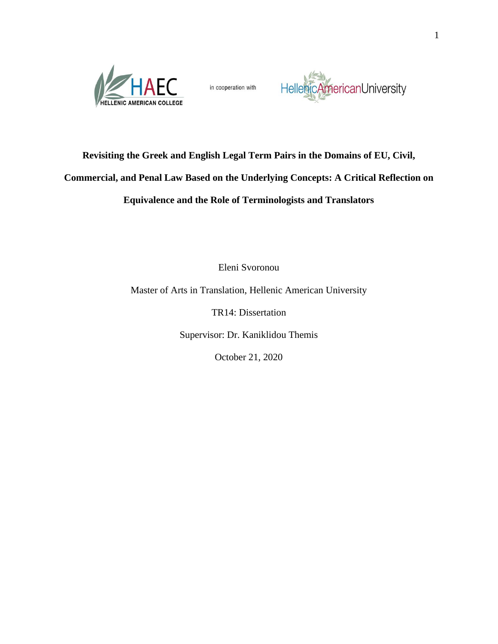

in cooperation with



### **Revisiting the Greek and English Legal Term Pairs in the Domains of EU, Civil,**

## **Commercial, and Penal Law Based on the Underlying Concepts: A Critical Reflection on**

## **Equivalence and the Role of Terminologists and Translators**

Eleni Svoronou

Master of Arts in Translation, Hellenic American University

TR14: Dissertation

Supervisor: Dr. Kaniklidou Themis

October 21, 2020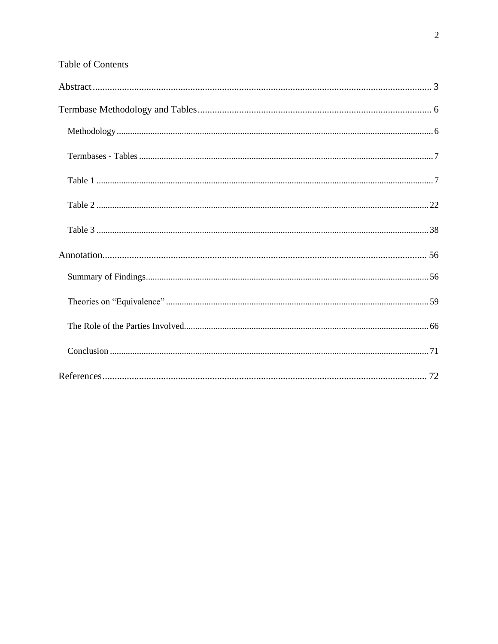|  |  | <b>Table of Contents</b> |
|--|--|--------------------------|
|--|--|--------------------------|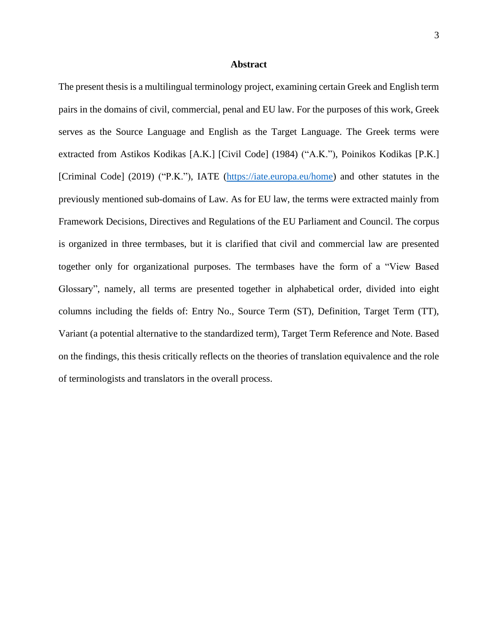#### **Abstract**

<span id="page-2-0"></span>The present thesis is a multilingual terminology project, examining certain Greek and English term pairs in the domains of civil, commercial, penal and EU law. For the purposes of this work, Greek serves as the Source Language and English as the Target Language. The Greek terms were extracted from Astikos Kodikas [A.K.] [Civil Code] (1984) ("A.K."), Poinikos Kodikas [P.K.] [Criminal Code] (2019) ("P.K."), IATE [\(https://iate.europa.eu/home\)](https://iate.europa.eu/home) and other statutes in the previously mentioned sub-domains of Law. As for EU law, the terms were extracted mainly from Framework Decisions, Directives and Regulations of the EU Parliament and Council. The corpus is organized in three termbases, but it is clarified that civil and commercial law are presented together only for organizational purposes. The termbases have the form of a "View Based Glossary", namely, all terms are presented together in alphabetical order, divided into eight columns including the fields of: Entry No., Source Term (ST), Definition, Target Term (TT), Variant (a potential alternative to the standardized term), Target Term Reference and Note. Based on the findings, this thesis critically reflects on the theories of translation equivalence and the role of terminologists and translators in the overall process.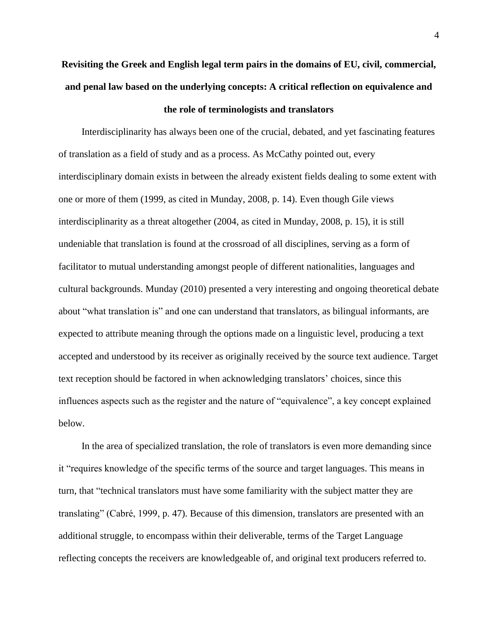# **Revisiting the Greek and English legal term pairs in the domains of EU, civil, commercial, and penal law based on the underlying concepts: A critical reflection on equivalence and**

#### **the role of terminologists and translators**

Interdisciplinarity has always been one of the crucial, debated, and yet fascinating features of translation as a field of study and as a process. As McCathy pointed out, every interdisciplinary domain exists in between the already existent fields dealing to some extent with one or more of them (1999, as cited in Munday, 2008, p. 14). Even though Gile views interdisciplinarity as a threat altogether (2004, as cited in Munday, 2008, p. 15), it is still undeniable that translation is found at the crossroad of all disciplines, serving as a form of facilitator to mutual understanding amongst people of different nationalities, languages and cultural backgrounds. Munday (2010) presented a very interesting and ongoing theoretical debate about "what translation is" and one can understand that translators, as bilingual informants, are expected to attribute meaning through the options made on a linguistic level, producing a text accepted and understood by its receiver as originally received by the source text audience. Target text reception should be factored in when acknowledging translators' choices, since this influences aspects such as the register and the nature of "equivalence", a key concept explained below.

In the area of specialized translation, the role of translators is even more demanding since it "requires knowledge of the specific terms of the source and target languages. This means in turn, that "technical translators must have some familiarity with the subject matter they are translating" (Cabré, 1999, p. 47). Because of this dimension, translators are presented with an additional struggle, to encompass within their deliverable, terms of the Target Language reflecting concepts the receivers are knowledgeable of, and original text producers referred to.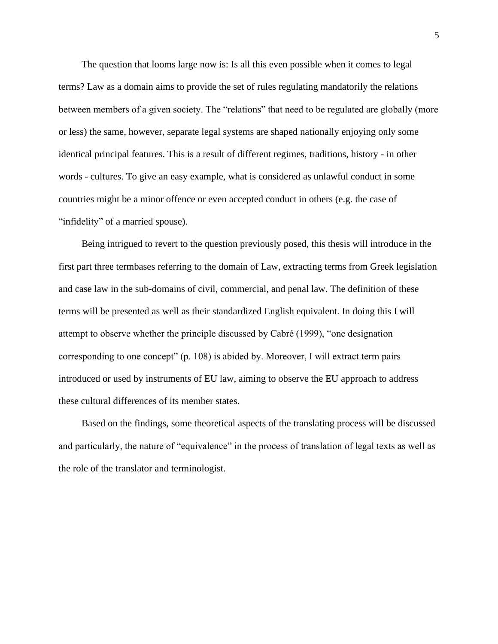The question that looms large now is: Is all this even possible when it comes to legal terms? Law as a domain aims to provide the set of rules regulating mandatorily the relations between members of a given society. The "relations" that need to be regulated are globally (more or less) the same, however, separate legal systems are shaped nationally enjoying only some identical principal features. This is a result of different regimes, traditions, history - in other words - cultures. To give an easy example, what is considered as unlawful conduct in some countries might be a minor offence or even accepted conduct in others (e.g. the case of "infidelity" of a married spouse).

Being intrigued to revert to the question previously posed, this thesis will introduce in the first part three termbases referring to the domain of Law, extracting terms from Greek legislation and case law in the sub-domains of civil, commercial, and penal law. The definition of these terms will be presented as well as their standardized English equivalent. In doing this I will attempt to observe whether the principle discussed by Cabré (1999), "one designation corresponding to one concept" (p. 108) is abided by. Moreover, I will extract term pairs introduced or used by instruments of EU law, aiming to observe the EU approach to address these cultural differences of its member states.

Based on the findings, some theoretical aspects of the translating process will be discussed and particularly, the nature of "equivalence" in the process of translation of legal texts as well as the role of the translator and terminologist.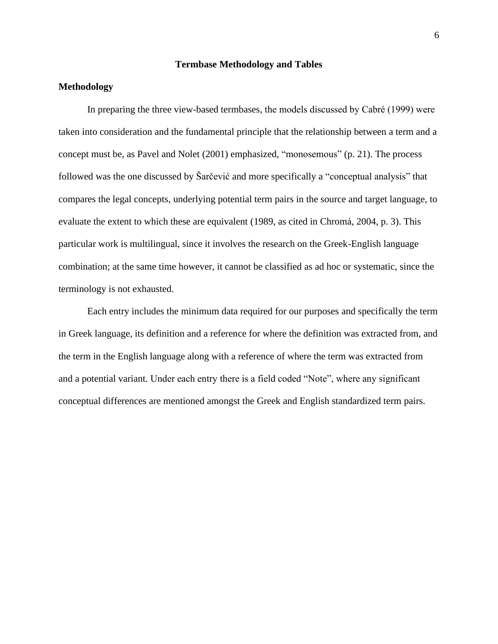#### **Termbase Methodology and Tables**

#### <span id="page-5-1"></span><span id="page-5-0"></span>**Methodology**

In preparing the three view-based termbases, the models discussed by Cabré (1999) were taken into consideration and the fundamental principle that the relationship between a term and a concept must be, as Pavel and Nolet (2001) emphasized, "monosemous" (p. 21). The process followed was the one discussed by Šarčević and more specifically a "conceptual analysis" that compares the legal concepts, underlying potential term pairs in the source and target language, to evaluate the extent to which these are equivalent (1989, as cited in Chromá, 2004, p. 3). This particular work is multilingual, since it involves the research on the Greek-English language combination; at the same time however, it cannot be classified as ad hoc or systematic, since the terminology is not exhausted.

Each entry includes the minimum data required for our purposes and specifically the term in Greek language, its definition and a reference for where the definition was extracted from, and the term in the English language along with a reference of where the term was extracted from and a potential variant. Under each entry there is a field coded "Note", where any significant conceptual differences are mentioned amongst the Greek and English standardized term pairs.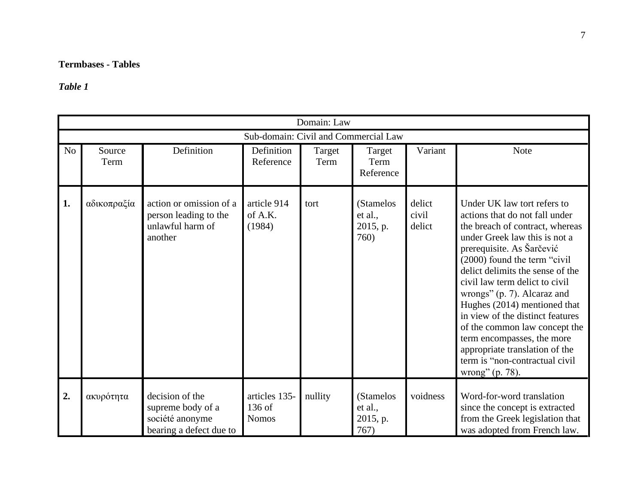# **Termbases - Tables**

# *Table 1*

<span id="page-6-1"></span><span id="page-6-0"></span>

|                |                                      |                                                                                    |                                         | Domain: Law    |                                          |                           |                                                                                                                                                                                                                                                                                                                                                                                                                                                                                                                               |  |  |  |  |
|----------------|--------------------------------------|------------------------------------------------------------------------------------|-----------------------------------------|----------------|------------------------------------------|---------------------------|-------------------------------------------------------------------------------------------------------------------------------------------------------------------------------------------------------------------------------------------------------------------------------------------------------------------------------------------------------------------------------------------------------------------------------------------------------------------------------------------------------------------------------|--|--|--|--|
|                | Sub-domain: Civil and Commercial Law |                                                                                    |                                         |                |                                          |                           |                                                                                                                                                                                                                                                                                                                                                                                                                                                                                                                               |  |  |  |  |
| N <sub>o</sub> | Source<br>Term                       | Definition                                                                         | Definition<br>Reference                 | Target<br>Term | Target<br>Term<br>Reference              | Variant                   | Note                                                                                                                                                                                                                                                                                                                                                                                                                                                                                                                          |  |  |  |  |
| 1.             | αδικοπραξία                          | action or omission of a<br>person leading to the<br>unlawful harm of<br>another    | article 914<br>of A.K.<br>(1984)        | tort           | (Stamelos<br>et al.,<br>2015, p.<br>760) | delict<br>civil<br>delict | Under UK law tort refers to<br>actions that do not fall under<br>the breach of contract, whereas<br>under Greek law this is not a<br>prerequisite. As Šarčević<br>(2000) found the term "civil<br>delict delimits the sense of the<br>civil law term delict to civil<br>wrongs" (p. 7). Alcaraz and<br>Hughes (2014) mentioned that<br>in view of the distinct features<br>of the common law concept the<br>term encompasses, the more<br>appropriate translation of the<br>term is "non-contractual civil<br>wrong" (p. 78). |  |  |  |  |
| 2.             | ακυρότητα                            | decision of the<br>supreme body of a<br>société anonyme<br>bearing a defect due to | articles 135-<br>136 of<br><b>Nomos</b> | nullity        | (Stamelos<br>et al.,<br>2015, p.<br>767) | voidness                  | Word-for-word translation<br>since the concept is extracted<br>from the Greek legislation that<br>was adopted from French law.                                                                                                                                                                                                                                                                                                                                                                                                |  |  |  |  |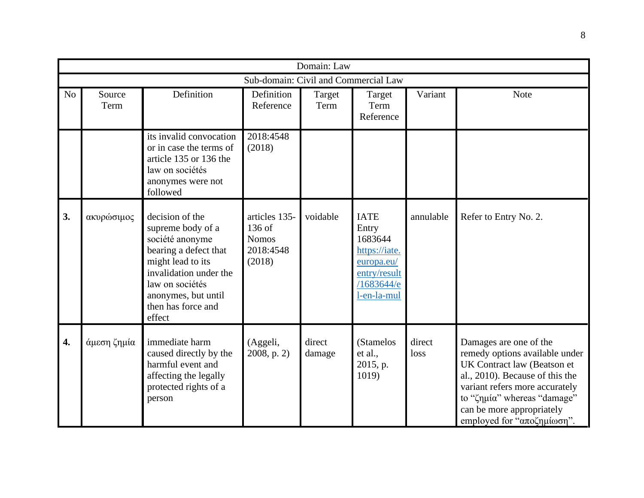|                | Domain: Law                          |                                                                                                                                                                                                           |                                                                |                  |                                                                                                             |                |                                                                                                                                                                                                                                                        |  |  |  |
|----------------|--------------------------------------|-----------------------------------------------------------------------------------------------------------------------------------------------------------------------------------------------------------|----------------------------------------------------------------|------------------|-------------------------------------------------------------------------------------------------------------|----------------|--------------------------------------------------------------------------------------------------------------------------------------------------------------------------------------------------------------------------------------------------------|--|--|--|
|                | Sub-domain: Civil and Commercial Law |                                                                                                                                                                                                           |                                                                |                  |                                                                                                             |                |                                                                                                                                                                                                                                                        |  |  |  |
| N <sub>o</sub> | Source<br>Term                       | Definition                                                                                                                                                                                                | Definition<br>Reference                                        | Target<br>Term   | Target<br>Term<br>Reference                                                                                 | Variant        | <b>Note</b>                                                                                                                                                                                                                                            |  |  |  |
|                |                                      | its invalid convocation<br>or in case the terms of<br>article 135 or 136 the<br>law on sociétés<br>anonymes were not<br>followed                                                                          | 2018:4548<br>(2018)                                            |                  |                                                                                                             |                |                                                                                                                                                                                                                                                        |  |  |  |
| 3.             | ακυρώσιμος                           | decision of the<br>supreme body of a<br>société anonyme<br>bearing a defect that<br>might lead to its<br>invalidation under the<br>law on sociétés<br>anonymes, but until<br>then has force and<br>effect | articles 135-<br>136 of<br><b>Nomos</b><br>2018:4548<br>(2018) | voidable         | <b>IATE</b><br>Entry<br>1683644<br>https://iate.<br>europa.eu/<br>entry/result<br>/1683644/e<br>l-en-la-mul | annulable      | Refer to Entry No. 2.                                                                                                                                                                                                                                  |  |  |  |
| 4.             | άμεση ζημία                          | immediate harm<br>caused directly by the<br>harmful event and<br>affecting the legally<br>protected rights of a<br>person                                                                                 | (Aggeli,<br>$2008$ , p. 2)                                     | direct<br>damage | (Stamelos<br>et al.,<br>2015, p.<br>1019)                                                                   | direct<br>loss | Damages are one of the<br>remedy options available under<br>UK Contract law (Beatson et<br>al., 2010). Because of this the<br>variant refers more accurately<br>to "ζημία" whereas "damage"<br>can be more appropriately<br>employed for "αποζημίωση". |  |  |  |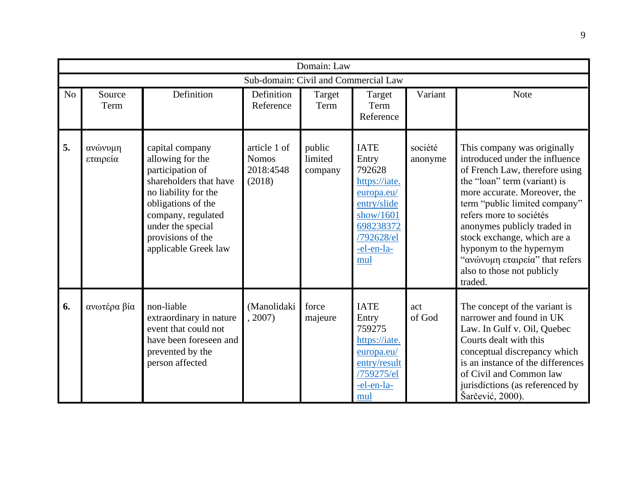|                | Domain: Law         |                                                                                                                                                                                                                         |                                                     |                              |                                                                                                                                           |                    |                                                                                                                                                                                                                                                                                                                                                                                                 |  |  |  |  |
|----------------|---------------------|-------------------------------------------------------------------------------------------------------------------------------------------------------------------------------------------------------------------------|-----------------------------------------------------|------------------------------|-------------------------------------------------------------------------------------------------------------------------------------------|--------------------|-------------------------------------------------------------------------------------------------------------------------------------------------------------------------------------------------------------------------------------------------------------------------------------------------------------------------------------------------------------------------------------------------|--|--|--|--|
|                |                     |                                                                                                                                                                                                                         | Sub-domain: Civil and Commercial Law                |                              |                                                                                                                                           |                    |                                                                                                                                                                                                                                                                                                                                                                                                 |  |  |  |  |
| N <sub>o</sub> | Source<br>Term      | Definition                                                                                                                                                                                                              | Definition<br>Reference                             | Target<br>Term               | Target<br>Term<br>Reference                                                                                                               | Variant            | <b>Note</b>                                                                                                                                                                                                                                                                                                                                                                                     |  |  |  |  |
| 5.             | ανώνυμη<br>εταιρεία | capital company<br>allowing for the<br>participation of<br>shareholders that have<br>no liability for the<br>obligations of the<br>company, regulated<br>under the special<br>provisions of the<br>applicable Greek law | article 1 of<br><b>Nomos</b><br>2018:4548<br>(2018) | public<br>limited<br>company | <b>IATE</b><br>Entry<br>792628<br>https://iate.<br>europa.eu/<br>entry/slide<br>show/1601<br>698238372<br>/792628/el<br>-el-en-la-<br>mul | société<br>anonyme | This company was originally<br>introduced under the influence<br>of French Law, therefore using<br>the "loan" term (variant) is<br>more accurate. Moreover, the<br>term "public limited company"<br>refers more to sociétés<br>anonymes publicly traded in<br>stock exchange, which are a<br>hyponym to the hypernym<br>"ανώνυμη εταιρεία" that refers<br>also to those not publicly<br>traded. |  |  |  |  |
| 6.             | ανωτέρα βία         | non-liable<br>extraordinary in nature<br>event that could not<br>have been foreseen and<br>prevented by the<br>person affected                                                                                          | (Manolidaki<br>, 2007)                              | force<br>majeure             | <b>IATE</b><br>Entry<br>759275<br>https://iate.<br>europa.eu/<br>entry/result<br>/759275/el<br>-el-en-la-<br>mul                          | act<br>of God      | The concept of the variant is<br>narrower and found in UK<br>Law. In Gulf v. Oil, Quebec<br>Courts dealt with this<br>conceptual discrepancy which<br>is an instance of the differences<br>of Civil and Common law<br>jurisdictions (as referenced by<br>Šarčević, 2000).                                                                                                                       |  |  |  |  |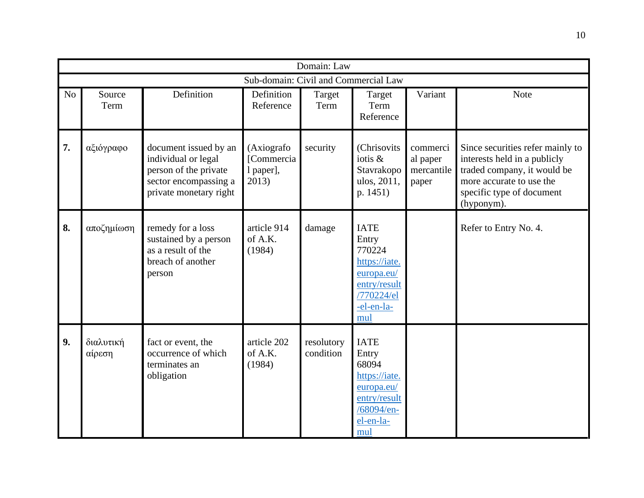|    |                                      |                                                                                                                          |                                                | Domain: Law             |                                                                                                                  |                                             |                                                                                                                                                                        |  |  |  |  |
|----|--------------------------------------|--------------------------------------------------------------------------------------------------------------------------|------------------------------------------------|-------------------------|------------------------------------------------------------------------------------------------------------------|---------------------------------------------|------------------------------------------------------------------------------------------------------------------------------------------------------------------------|--|--|--|--|
|    | Sub-domain: Civil and Commercial Law |                                                                                                                          |                                                |                         |                                                                                                                  |                                             |                                                                                                                                                                        |  |  |  |  |
| No | Source<br>Term                       | Definition                                                                                                               | Definition<br>Reference                        | Target<br>Term          | Target<br>Term<br>Reference                                                                                      | Variant                                     | <b>Note</b>                                                                                                                                                            |  |  |  |  |
| 7. | αξιόγραφο                            | document issued by an<br>individual or legal<br>person of the private<br>sector encompassing a<br>private monetary right | (Axiografo<br>[Commercia<br>l paper],<br>2013) | security                | (Chrisovits<br>iotis &<br>Stavrakopo<br>ulos, 2011,<br>p. 1451)                                                  | commerci<br>al paper<br>mercantile<br>paper | Since securities refer mainly to<br>interests held in a publicly<br>traded company, it would be<br>more accurate to use the<br>specific type of document<br>(hyponym). |  |  |  |  |
| 8. | αποζημίωση                           | remedy for a loss<br>sustained by a person<br>as a result of the<br>breach of another<br>person                          | article 914<br>of A.K.<br>(1984)               | damage                  | <b>IATE</b><br>Entry<br>770224<br>https://iate.<br>europa.eu/<br>entry/result<br>/770224/el<br>-el-en-la-<br>mul |                                             | Refer to Entry No. 4.                                                                                                                                                  |  |  |  |  |
| 9. | διαλυτική<br>αίρεση                  | fact or event, the<br>occurrence of which<br>terminates an<br>obligation                                                 | article 202<br>of A.K.<br>(1984)               | resolutory<br>condition | <b>IATE</b><br>Entry<br>68094<br>https://iate.<br>europa.eu/<br>entry/result<br>/68094/en-<br>el-en-la-<br>mul   |                                             |                                                                                                                                                                        |  |  |  |  |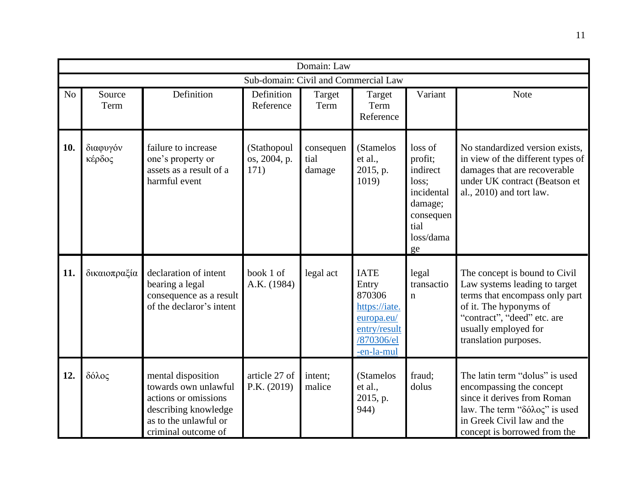|                |                    |                                                                                                                                            |                                      | Domain: Law                 |                                                                                                           |                                                                                                          |                                                                                                                                                                                                            |
|----------------|--------------------|--------------------------------------------------------------------------------------------------------------------------------------------|--------------------------------------|-----------------------------|-----------------------------------------------------------------------------------------------------------|----------------------------------------------------------------------------------------------------------|------------------------------------------------------------------------------------------------------------------------------------------------------------------------------------------------------------|
|                |                    |                                                                                                                                            | Sub-domain: Civil and Commercial Law |                             |                                                                                                           |                                                                                                          |                                                                                                                                                                                                            |
| N <sub>o</sub> | Source<br>Term     | Definition                                                                                                                                 | Definition<br>Reference              | Target<br>Term              | Target<br>Term<br>Reference                                                                               | Variant                                                                                                  | Note                                                                                                                                                                                                       |
| 10.            | διαφυγόν<br>κέρδος | failure to increase<br>one's property or<br>assets as a result of a<br>harmful event                                                       | (Stathopoul<br>os, 2004, p.<br>171)  | consequen<br>tial<br>damage | (Stamelos<br>et al.,<br>2015, p.<br>1019)                                                                 | loss of<br>profit;<br>indirect<br>loss:<br>incidental<br>damage;<br>consequen<br>tial<br>loss/dama<br>ge | No standardized version exists,<br>in view of the different types of<br>damages that are recoverable<br>under UK contract (Beatson et<br>al., 2010) and tort law.                                          |
| 11.            | δικαιοπραξία       | declaration of intent<br>bearing a legal<br>consequence as a result<br>of the declaror's intent                                            | book 1 of<br>A.K. (1984)             | legal act                   | <b>IATE</b><br>Entry<br>870306<br>https://iate.<br>europa.eu/<br>entry/result<br>/870306/el<br>-en-la-mul | legal<br>transactio<br>$\mathbf n$                                                                       | The concept is bound to Civil<br>Law systems leading to target<br>terms that encompass only part<br>of it. The hyponyms of<br>"contract", "deed" etc. are<br>usually employed for<br>translation purposes. |
| 12.            | δόλος              | mental disposition<br>towards own unlawful<br>actions or omissions<br>describing knowledge<br>as to the unlawful or<br>criminal outcome of | article 27 of<br>P.K. (2019)         | intent;<br>malice           | (Stamelos<br>et al.,<br>2015, p.<br>944)                                                                  | fraud:<br>dolus                                                                                          | The latin term "dolus" is used<br>encompassing the concept<br>since it derives from Roman<br>law. The term "δόλος" is used<br>in Greek Civil law and the<br>concept is borrowed from the                   |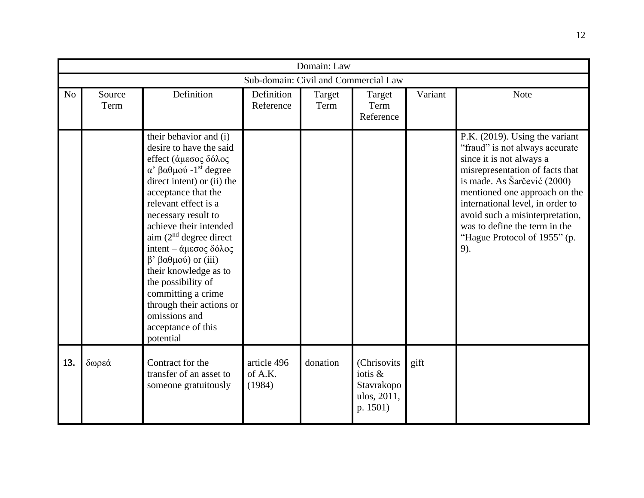|                | Domain: Law                          |                                                                                                                                                                                                                                                                                                                                                                                                                                                                                 |                                  |                |                                                                 |         |                                                                                                                                                                                                                                                                                                                                                |  |  |  |
|----------------|--------------------------------------|---------------------------------------------------------------------------------------------------------------------------------------------------------------------------------------------------------------------------------------------------------------------------------------------------------------------------------------------------------------------------------------------------------------------------------------------------------------------------------|----------------------------------|----------------|-----------------------------------------------------------------|---------|------------------------------------------------------------------------------------------------------------------------------------------------------------------------------------------------------------------------------------------------------------------------------------------------------------------------------------------------|--|--|--|
|                | Sub-domain: Civil and Commercial Law |                                                                                                                                                                                                                                                                                                                                                                                                                                                                                 |                                  |                |                                                                 |         |                                                                                                                                                                                                                                                                                                                                                |  |  |  |
| N <sub>o</sub> | Source<br>Term                       | Definition                                                                                                                                                                                                                                                                                                                                                                                                                                                                      | Definition<br>Reference          | Target<br>Term | Target<br>Term<br>Reference                                     | Variant | <b>Note</b>                                                                                                                                                                                                                                                                                                                                    |  |  |  |
|                |                                      | their behavior and (i)<br>desire to have the said<br>effect (άμεσος δόλος<br>α' βαθμού -1 <sup>st</sup> degree<br>direct intent) or (ii) the<br>acceptance that the<br>relevant effect is a<br>necessary result to<br>achieve their intended<br>aim $(2nd$ degree direct<br>intent – άμεσος δόλος<br>$β' βαθμού)$ or (iii)<br>their knowledge as to<br>the possibility of<br>committing a crime<br>through their actions or<br>omissions and<br>acceptance of this<br>potential |                                  |                |                                                                 |         | P.K. (2019). Using the variant<br>"fraud" is not always accurate<br>since it is not always a<br>misrepresentation of facts that<br>is made. As Šarčević (2000)<br>mentioned one approach on the<br>international level, in order to<br>avoid such a misinterpretation,<br>was to define the term in the<br>"Hague Protocol of 1955" (p.<br>9). |  |  |  |
| 13.            | δωρεά                                | Contract for the<br>transfer of an asset to<br>someone gratuitously                                                                                                                                                                                                                                                                                                                                                                                                             | article 496<br>of A.K.<br>(1984) | donation       | (Chrisovits<br>iotis &<br>Stavrakopo<br>ulos, 2011,<br>p. 1501) | gift    |                                                                                                                                                                                                                                                                                                                                                |  |  |  |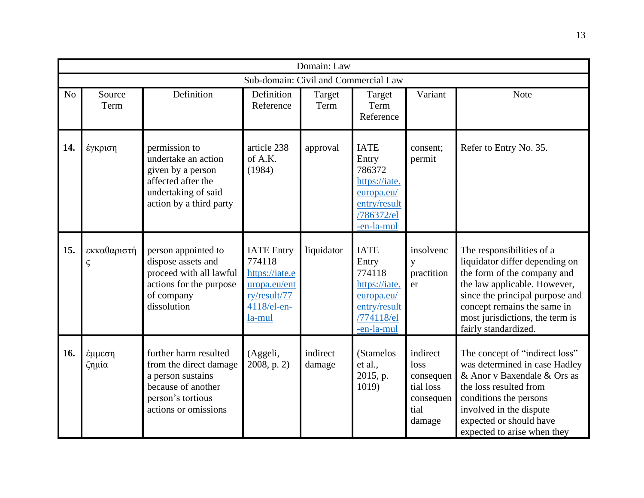|                |                            |                                                                                                                                         |                                                                                                        | Domain: Law        |                                                                                                           |                                                                           |                                                                                                                                                                                                                                                         |
|----------------|----------------------------|-----------------------------------------------------------------------------------------------------------------------------------------|--------------------------------------------------------------------------------------------------------|--------------------|-----------------------------------------------------------------------------------------------------------|---------------------------------------------------------------------------|---------------------------------------------------------------------------------------------------------------------------------------------------------------------------------------------------------------------------------------------------------|
|                |                            |                                                                                                                                         | Sub-domain: Civil and Commercial Law                                                                   |                    |                                                                                                           |                                                                           |                                                                                                                                                                                                                                                         |
| N <sub>o</sub> | Source<br>Term             | Definition                                                                                                                              | Definition<br>Reference                                                                                | Target<br>Term     | Target<br>Term<br>Reference                                                                               | Variant                                                                   | Note                                                                                                                                                                                                                                                    |
| 14.            | έγκριση                    | permission to<br>undertake an action<br>given by a person<br>affected after the<br>undertaking of said<br>action by a third party       | article 238<br>of A.K.<br>(1984)                                                                       | approval           | <b>IATE</b><br>Entry<br>786372<br>https://iate.<br>europa.eu/<br>entry/result<br>/786372/el<br>-en-la-mul | consent;<br>permit                                                        | Refer to Entry No. 35.                                                                                                                                                                                                                                  |
| 15.            | εκκαθαριστή<br>$\varsigma$ | person appointed to<br>dispose assets and<br>proceed with all lawful<br>actions for the purpose<br>of company<br>dissolution            | <b>IATE</b> Entry<br>774118<br>https://iate.e<br>uropa.eu/ent<br>ry/result/77<br>4118/el-en-<br>la-mul | liquidator         | <b>IATE</b><br>Entry<br>774118<br>https://iate.<br>europa.eu/<br>entry/result<br>/774118/el<br>-en-la-mul | insolvenc<br>y<br>practition<br>er                                        | The responsibilities of a<br>liquidator differ depending on<br>the form of the company and<br>the law applicable. However,<br>since the principal purpose and<br>concept remains the same in<br>most jurisdictions, the term is<br>fairly standardized. |
| 16.            | έμμεση<br>ζημία            | further harm resulted<br>from the direct damage<br>a person sustains<br>because of another<br>person's tortious<br>actions or omissions | (Aggeli,<br>$2008$ , p. 2)                                                                             | indirect<br>damage | (Stamelos<br>et al.,<br>2015, p.<br>1019)                                                                 | indirect<br>loss<br>consequen<br>tial loss<br>consequen<br>tial<br>damage | The concept of "indirect loss"<br>was determined in case Hadley<br>& Anor v Baxendale & Ors as<br>the loss resulted from<br>conditions the persons<br>involved in the dispute<br>expected or should have<br>expected to arise when they                 |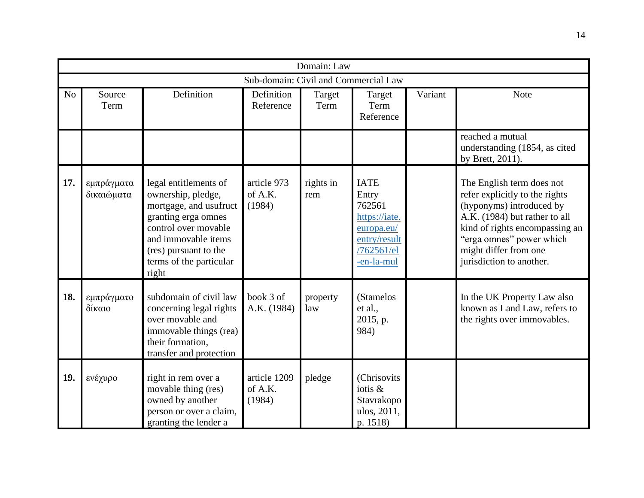|     | Domain: Law              |                                                                                                                                                                                                          |                                      |                  |                                                                                                           |         |                                                                                                                                                                                                                                             |  |  |  |  |
|-----|--------------------------|----------------------------------------------------------------------------------------------------------------------------------------------------------------------------------------------------------|--------------------------------------|------------------|-----------------------------------------------------------------------------------------------------------|---------|---------------------------------------------------------------------------------------------------------------------------------------------------------------------------------------------------------------------------------------------|--|--|--|--|
|     |                          |                                                                                                                                                                                                          | Sub-domain: Civil and Commercial Law |                  |                                                                                                           |         |                                                                                                                                                                                                                                             |  |  |  |  |
| No  | Source<br>Term           | Definition                                                                                                                                                                                               | Definition<br>Reference              | Target<br>Term   | Target<br>Term<br>Reference                                                                               | Variant | <b>Note</b>                                                                                                                                                                                                                                 |  |  |  |  |
|     |                          |                                                                                                                                                                                                          |                                      |                  |                                                                                                           |         | reached a mutual<br>understanding (1854, as cited<br>by Brett, 2011).                                                                                                                                                                       |  |  |  |  |
| 17. | εμπράγματα<br>δικαιώματα | legal entitlements of<br>ownership, pledge,<br>mortgage, and usufruct<br>granting erga omnes<br>control over movable<br>and immovable items<br>(res) pursuant to the<br>terms of the particular<br>right | article 973<br>of A.K.<br>(1984)     | rights in<br>rem | <b>IATE</b><br>Entry<br>762561<br>https://iate.<br>europa.eu/<br>entry/result<br>/762561/el<br>-en-la-mul |         | The English term does not<br>refer explicitly to the rights<br>(hyponyms) introduced by<br>A.K. (1984) but rather to all<br>kind of rights encompassing an<br>"erga omnes" power which<br>might differ from one<br>jurisdiction to another. |  |  |  |  |
| 18. | εμπράγματο<br>δίκαιο     | subdomain of civil law<br>concerning legal rights<br>over movable and<br>immovable things (rea)<br>their formation,<br>transfer and protection                                                           | book 3 of<br>A.K. (1984)             | property<br>law  | (Stamelos<br>et al.,<br>2015, p.<br>984)                                                                  |         | In the UK Property Law also<br>known as Land Law, refers to<br>the rights over immovables.                                                                                                                                                  |  |  |  |  |
| 19. | ενέχυρο                  | right in rem over a<br>movable thing (res)<br>owned by another<br>person or over a claim,<br>granting the lender a                                                                                       | article 1209<br>of A.K.<br>(1984)    | pledge           | (Chrisovits<br>iotis &<br>Stavrakopo<br>ulos, 2011,<br>p. 1518)                                           |         |                                                                                                                                                                                                                                             |  |  |  |  |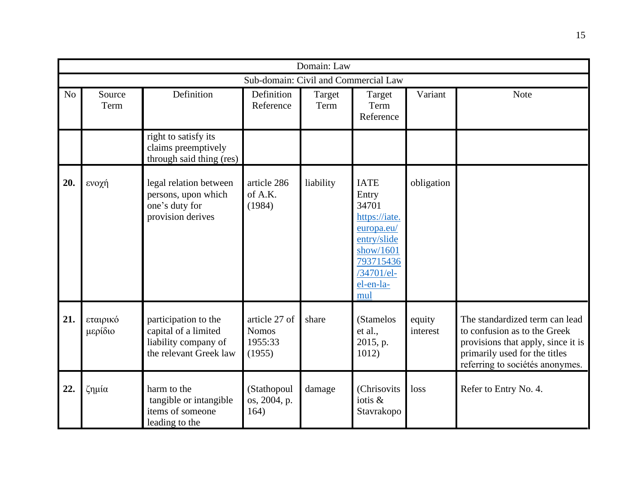|     |                     |                                                                                                |                                                    | Domain: Law    |                                                                                                                                         |                    |                                                                                                                                                                          |
|-----|---------------------|------------------------------------------------------------------------------------------------|----------------------------------------------------|----------------|-----------------------------------------------------------------------------------------------------------------------------------------|--------------------|--------------------------------------------------------------------------------------------------------------------------------------------------------------------------|
|     |                     |                                                                                                | Sub-domain: Civil and Commercial Law               |                |                                                                                                                                         |                    |                                                                                                                                                                          |
| No  | Source<br>Term      | Definition                                                                                     | Definition<br>Reference                            | Target<br>Term | Target<br>Term<br>Reference                                                                                                             | Variant            | <b>Note</b>                                                                                                                                                              |
|     |                     | right to satisfy its<br>claims preemptively<br>through said thing (res)                        |                                                    |                |                                                                                                                                         |                    |                                                                                                                                                                          |
| 20. | ενοχή               | legal relation between<br>persons, upon which<br>one's duty for<br>provision derives           | article 286<br>of A.K.<br>(1984)                   | liability      | <b>IATE</b><br>Entry<br>34701<br>https://iate.<br>europa.eu/<br>entry/slide<br>show/1601<br>793715436<br>/34701/el-<br>el-en-la-<br>mul | obligation         |                                                                                                                                                                          |
| 21. | εταιρικό<br>μερίδιο | participation to the<br>capital of a limited<br>liability company of<br>the relevant Greek law | article 27 of<br><b>Nomos</b><br>1955:33<br>(1955) | share          | (Stamelos<br>et al.,<br>2015, p.<br>1012)                                                                                               | equity<br>interest | The standardized term can lead<br>to confusion as to the Greek<br>provisions that apply, since it is<br>primarily used for the titles<br>referring to sociétés anonymes. |
| 22. | ζημία               | harm to the<br>tangible or intangible<br>items of someone<br>leading to the                    | (Stathopoul<br>os, 2004, p.<br>164)                | damage         | (Chrisovits<br>iotis &<br>Stavrakopo                                                                                                    | loss               | Refer to Entry No. 4.                                                                                                                                                    |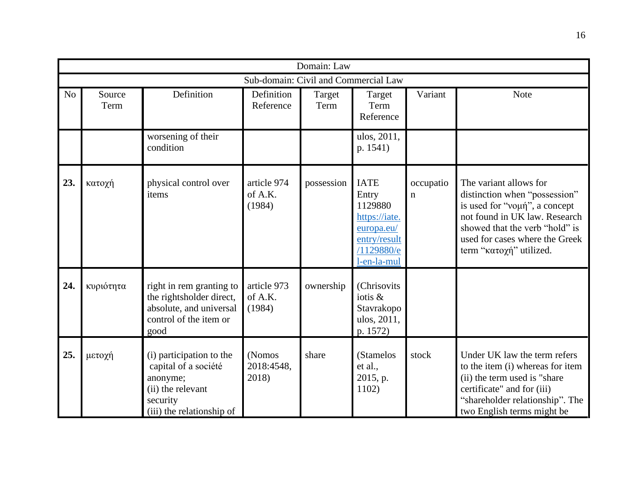|                |                |                                                                                                                            |                                      | Domain: Law    |                                                                                                             |                |                                                                                                                                                                                                                          |
|----------------|----------------|----------------------------------------------------------------------------------------------------------------------------|--------------------------------------|----------------|-------------------------------------------------------------------------------------------------------------|----------------|--------------------------------------------------------------------------------------------------------------------------------------------------------------------------------------------------------------------------|
|                |                |                                                                                                                            | Sub-domain: Civil and Commercial Law |                |                                                                                                             |                |                                                                                                                                                                                                                          |
| N <sub>o</sub> | Source<br>Term | Definition                                                                                                                 | Definition<br>Reference              | Target<br>Term | Target<br>Term<br>Reference                                                                                 | Variant        | <b>Note</b>                                                                                                                                                                                                              |
|                |                | worsening of their<br>condition                                                                                            |                                      |                | ulos, 2011,<br>p. 1541)                                                                                     |                |                                                                                                                                                                                                                          |
| 23.            | κατοχή         | physical control over<br>items                                                                                             | article 974<br>of A.K.<br>(1984)     | possession     | <b>IATE</b><br>Entry<br>1129880<br>https://iate.<br>europa.eu/<br>entry/result<br>/1129880/e<br>l-en-la-mul | occupatio<br>n | The variant allows for<br>distinction when "possession"<br>is used for "voµή", a concept<br>not found in UK law. Research<br>showed that the verb "hold" is<br>used for cases where the Greek<br>term "κατοχή" utilized. |
| 24.            | κυριότητα      | right in rem granting to<br>the rightsholder direct,<br>absolute, and universal<br>control of the item or<br>good          | article 973<br>of A.K.<br>(1984)     | ownership      | (Chrisovits<br>iotis &<br>Stavrakopo<br>ulos, 2011,<br>p. 1572)                                             |                |                                                                                                                                                                                                                          |
| 25.            | μετοχή         | (i) participation to the<br>capital of a société<br>anonyme;<br>(ii) the relevant<br>security<br>(iii) the relationship of | (Nomos<br>2018:4548,<br>2018)        | share          | (Stamelos<br>et al.,<br>2015, p.<br>1102)                                                                   | stock          | Under UK law the term refers<br>to the item (i) whereas for item<br>(ii) the term used is "share"<br>certificate" and for (iii)<br>"shareholder relationship". The<br>two English terms might be                         |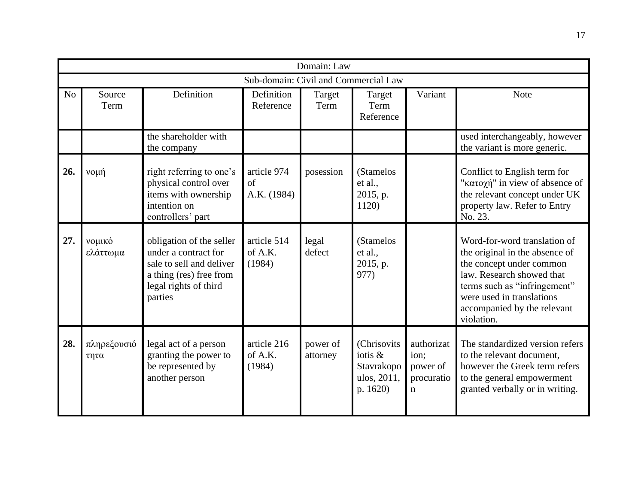|     | Domain: Law                          |                                                                                                                                             |                                  |                      |                                                                 |                                                             |                                                                                                                                                                                                                                   |  |  |  |  |
|-----|--------------------------------------|---------------------------------------------------------------------------------------------------------------------------------------------|----------------------------------|----------------------|-----------------------------------------------------------------|-------------------------------------------------------------|-----------------------------------------------------------------------------------------------------------------------------------------------------------------------------------------------------------------------------------|--|--|--|--|
|     | Sub-domain: Civil and Commercial Law |                                                                                                                                             |                                  |                      |                                                                 |                                                             |                                                                                                                                                                                                                                   |  |  |  |  |
| No  | Source<br>Term                       | Definition                                                                                                                                  | Definition<br>Reference          | Target<br>Term       | Target<br>Term<br>Reference                                     | Variant                                                     | Note                                                                                                                                                                                                                              |  |  |  |  |
|     |                                      | the shareholder with<br>the company                                                                                                         |                                  |                      |                                                                 |                                                             | used interchangeably, however<br>the variant is more generic.                                                                                                                                                                     |  |  |  |  |
| 26. | νομή                                 | right referring to one's<br>physical control over<br>items with ownership<br>intention on<br>controllers' part                              | article 974<br>of<br>A.K. (1984) | posession            | (Stamelos<br>et al.,<br>2015, p.<br>1120)                       |                                                             | Conflict to English term for<br>"κατοχή" in view of absence of<br>the relevant concept under UK<br>property law. Refer to Entry<br>No. 23.                                                                                        |  |  |  |  |
| 27. | νομικό<br>ελάττωμα                   | obligation of the seller<br>under a contract for<br>sale to sell and deliver<br>a thing (res) free from<br>legal rights of third<br>parties | article 514<br>of A.K.<br>(1984) | legal<br>defect      | (Stamelos<br>et al.,<br>2015, p.<br>977)                        |                                                             | Word-for-word translation of<br>the original in the absence of<br>the concept under common<br>law. Research showed that<br>terms such as "infringement"<br>were used in translations<br>accompanied by the relevant<br>violation. |  |  |  |  |
| 28. | πληρεξουσιό<br>τητα                  | legal act of a person<br>granting the power to<br>be represented by<br>another person                                                       | article 216<br>of A.K.<br>(1984) | power of<br>attorney | (Chrisovits<br>iotis &<br>Stavrakopo<br>ulos, 2011,<br>p. 1620) | authorizat<br>ion:<br>power of<br>procuratio<br>$\mathbf n$ | The standardized version refers<br>to the relevant document,<br>however the Greek term refers<br>to the general empowerment<br>granted verbally or in writing.                                                                    |  |  |  |  |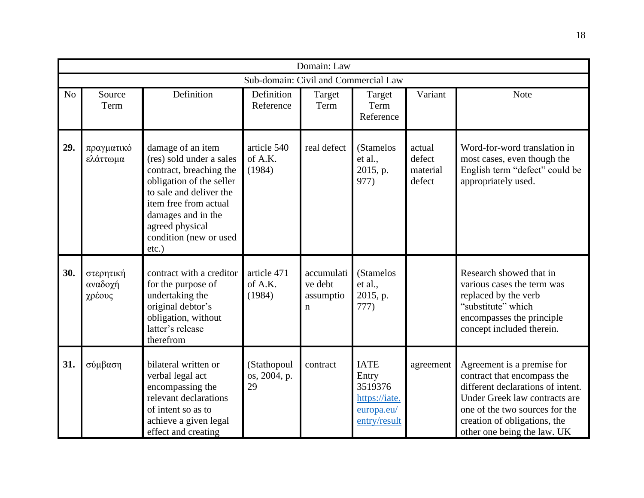|                |                                |                                                                                                                                                                                                                                         |                                      | Domain: Law                             |                                                                                |                                        |                                                                                                                                                                                                                                  |
|----------------|--------------------------------|-----------------------------------------------------------------------------------------------------------------------------------------------------------------------------------------------------------------------------------------|--------------------------------------|-----------------------------------------|--------------------------------------------------------------------------------|----------------------------------------|----------------------------------------------------------------------------------------------------------------------------------------------------------------------------------------------------------------------------------|
|                |                                |                                                                                                                                                                                                                                         | Sub-domain: Civil and Commercial Law |                                         |                                                                                |                                        |                                                                                                                                                                                                                                  |
| N <sub>o</sub> | Source<br>Term                 | Definition                                                                                                                                                                                                                              | Definition<br>Reference              | Target<br>Term                          | Target<br>Term<br>Reference                                                    | Variant                                | <b>Note</b>                                                                                                                                                                                                                      |
| 29.            | πραγματικό<br>ελάττωμα         | damage of an item<br>(res) sold under a sales<br>contract, breaching the<br>obligation of the seller<br>to sale and deliver the<br>item free from actual<br>damages and in the<br>agreed physical<br>condition (new or used<br>$etc.$ ) | article 540<br>of A.K.<br>(1984)     | real defect                             | (Stamelos<br>et al.,<br>2015, p.<br>977)                                       | actual<br>defect<br>material<br>defect | Word-for-word translation in<br>most cases, even though the<br>English term "defect" could be<br>appropriately used.                                                                                                             |
| 30.            | στερητική<br>αναδοχή<br>χρέους | contract with a creditor<br>for the purpose of<br>undertaking the<br>original debtor's<br>obligation, without<br>latter's release<br>therefrom                                                                                          | article 471<br>of A.K.<br>(1984)     | accumulati<br>ve debt<br>assumptio<br>n | (Stamelos<br>et al.,<br>2015, p.<br>777)                                       |                                        | Research showed that in<br>various cases the term was<br>replaced by the verb<br>"substitute" which<br>encompasses the principle<br>concept included therein.                                                                    |
| 31.            | σύμβαση                        | bilateral written or<br>verbal legal act<br>encompassing the<br>relevant declarations<br>of intent so as to<br>achieve a given legal<br>effect and creating                                                                             | (Stathopoul<br>os, 2004, p.<br>29    | contract                                | <b>IATE</b><br>Entry<br>3519376<br>https://iate.<br>europa.eu/<br>entry/result | agreement                              | Agreement is a premise for<br>contract that encompass the<br>different declarations of intent.<br>Under Greek law contracts are<br>one of the two sources for the<br>creation of obligations, the<br>other one being the law. UK |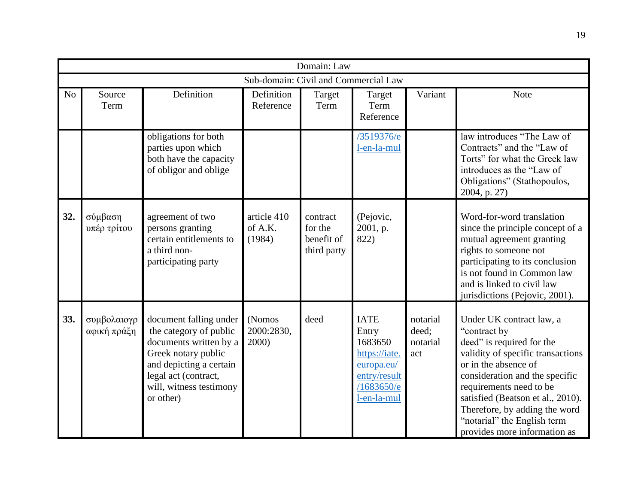|     |                                      |                                                                                                                                                                                              |                                  | Domain: Law                                      |                                                                                                             |                                      |                                                                                                                                                                                                                                                                                                                                      |  |  |  |
|-----|--------------------------------------|----------------------------------------------------------------------------------------------------------------------------------------------------------------------------------------------|----------------------------------|--------------------------------------------------|-------------------------------------------------------------------------------------------------------------|--------------------------------------|--------------------------------------------------------------------------------------------------------------------------------------------------------------------------------------------------------------------------------------------------------------------------------------------------------------------------------------|--|--|--|
|     | Sub-domain: Civil and Commercial Law |                                                                                                                                                                                              |                                  |                                                  |                                                                                                             |                                      |                                                                                                                                                                                                                                                                                                                                      |  |  |  |
| No  | Source<br>Term                       | Definition                                                                                                                                                                                   | Definition<br>Reference          | Target<br>Term                                   | Target<br>Term<br>Reference                                                                                 | Variant                              | Note                                                                                                                                                                                                                                                                                                                                 |  |  |  |
|     |                                      | obligations for both<br>parties upon which<br>both have the capacity<br>of obligor and oblige                                                                                                |                                  |                                                  | /3519376/e<br>l-en-la-mul                                                                                   |                                      | law introduces "The Law of<br>Contracts" and the "Law of<br>Torts" for what the Greek law<br>introduces as the "Law of<br>Obligations" (Stathopoulos,<br>2004, p. 27)                                                                                                                                                                |  |  |  |
| 32. | σύμβαση<br>υπέρ τρίτου               | agreement of two<br>persons granting<br>certain entitlements to<br>a third non-<br>participating party                                                                                       | article 410<br>of A.K.<br>(1984) | contract<br>for the<br>benefit of<br>third party | (Pejovic,<br>2001, p.<br>822)                                                                               |                                      | Word-for-word translation<br>since the principle concept of a<br>mutual agreement granting<br>rights to someone not<br>participating to its conclusion<br>is not found in Common law<br>and is linked to civil law<br>jurisdictions (Pejovic, 2001).                                                                                 |  |  |  |
| 33. | συμβολαιογρ<br>αφική πράξη           | document falling under<br>the category of public<br>documents written by a<br>Greek notary public<br>and depicting a certain<br>legal act (contract,<br>will, witness testimony<br>or other) | (Nomos<br>2000:2830,<br>2000)    | deed                                             | <b>IATE</b><br>Entry<br>1683650<br>https://iate.<br>europa.eu/<br>entry/result<br>/1683650/e<br>l-en-la-mul | notarial<br>deed;<br>notarial<br>act | Under UK contract law, a<br>"contract by<br>deed" is required for the<br>validity of specific transactions<br>or in the absence of<br>consideration and the specific<br>requirements need to be<br>satisfied (Beatson et al., 2010).<br>Therefore, by adding the word<br>"notarial" the English term<br>provides more information as |  |  |  |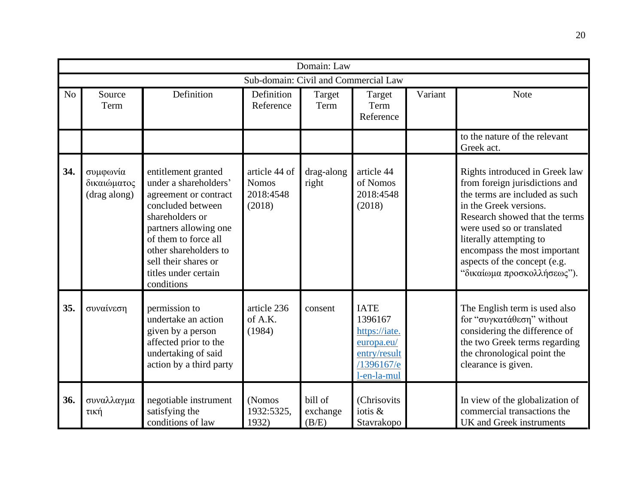|     |                                         |                                                                                                                                                                                                                                                       |                                                      | Domain: Law                  |                                                                                                    |         |                                                                                                                                                                                                                                                                                                                       |  |  |  |  |
|-----|-----------------------------------------|-------------------------------------------------------------------------------------------------------------------------------------------------------------------------------------------------------------------------------------------------------|------------------------------------------------------|------------------------------|----------------------------------------------------------------------------------------------------|---------|-----------------------------------------------------------------------------------------------------------------------------------------------------------------------------------------------------------------------------------------------------------------------------------------------------------------------|--|--|--|--|
|     | Sub-domain: Civil and Commercial Law    |                                                                                                                                                                                                                                                       |                                                      |                              |                                                                                                    |         |                                                                                                                                                                                                                                                                                                                       |  |  |  |  |
| No  | Source<br>Term                          | Definition                                                                                                                                                                                                                                            | Definition<br>Reference                              | Target<br>Term               | Target<br>Term<br>Reference                                                                        | Variant | <b>Note</b>                                                                                                                                                                                                                                                                                                           |  |  |  |  |
|     |                                         |                                                                                                                                                                                                                                                       |                                                      |                              |                                                                                                    |         | to the nature of the relevant<br>Greek act.                                                                                                                                                                                                                                                                           |  |  |  |  |
| 34. | συμφωνία<br>δικαιώματος<br>(drag along) | entitlement granted<br>under a shareholders'<br>agreement or contract<br>concluded between<br>shareholders or<br>partners allowing one<br>of them to force all<br>other shareholders to<br>sell their shares or<br>titles under certain<br>conditions | article 44 of<br><b>Nomos</b><br>2018:4548<br>(2018) | drag-along<br>right          | article 44<br>of Nomos<br>2018:4548<br>(2018)                                                      |         | Rights introduced in Greek law<br>from foreign jurisdictions and<br>the terms are included as such<br>in the Greek versions.<br>Research showed that the terms<br>were used so or translated<br>literally attempting to<br>encompass the most important<br>aspects of the concept (e.g.<br>"δικαίωμα προσκολλήσεως"). |  |  |  |  |
| 35. | συναίνεση                               | permission to<br>undertake an action<br>given by a person<br>affected prior to the<br>undertaking of said<br>action by a third party                                                                                                                  | article 236<br>of A.K.<br>(1984)                     | consent                      | <b>IATE</b><br>1396167<br>https://iate.<br>europa.eu/<br>entry/result<br>/1396167/e<br>l-en-la-mul |         | The English term is used also<br>for "συγκατάθεση" without<br>considering the difference of<br>the two Greek terms regarding<br>the chronological point the<br>clearance is given.                                                                                                                                    |  |  |  |  |
| 36. | συναλλαγμα<br>τική                      | negotiable instrument<br>satisfying the<br>conditions of law                                                                                                                                                                                          | (Nomos<br>1932:5325,<br>1932)                        | bill of<br>exchange<br>(B/E) | (Chrisovits<br>iotis &<br>Stavrakopo                                                               |         | In view of the globalization of<br>commercial transactions the<br>UK and Greek instruments                                                                                                                                                                                                                            |  |  |  |  |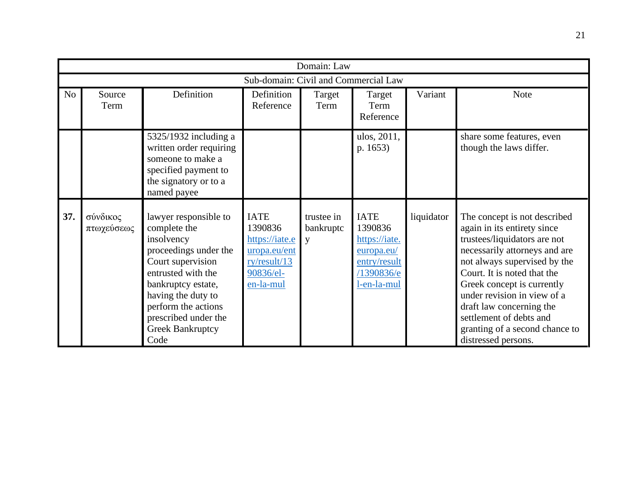|                | Domain: Law                          |                                                                                                                                                                                                                                                       |                                                                                                    |                              |                                                                                                    |            |                                                                                                                                                                                                                                                                                                                                                                          |  |  |  |  |
|----------------|--------------------------------------|-------------------------------------------------------------------------------------------------------------------------------------------------------------------------------------------------------------------------------------------------------|----------------------------------------------------------------------------------------------------|------------------------------|----------------------------------------------------------------------------------------------------|------------|--------------------------------------------------------------------------------------------------------------------------------------------------------------------------------------------------------------------------------------------------------------------------------------------------------------------------------------------------------------------------|--|--|--|--|
|                | Sub-domain: Civil and Commercial Law |                                                                                                                                                                                                                                                       |                                                                                                    |                              |                                                                                                    |            |                                                                                                                                                                                                                                                                                                                                                                          |  |  |  |  |
| N <sub>o</sub> | Source<br>Term                       | Definition                                                                                                                                                                                                                                            | Definition<br>Reference                                                                            | Target<br>Term               | Target<br>Term<br>Reference                                                                        | Variant    | <b>Note</b>                                                                                                                                                                                                                                                                                                                                                              |  |  |  |  |
|                |                                      | $5325/1932$ including a<br>written order requiring<br>someone to make a<br>specified payment to<br>the signatory or to a<br>named payee                                                                                                               |                                                                                                    |                              | ulos, 2011,<br>p. 1653)                                                                            |            | share some features, even<br>though the laws differ.                                                                                                                                                                                                                                                                                                                     |  |  |  |  |
| 37.            | σύνδικος<br>πτωχεύσεως               | lawyer responsible to<br>complete the<br>insolvency<br>proceedings under the<br>Court supervision<br>entrusted with the<br>bankruptcy estate,<br>having the duty to<br>perform the actions<br>prescribed under the<br><b>Greek Bankruptcy</b><br>Code | <b>IATE</b><br>1390836<br>https://iate.e<br>uropa.eu/ent<br>ry/result/13<br>90836/el-<br>en-la-mul | trustee in<br>bankruptc<br>y | <b>IATE</b><br>1390836<br>https://iate.<br>europa.eu/<br>entry/result<br>/1390836/e<br>l-en-la-mul | liquidator | The concept is not described<br>again in its entirety since<br>trustees/liquidators are not<br>necessarily attorneys and are<br>not always supervised by the<br>Court. It is noted that the<br>Greek concept is currently<br>under revision in view of a<br>draft law concerning the<br>settlement of debts and<br>granting of a second chance to<br>distressed persons. |  |  |  |  |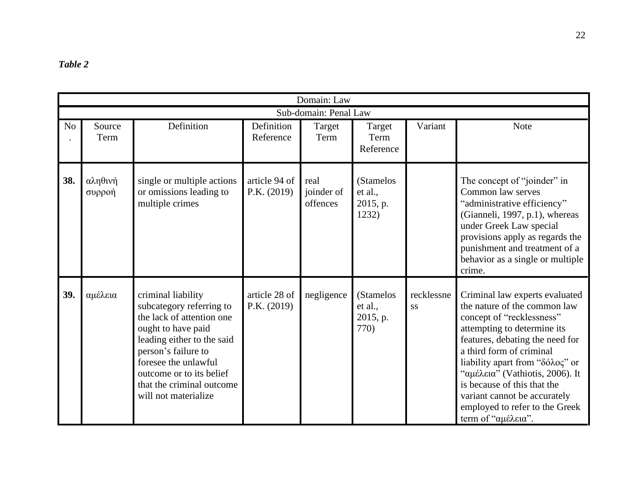<span id="page-21-0"></span>

|                | Domain: Law           |                                                                                                                                                                                                                                                                 |                              |                                |                                           |                  |                                                                                                                                                                                                                                                                                                                                                                                        |  |  |  |  |  |
|----------------|-----------------------|-----------------------------------------------------------------------------------------------------------------------------------------------------------------------------------------------------------------------------------------------------------------|------------------------------|--------------------------------|-------------------------------------------|------------------|----------------------------------------------------------------------------------------------------------------------------------------------------------------------------------------------------------------------------------------------------------------------------------------------------------------------------------------------------------------------------------------|--|--|--|--|--|
|                | Sub-domain: Penal Law |                                                                                                                                                                                                                                                                 |                              |                                |                                           |                  |                                                                                                                                                                                                                                                                                                                                                                                        |  |  |  |  |  |
| N <sub>o</sub> | Source<br>Term        | Definition                                                                                                                                                                                                                                                      | Definition<br>Reference      | Target<br>Term                 | Target<br>Term<br>Reference               | Variant          | <b>Note</b>                                                                                                                                                                                                                                                                                                                                                                            |  |  |  |  |  |
| 38.            | αληθινή<br>συρροή     | single or multiple actions<br>or omissions leading to<br>multiple crimes                                                                                                                                                                                        | article 94 of<br>P.K. (2019) | real<br>joinder of<br>offences | (Stamelos<br>et al.,<br>2015, p.<br>1232) |                  | The concept of "joinder" in<br>Common law serves<br>"administrative efficiency"<br>(Gianneli, 1997, p.1), whereas<br>under Greek Law special<br>provisions apply as regards the<br>punishment and treatment of a<br>behavior as a single or multiple<br>crime.                                                                                                                         |  |  |  |  |  |
| 39.            | αμέλεια               | criminal liability<br>subcategory referring to<br>the lack of attention one<br>ought to have paid<br>leading either to the said<br>person's failure to<br>foresee the unlawful<br>outcome or to its belief<br>that the criminal outcome<br>will not materialize | article 28 of<br>P.K. (2019) | negligence                     | (Stamelos<br>et al.,<br>2015, p.<br>770)  | recklessne<br>SS | Criminal law experts evaluated<br>the nature of the common law<br>concept of "recklessness"<br>attempting to determine its<br>features, debating the need for<br>a third form of criminal<br>liability apart from "δόλος" or<br>"αμέλεια" (Vathiotis, 2006). It<br>is because of this that the<br>variant cannot be accurately<br>employed to refer to the Greek<br>term of "αμέλεια". |  |  |  |  |  |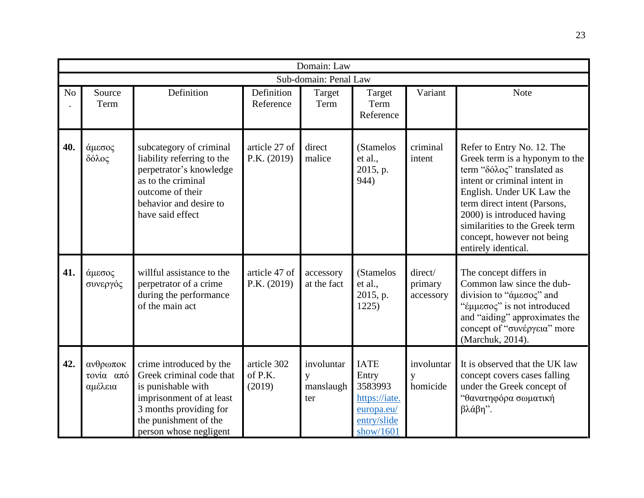|                |                                  |                                                                                                                                                                                    |                                  | Domain: Law                         |                                                                                            |                                 |                                                                                                                                                                                                                                                                                                              |
|----------------|----------------------------------|------------------------------------------------------------------------------------------------------------------------------------------------------------------------------------|----------------------------------|-------------------------------------|--------------------------------------------------------------------------------------------|---------------------------------|--------------------------------------------------------------------------------------------------------------------------------------------------------------------------------------------------------------------------------------------------------------------------------------------------------------|
|                |                                  |                                                                                                                                                                                    |                                  | Sub-domain: Penal Law               |                                                                                            |                                 |                                                                                                                                                                                                                                                                                                              |
| N <sub>o</sub> | Source<br>Term                   | Definition                                                                                                                                                                         | Definition<br>Reference          | Target<br>Term                      | Target<br>Term<br>Reference                                                                | Variant                         | Note                                                                                                                                                                                                                                                                                                         |
| 40.            | άμεσος<br>δόλος                  | subcategory of criminal<br>liability referring to the<br>perpetrator's knowledge<br>as to the criminal<br>outcome of their<br>behavior and desire to<br>have said effect           | article 27 of<br>P.K. (2019)     | direct<br>malice                    | (Stamelos<br>et al.,<br>2015, p.<br>944)                                                   | criminal<br>intent              | Refer to Entry No. 12. The<br>Greek term is a hyponym to the<br>term "δόλος" translated as<br>intent or criminal intent in<br>English. Under UK Law the<br>term direct intent (Parsons,<br>2000) is introduced having<br>similarities to the Greek term<br>concept, however not being<br>entirely identical. |
| 41.            | άμεσος<br>συνεργός               | willful assistance to the<br>perpetrator of a crime<br>during the performance<br>of the main act                                                                                   | article 47 of<br>P.K. (2019)     | accessory<br>at the fact            | (Stamelos<br>et al.,<br>2015, p.<br>1225)                                                  | direct/<br>primary<br>accessory | The concept differs in<br>Common law since the dub-<br>division to "άμεσος" and<br>"έμμεσος" is not introduced<br>and "aiding" approximates the<br>concept of "συνέργεια" more<br>(Marchuk, 2014).                                                                                                           |
| 42.            | ανθρωποκ<br>τονία από<br>αμέλεια | crime introduced by the<br>Greek criminal code that<br>is punishable with<br>imprisonment of at least<br>3 months providing for<br>the punishment of the<br>person whose negligent | article 302<br>of P.K.<br>(2019) | involuntar<br>y<br>manslaugh<br>ter | <b>IATE</b><br>Entry<br>3583993<br>https://iate.<br>europa.eu/<br>entry/slide<br>show/1601 | involuntar<br>y<br>homicide     | It is observed that the UK law<br>concept covers cases falling<br>under the Greek concept of<br>"θανατηφόρα σωματική<br>βλάβη".                                                                                                                                                                              |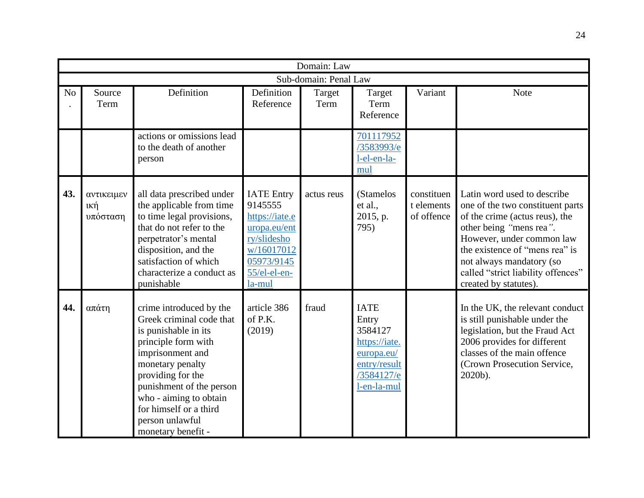|                |                               |                                                                                                                                                                                                                                                                                          |                                                                                                                                     | Domain: Law    |                                                                                                             |                                        |                                                                                                                                                                                                                                                                                        |  |  |  |  |
|----------------|-------------------------------|------------------------------------------------------------------------------------------------------------------------------------------------------------------------------------------------------------------------------------------------------------------------------------------|-------------------------------------------------------------------------------------------------------------------------------------|----------------|-------------------------------------------------------------------------------------------------------------|----------------------------------------|----------------------------------------------------------------------------------------------------------------------------------------------------------------------------------------------------------------------------------------------------------------------------------------|--|--|--|--|
|                | Sub-domain: Penal Law         |                                                                                                                                                                                                                                                                                          |                                                                                                                                     |                |                                                                                                             |                                        |                                                                                                                                                                                                                                                                                        |  |  |  |  |
| N <sub>o</sub> | Source<br>Term                | Definition                                                                                                                                                                                                                                                                               | Definition<br>Reference                                                                                                             | Target<br>Term | Target<br>Term<br>Reference                                                                                 | Variant                                | <b>Note</b>                                                                                                                                                                                                                                                                            |  |  |  |  |
|                |                               | actions or omissions lead<br>to the death of another<br>person                                                                                                                                                                                                                           |                                                                                                                                     |                | 701117952<br>/3583993/e<br>l-el-en-la-<br>mul                                                               |                                        |                                                                                                                                                                                                                                                                                        |  |  |  |  |
| 43.            | αντικειμεν<br>ική<br>υπόσταση | all data prescribed under<br>the applicable from time<br>to time legal provisions,<br>that do not refer to the<br>perpetrator's mental<br>disposition, and the<br>satisfaction of which<br>characterize a conduct as<br>punishable                                                       | <b>IATE</b> Entry<br>9145555<br>https://iate.e<br>uropa.eu/ent<br>ry/slidesho<br>w/16017012<br>05973/9145<br>55/el-el-en-<br>la-mul | actus reus     | (Stamelos<br>et al.,<br>2015, p.<br>795)                                                                    | constituen<br>t elements<br>of offence | Latin word used to describe<br>one of the two constituent parts<br>of the crime (actus reus), the<br>other being "mens rea".<br>However, under common law<br>the existence of "mens rea" is<br>not always mandatory (so<br>called "strict liability offences"<br>created by statutes). |  |  |  |  |
| 44.            | απάτη                         | crime introduced by the<br>Greek criminal code that<br>is punishable in its<br>principle form with<br>imprisonment and<br>monetary penalty<br>providing for the<br>punishment of the person<br>who - aiming to obtain<br>for himself or a third<br>person unlawful<br>monetary benefit - | article 386<br>of $P.K.$<br>(2019)                                                                                                  | fraud          | <b>IATE</b><br>Entry<br>3584127<br>https://iate.<br>europa.eu/<br>entry/result<br>/3584127/e<br>l-en-la-mul |                                        | In the UK, the relevant conduct<br>is still punishable under the<br>legislation, but the Fraud Act<br>2006 provides for different<br>classes of the main offence<br>(Crown Prosecution Service,<br>2020b).                                                                             |  |  |  |  |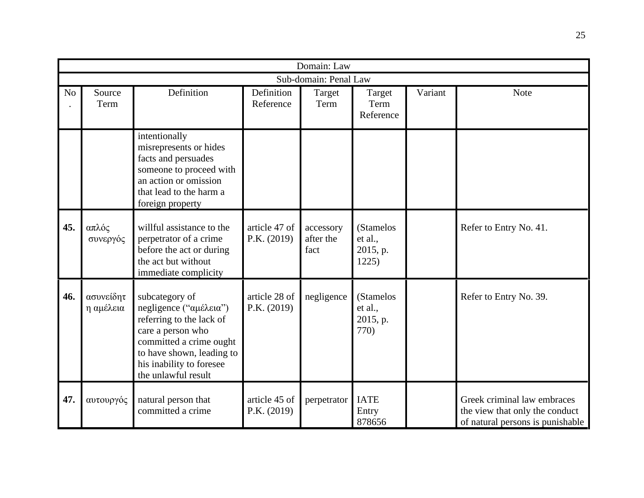|                |                        |                                                                                                                                                                                                      |                              | Domain: Law                    |                                           |         |                                                                                                   |  |  |  |  |
|----------------|------------------------|------------------------------------------------------------------------------------------------------------------------------------------------------------------------------------------------------|------------------------------|--------------------------------|-------------------------------------------|---------|---------------------------------------------------------------------------------------------------|--|--|--|--|
|                | Sub-domain: Penal Law  |                                                                                                                                                                                                      |                              |                                |                                           |         |                                                                                                   |  |  |  |  |
| N <sub>o</sub> | Source<br>Term         | Definition                                                                                                                                                                                           | Definition<br>Reference      | Target<br>Term                 | Target<br>Term<br>Reference               | Variant | <b>Note</b>                                                                                       |  |  |  |  |
|                |                        | intentionally<br>misrepresents or hides<br>facts and persuades<br>someone to proceed with<br>an action or omission<br>that lead to the harm a<br>foreign property                                    |                              |                                |                                           |         |                                                                                                   |  |  |  |  |
| 45.            | απλός<br>συνεργός      | willful assistance to the<br>perpetrator of a crime<br>before the act or during<br>the act but without<br>immediate complicity                                                                       | article 47 of<br>P.K. (2019) | accessory<br>after the<br>fact | (Stamelos<br>et al.,<br>2015, p.<br>1225) |         | Refer to Entry No. 41.                                                                            |  |  |  |  |
| 46.            | ασυνείδητ<br>η αμέλεια | subcategory of<br>negligence ("αμέλεια")<br>referring to the lack of<br>care a person who<br>committed a crime ought<br>to have shown, leading to<br>his inability to foresee<br>the unlawful result | article 28 of<br>P.K. (2019) | negligence                     | (Stamelos<br>et al.,<br>2015, p.<br>770)  |         | Refer to Entry No. 39.                                                                            |  |  |  |  |
| 47.            | αυτουργός              | natural person that<br>committed a crime                                                                                                                                                             | article 45 of<br>P.K. (2019) | perpetrator                    | <b>IATE</b><br>Entry<br>878656            |         | Greek criminal law embraces<br>the view that only the conduct<br>of natural persons is punishable |  |  |  |  |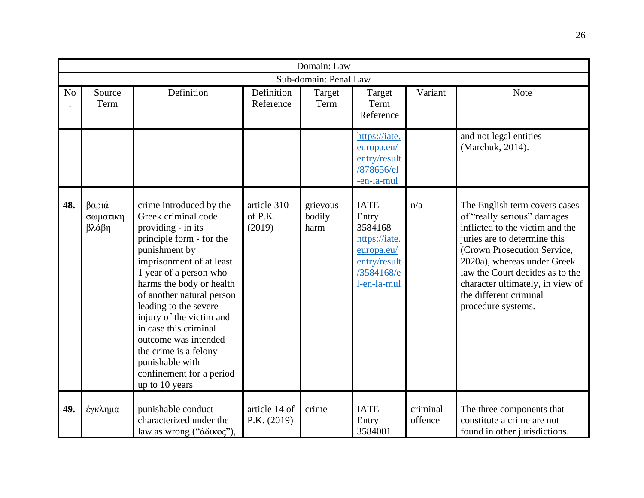|                |                            |                                                                                                                                                                                                                                                                                                                                                                                                                                  |                                  | Domain: Law                |                                                                                                             |                     |                                                                                                                                                                                                                                                                                                                      |
|----------------|----------------------------|----------------------------------------------------------------------------------------------------------------------------------------------------------------------------------------------------------------------------------------------------------------------------------------------------------------------------------------------------------------------------------------------------------------------------------|----------------------------------|----------------------------|-------------------------------------------------------------------------------------------------------------|---------------------|----------------------------------------------------------------------------------------------------------------------------------------------------------------------------------------------------------------------------------------------------------------------------------------------------------------------|
|                |                            |                                                                                                                                                                                                                                                                                                                                                                                                                                  |                                  | Sub-domain: Penal Law      |                                                                                                             |                     |                                                                                                                                                                                                                                                                                                                      |
| N <sub>o</sub> | Source<br>Term             | Definition                                                                                                                                                                                                                                                                                                                                                                                                                       | Definition<br>Reference          | Target<br>Term             | Target<br>Term<br>Reference                                                                                 | Variant             | <b>Note</b>                                                                                                                                                                                                                                                                                                          |
|                |                            |                                                                                                                                                                                                                                                                                                                                                                                                                                  |                                  |                            | https://iate.<br>europa.eu/<br>entry/result<br>/878656/el<br>-en-la-mul                                     |                     | and not legal entities<br>(Marchuk, 2014).                                                                                                                                                                                                                                                                           |
| 48.            | βαριά<br>σωματική<br>βλάβη | crime introduced by the<br>Greek criminal code<br>providing - in its<br>principle form - for the<br>punishment by<br>imprisonment of at least<br>1 year of a person who<br>harms the body or health<br>of another natural person<br>leading to the severe<br>injury of the victim and<br>in case this criminal<br>outcome was intended<br>the crime is a felony<br>punishable with<br>confinement for a period<br>up to 10 years | article 310<br>of P.K.<br>(2019) | grievous<br>bodily<br>harm | <b>IATE</b><br>Entry<br>3584168<br>https://iate.<br>europa.eu/<br>entry/result<br>/3584168/e<br>l-en-la-mul | n/a                 | The English term covers cases<br>of "really serious" damages<br>inflicted to the victim and the<br>juries are to determine this<br>(Crown Prosecution Service,<br>2020a), whereas under Greek<br>law the Court decides as to the<br>character ultimately, in view of<br>the different criminal<br>procedure systems. |
| 49.            | έγκλημα                    | punishable conduct<br>characterized under the<br>law as wrong ("άδικος"),                                                                                                                                                                                                                                                                                                                                                        | article 14 of<br>P.K. (2019)     | crime                      | <b>IATE</b><br>Entry<br>3584001                                                                             | criminal<br>offence | The three components that<br>constitute a crime are not<br>found in other jurisdictions.                                                                                                                                                                                                                             |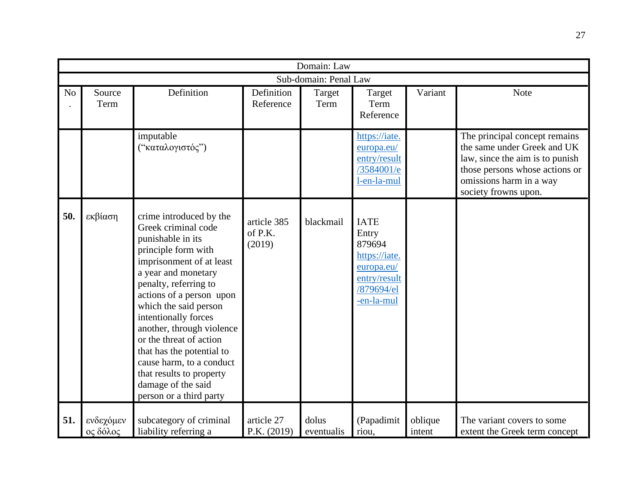|                |                       |                                                                                                                                                                                                                                                                                                                                                                                                                                                   |                                  | Domain: Law           |                                                                                                           |                   |                                                                                                                                                                                      |
|----------------|-----------------------|---------------------------------------------------------------------------------------------------------------------------------------------------------------------------------------------------------------------------------------------------------------------------------------------------------------------------------------------------------------------------------------------------------------------------------------------------|----------------------------------|-----------------------|-----------------------------------------------------------------------------------------------------------|-------------------|--------------------------------------------------------------------------------------------------------------------------------------------------------------------------------------|
|                |                       |                                                                                                                                                                                                                                                                                                                                                                                                                                                   |                                  | Sub-domain: Penal Law |                                                                                                           |                   |                                                                                                                                                                                      |
| N <sub>o</sub> | Source<br>Term        | Definition                                                                                                                                                                                                                                                                                                                                                                                                                                        | Definition<br>Reference          | Target<br>Term        | Target<br>Term<br>Reference                                                                               | Variant           | <b>Note</b>                                                                                                                                                                          |
|                |                       | imputable<br>("καταλογιστός")                                                                                                                                                                                                                                                                                                                                                                                                                     |                                  |                       | https://iate.<br>europa.eu/<br>entry/result<br>/3584001/e<br>l-en-la-mul                                  |                   | The principal concept remains<br>the same under Greek and UK<br>law, since the aim is to punish<br>those persons whose actions or<br>omissions harm in a way<br>society frowns upon. |
| 50.            | εκβίαση               | crime introduced by the<br>Greek criminal code<br>punishable in its<br>principle form with<br>imprisonment of at least<br>a year and monetary<br>penalty, referring to<br>actions of a person upon<br>which the said person<br>intentionally forces<br>another, through violence<br>or the threat of action<br>that has the potential to<br>cause harm, to a conduct<br>that results to property<br>damage of the said<br>person or a third party | article 385<br>of P.K.<br>(2019) | blackmail             | <b>IATE</b><br>Entry<br>879694<br>https://iate.<br>europa.eu/<br>entry/result<br>/879694/el<br>-en-la-mul |                   |                                                                                                                                                                                      |
| 51.            | ενδεχόμεν<br>ος δόλος | subcategory of criminal<br>liability referring a                                                                                                                                                                                                                                                                                                                                                                                                  | article 27<br>P.K. (2019)        | dolus<br>eventualis   | (Papadimit<br>riou.                                                                                       | oblique<br>intent | The variant covers to some<br>extent the Greek term concept                                                                                                                          |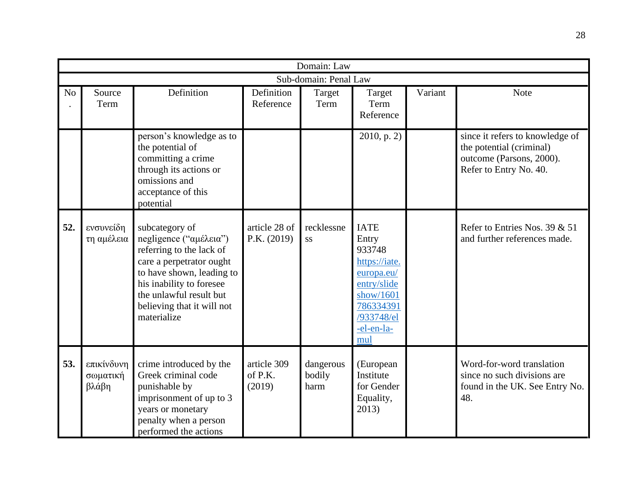|                |                                 |                                                                                                                                                                                                                                   |                                  | Domain: Law                 |                                                                                                                                           |         |                                                                                                                   |
|----------------|---------------------------------|-----------------------------------------------------------------------------------------------------------------------------------------------------------------------------------------------------------------------------------|----------------------------------|-----------------------------|-------------------------------------------------------------------------------------------------------------------------------------------|---------|-------------------------------------------------------------------------------------------------------------------|
|                |                                 |                                                                                                                                                                                                                                   |                                  | Sub-domain: Penal Law       |                                                                                                                                           |         |                                                                                                                   |
| N <sub>o</sub> | Source<br>Term                  | Definition                                                                                                                                                                                                                        | Definition<br>Reference          | Target<br>Term              | Target<br>Term<br>Reference                                                                                                               | Variant | <b>Note</b>                                                                                                       |
|                |                                 | person's knowledge as to<br>the potential of<br>committing a crime<br>through its actions or<br>omissions and<br>acceptance of this<br>potential                                                                                  |                                  |                             | 2010, p. 2)                                                                                                                               |         | since it refers to knowledge of<br>the potential (criminal)<br>outcome (Parsons, 2000).<br>Refer to Entry No. 40. |
| 52.            | ενσυνείδη<br>τη αμέλεια         | subcategory of<br>negligence ("αμέλεια")<br>referring to the lack of<br>care a perpetrator ought<br>to have shown, leading to<br>his inability to foresee<br>the unlawful result but<br>believing that it will not<br>materialize | article 28 of<br>P.K. (2019)     | recklessne<br>SS            | <b>IATE</b><br>Entry<br>933748<br>https://iate.<br>europa.eu/<br>entry/slide<br>show/1601<br>786334391<br>/933748/el<br>-el-en-la-<br>mul |         | Refer to Entries Nos. 39 $& 51$<br>and further references made.                                                   |
| 53.            | επικίνδυνη<br>σωματική<br>βλάβη | crime introduced by the<br>Greek criminal code<br>punishable by<br>imprisonment of up to 3<br>years or monetary<br>penalty when a person<br>performed the actions                                                                 | article 309<br>of P.K.<br>(2019) | dangerous<br>bodily<br>harm | (European<br>Institute<br>for Gender<br>Equality,<br>2013)                                                                                |         | Word-for-word translation<br>since no such divisions are<br>found in the UK. See Entry No.<br>48.                 |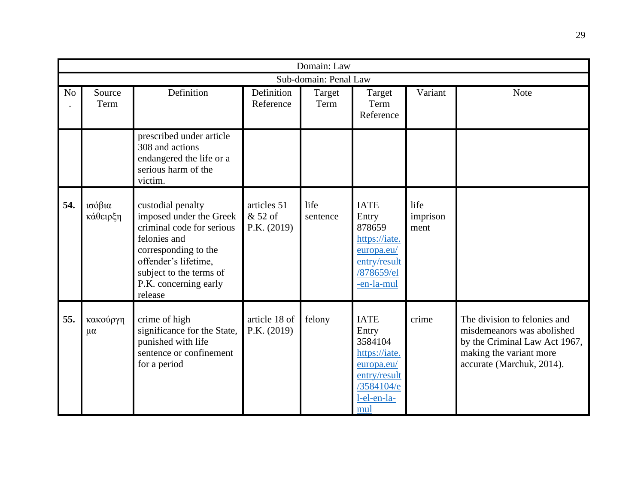|                | Domain: Law             |                                                                                                                                                                                                          |                                         |                  |                                                                                                                    |                          |                                                                                                                                                     |  |  |  |  |
|----------------|-------------------------|----------------------------------------------------------------------------------------------------------------------------------------------------------------------------------------------------------|-----------------------------------------|------------------|--------------------------------------------------------------------------------------------------------------------|--------------------------|-----------------------------------------------------------------------------------------------------------------------------------------------------|--|--|--|--|
|                | Sub-domain: Penal Law   |                                                                                                                                                                                                          |                                         |                  |                                                                                                                    |                          |                                                                                                                                                     |  |  |  |  |
| N <sub>o</sub> | Source<br>Term          | Definition                                                                                                                                                                                               | Definition<br>Reference                 | Target<br>Term   | Target<br>Term<br>Reference                                                                                        | Variant                  | <b>Note</b>                                                                                                                                         |  |  |  |  |
|                |                         | prescribed under article<br>308 and actions<br>endangered the life or a<br>serious harm of the<br>victim.                                                                                                |                                         |                  |                                                                                                                    |                          |                                                                                                                                                     |  |  |  |  |
| 54.            | ισόβια<br>κάθειρξη      | custodial penalty<br>imposed under the Greek<br>criminal code for serious<br>felonies and<br>corresponding to the<br>offender's lifetime,<br>subject to the terms of<br>P.K. concerning early<br>release | articles 51<br>& 52 of<br>P.K. $(2019)$ | life<br>sentence | <b>IATE</b><br>Entry<br>878659<br>https://iate.<br>europa.eu/<br>entry/result<br>/878659/el<br>-en-la-mul          | life<br>imprison<br>ment |                                                                                                                                                     |  |  |  |  |
| 55.            | κακούργη<br>$\mu\alpha$ | crime of high<br>significance for the State,<br>punished with life<br>sentence or confinement<br>for a period                                                                                            | article 18 of<br>P.K. (2019)            | felony           | <b>IATE</b><br>Entry<br>3584104<br>https://iate.<br>europa.eu/<br>entry/result<br>/3584104/e<br>l-el-en-la-<br>mul | crime                    | The division to felonies and<br>misdemeanors was abolished<br>by the Criminal Law Act 1967,<br>making the variant more<br>accurate (Marchuk, 2014). |  |  |  |  |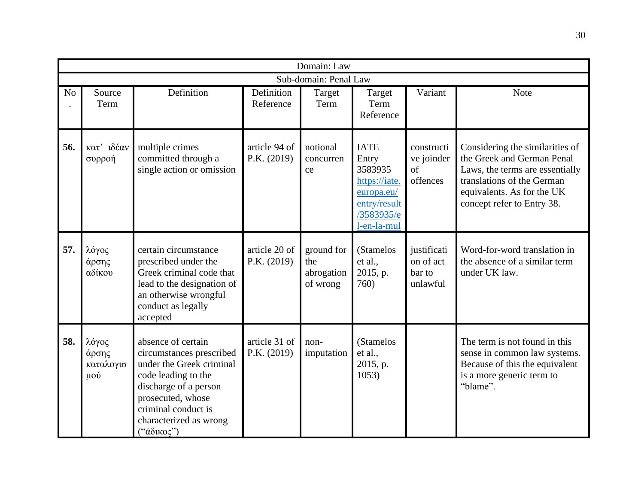|                | Domain: Law                        |                                                                                                                                                                                                                |                                |                                             |                                                                                                             |                                                |                                                                                                                                                                                            |  |  |  |
|----------------|------------------------------------|----------------------------------------------------------------------------------------------------------------------------------------------------------------------------------------------------------------|--------------------------------|---------------------------------------------|-------------------------------------------------------------------------------------------------------------|------------------------------------------------|--------------------------------------------------------------------------------------------------------------------------------------------------------------------------------------------|--|--|--|
|                |                                    |                                                                                                                                                                                                                |                                | Sub-domain: Penal Law                       |                                                                                                             |                                                |                                                                                                                                                                                            |  |  |  |
| N <sub>o</sub> | Source<br>Term                     | Definition                                                                                                                                                                                                     | Definition<br>Reference        | Target<br>Term                              | Target<br>Term<br>Reference                                                                                 | Variant                                        | <b>Note</b>                                                                                                                                                                                |  |  |  |
| 56.            | κατ' ιδέαν<br>συρροή               | multiple crimes<br>committed through a<br>single action or omission                                                                                                                                            | article 94 of<br>P.K. (2019)   | notional<br>concurren<br>ce                 | <b>IATE</b><br>Entry<br>3583935<br>https://iate.<br>europa.eu/<br>entry/result<br>/3583935/e<br>l-en-la-mul | constructi<br>ve joinder<br>of<br>offences     | Considering the similarities of<br>the Greek and German Penal<br>Laws, the terms are essentially<br>translations of the German<br>equivalents. As for the UK<br>concept refer to Entry 38. |  |  |  |
| 57.            | λόγος<br>άρσης<br>αδίκου           | certain circumstance<br>prescribed under the<br>Greek criminal code that<br>lead to the designation of<br>an otherwise wrongful<br>conduct as legally<br>accepted                                              | article 20 of<br>P.K. $(2019)$ | ground for<br>the<br>abrogation<br>of wrong | (Stamelos<br>et al.,<br>2015, p.<br>760)                                                                    | justificati<br>on of act<br>bar to<br>unlawful | Word-for-word translation in<br>the absence of a similar term<br>under UK law.                                                                                                             |  |  |  |
| 58.            | λόγος<br>άρσης<br>καταλογισ<br>μού | absence of certain<br>circumstances prescribed<br>under the Greek criminal<br>code leading to the<br>discharge of a person<br>prosecuted, whose<br>criminal conduct is<br>characterized as wrong<br>("άδικος") | article 31 of<br>P.K. (2019)   | non-<br>imputation                          | (Stamelos<br>et al.,<br>2015, p.<br>1053)                                                                   |                                                | The term is not found in this<br>sense in common law systems.<br>Because of this the equivalent<br>is a more generic term to<br>"blame".                                                   |  |  |  |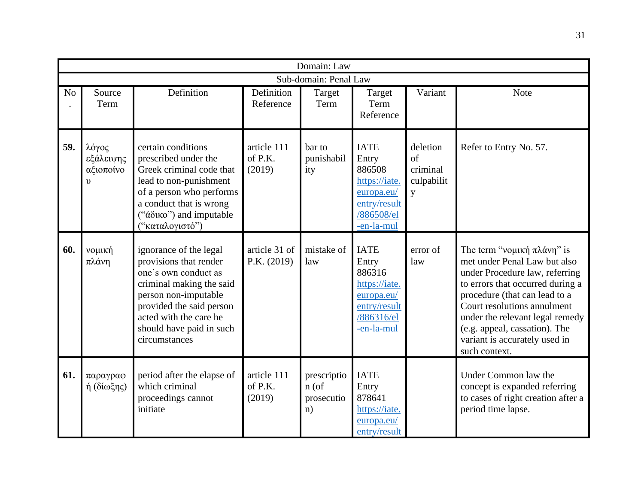|                | Domain: Law                                   |                                                                                                                                                                                                                                 |                                  |                                            |                                                                                                           |                                               |                                                                                                                                                                                                                                                                                                                        |  |  |  |
|----------------|-----------------------------------------------|---------------------------------------------------------------------------------------------------------------------------------------------------------------------------------------------------------------------------------|----------------------------------|--------------------------------------------|-----------------------------------------------------------------------------------------------------------|-----------------------------------------------|------------------------------------------------------------------------------------------------------------------------------------------------------------------------------------------------------------------------------------------------------------------------------------------------------------------------|--|--|--|
|                |                                               |                                                                                                                                                                                                                                 |                                  | Sub-domain: Penal Law                      |                                                                                                           |                                               |                                                                                                                                                                                                                                                                                                                        |  |  |  |
| N <sub>o</sub> | Source<br>Term                                | Definition                                                                                                                                                                                                                      | Definition<br>Reference          | Target<br>Term                             | Target<br>Term<br>Reference                                                                               | Variant                                       | <b>Note</b>                                                                                                                                                                                                                                                                                                            |  |  |  |
| 59.            | λόγος<br>εξάλειψης<br>αξιοποίνο<br>$\upsilon$ | certain conditions<br>prescribed under the<br>Greek criminal code that<br>lead to non-punishment<br>of a person who performs<br>a conduct that is wrong<br>("άδικο") and imputable<br>("καταλογιστό")                           | article 111<br>of P.K.<br>(2019) | bar to<br>punishabil<br>ity                | <b>IATE</b><br>Entry<br>886508<br>https://iate.<br>europa.eu/<br>entry/result<br>/886508/el<br>-en-la-mul | deletion<br>of<br>criminal<br>culpabilit<br>y | Refer to Entry No. 57.                                                                                                                                                                                                                                                                                                 |  |  |  |
| 60.            | νομική<br>πλάνη                               | ignorance of the legal<br>provisions that render<br>one's own conduct as<br>criminal making the said<br>person non-imputable<br>provided the said person<br>acted with the care he<br>should have paid in such<br>circumstances | article 31 of<br>P.K. $(2019)$   | mistake of<br>law                          | <b>IATE</b><br>Entry<br>886316<br>https://iate.<br>europa.eu/<br>entry/result<br>/886316/el<br>-en-la-mul | error of<br>law                               | The term "νομική πλάνη" is<br>met under Penal Law but also<br>under Procedure law, referring<br>to errors that occurred during a<br>procedure (that can lead to a<br>Court resolutions annulment<br>under the relevant legal remedy<br>(e.g. appeal, cassation). The<br>variant is accurately used in<br>such context. |  |  |  |
| 61.            | παραγραφ<br>ή (δίωξης)                        | period after the elapse of<br>which criminal<br>proceedings cannot<br>initiate                                                                                                                                                  | article 111<br>of P.K.<br>(2019) | prescriptio<br>$n$ (of<br>prosecutio<br>n) | <b>IATE</b><br>Entry<br>878641<br>https://iate.<br>europa.eu/<br>entry/result                             |                                               | Under Common law the<br>concept is expanded referring<br>to cases of right creation after a<br>period time lapse.                                                                                                                                                                                                      |  |  |  |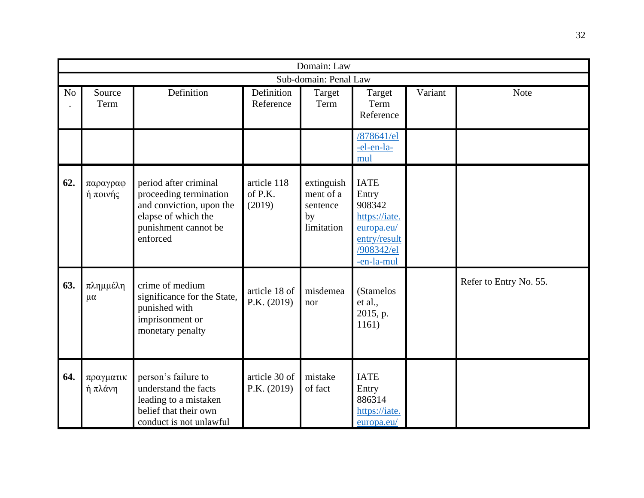|                | Domain: Law             |                                                                                                                                        |                                  |                                                         |                                                                                                           |         |                        |  |  |  |  |
|----------------|-------------------------|----------------------------------------------------------------------------------------------------------------------------------------|----------------------------------|---------------------------------------------------------|-----------------------------------------------------------------------------------------------------------|---------|------------------------|--|--|--|--|
|                | Sub-domain: Penal Law   |                                                                                                                                        |                                  |                                                         |                                                                                                           |         |                        |  |  |  |  |
| N <sub>o</sub> | Source<br>Term          | Definition                                                                                                                             | Definition<br>Reference          | Target<br>Term                                          | Target<br>Term<br>Reference                                                                               | Variant | <b>Note</b>            |  |  |  |  |
|                |                         |                                                                                                                                        |                                  |                                                         | /878641/el<br>-el-en-la-<br>mul                                                                           |         |                        |  |  |  |  |
| 62.            | παραγραφ<br>ή ποινής    | period after criminal<br>proceeding termination<br>and conviction, upon the<br>elapse of which the<br>punishment cannot be<br>enforced | article 118<br>of P.K.<br>(2019) | extinguish<br>ment of a<br>sentence<br>by<br>limitation | <b>IATE</b><br>Entry<br>908342<br>https://iate.<br>europa.eu/<br>entry/result<br>/908342/el<br>-en-la-mul |         |                        |  |  |  |  |
| 63.            | πλημμέλη<br>$\mu\alpha$ | crime of medium<br>significance for the State,<br>punished with<br>imprisonment or<br>monetary penalty                                 | article 18 of<br>P.K. (2019)     | misdemea<br>nor                                         | (Stamelos<br>et al.,<br>2015, p.<br>1161)                                                                 |         | Refer to Entry No. 55. |  |  |  |  |
| 64.            | πραγματικ<br>ή πλάνη    | person's failure to<br>understand the facts<br>leading to a mistaken<br>belief that their own<br>conduct is not unlawful               | article 30 of<br>P.K. (2019)     | mistake<br>of fact                                      | <b>IATE</b><br>Entry<br>886314<br>https://iate.<br>europa.eu/                                             |         |                        |  |  |  |  |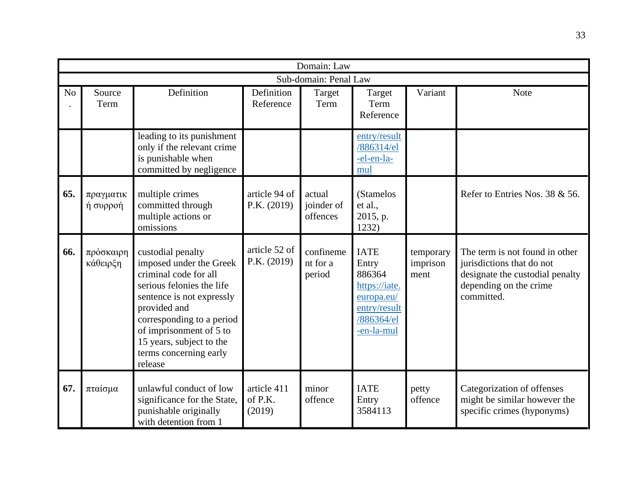|                | Domain: Law           |                                                                                                                                                                                                                                                                          |                                  |                                  |                                                                                                           |                               |                                                                                                                                        |  |  |  |
|----------------|-----------------------|--------------------------------------------------------------------------------------------------------------------------------------------------------------------------------------------------------------------------------------------------------------------------|----------------------------------|----------------------------------|-----------------------------------------------------------------------------------------------------------|-------------------------------|----------------------------------------------------------------------------------------------------------------------------------------|--|--|--|
|                |                       |                                                                                                                                                                                                                                                                          |                                  | Sub-domain: Penal Law            |                                                                                                           |                               |                                                                                                                                        |  |  |  |
| N <sub>o</sub> | Source<br>Term        | Definition                                                                                                                                                                                                                                                               | Definition<br>Reference          | Target<br>Term                   | Target<br>Term<br>Reference                                                                               | Variant                       | Note                                                                                                                                   |  |  |  |
|                |                       | leading to its punishment<br>only if the relevant crime<br>is punishable when<br>committed by negligence                                                                                                                                                                 |                                  |                                  | entry/result<br>/886314/el<br>-el-en-la-<br>mul                                                           |                               |                                                                                                                                        |  |  |  |
| 65.            | πραγματικ<br>ή συρροή | multiple crimes<br>committed through<br>multiple actions or<br>omissions                                                                                                                                                                                                 | article 94 of<br>P.K. (2019)     | actual<br>joinder of<br>offences | (Stamelos<br>et al.,<br>2015, p.<br>1232)                                                                 |                               | Refer to Entries Nos. 38 & 56.                                                                                                         |  |  |  |
| 66.            | πρόσκαιρη<br>κάθειρξη | custodial penalty<br>imposed under the Greek<br>criminal code for all<br>serious felonies the life<br>sentence is not expressly<br>provided and<br>corresponding to a period<br>of imprisonment of 5 to<br>15 years, subject to the<br>terms concerning early<br>release | article 52 of<br>P.K. (2019)     | confineme<br>nt for a<br>period  | <b>IATE</b><br>Entry<br>886364<br>https://iate.<br>europa.eu/<br>entry/result<br>/886364/el<br>-en-la-mul | temporary<br>imprison<br>ment | The term is not found in other<br>jurisdictions that do not<br>designate the custodial penalty<br>depending on the crime<br>committed. |  |  |  |
| 67.            | πταίσμα               | unlawful conduct of low<br>significance for the State,<br>punishable originally<br>with detention from 1                                                                                                                                                                 | article 411<br>of P.K.<br>(2019) | minor<br>offence                 | <b>IATE</b><br>Entry<br>3584113                                                                           | petty<br>offence              | Categorization of offenses<br>might be similar however the<br>specific crimes (hyponyms)                                               |  |  |  |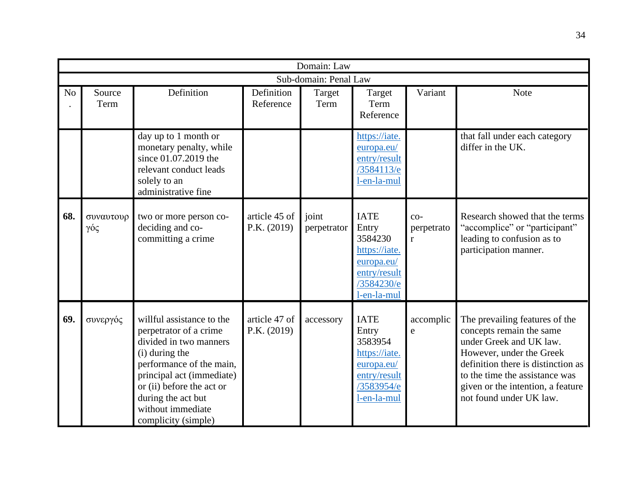|                | Domain: Law      |                                                                                                                                                                                                                                                         |                              |                       |                                                                                                             |                                     |                                                                                                                                                                                                                                                           |  |  |
|----------------|------------------|---------------------------------------------------------------------------------------------------------------------------------------------------------------------------------------------------------------------------------------------------------|------------------------------|-----------------------|-------------------------------------------------------------------------------------------------------------|-------------------------------------|-----------------------------------------------------------------------------------------------------------------------------------------------------------------------------------------------------------------------------------------------------------|--|--|
|                |                  |                                                                                                                                                                                                                                                         |                              | Sub-domain: Penal Law |                                                                                                             |                                     |                                                                                                                                                                                                                                                           |  |  |
| N <sub>o</sub> | Source<br>Term   | Definition                                                                                                                                                                                                                                              | Definition<br>Reference      | Target<br>Term        | Target<br>Term<br>Reference                                                                                 | Variant                             | <b>Note</b>                                                                                                                                                                                                                                               |  |  |
|                |                  | day up to 1 month or<br>monetary penalty, while<br>since 01.07.2019 the<br>relevant conduct leads<br>solely to an<br>administrative fine                                                                                                                |                              |                       | https://iate.<br>europa.eu/<br>entry/result<br>/3584113/e<br>l-en-la-mul                                    |                                     | that fall under each category<br>differ in the UK.                                                                                                                                                                                                        |  |  |
| 68.            | συναυτουρ<br>γός | two or more person co-<br>deciding and co-<br>committing a crime                                                                                                                                                                                        | article 45 of<br>P.K. (2019) | joint<br>perpetrator  | <b>IATE</b><br>Entry<br>3584230<br>https://iate.<br>europa.eu/<br>entry/result<br>/3584230/e<br>l-en-la-mul | $CO-$<br>perpetrato<br>$\mathbf{r}$ | Research showed that the terms<br>"accomplice" or "participant"<br>leading to confusion as to<br>participation manner.                                                                                                                                    |  |  |
| 69.            | συνεργός         | willful assistance to the<br>perpetrator of a crime<br>divided in two manners<br>(i) during the<br>performance of the main,<br>principal act (immediate)<br>or (ii) before the act or<br>during the act but<br>without immediate<br>complicity (simple) | article 47 of<br>P.K. (2019) | accessory             | <b>IATE</b><br>Entry<br>3583954<br>https://iate.<br>europa.eu/<br>entry/result<br>/3583954/e<br>l-en-la-mul | accomplic<br>e                      | The prevailing features of the<br>concepts remain the same<br>under Greek and UK law.<br>However, under the Greek<br>definition there is distinction as<br>to the time the assistance was<br>given or the intention, a feature<br>not found under UK law. |  |  |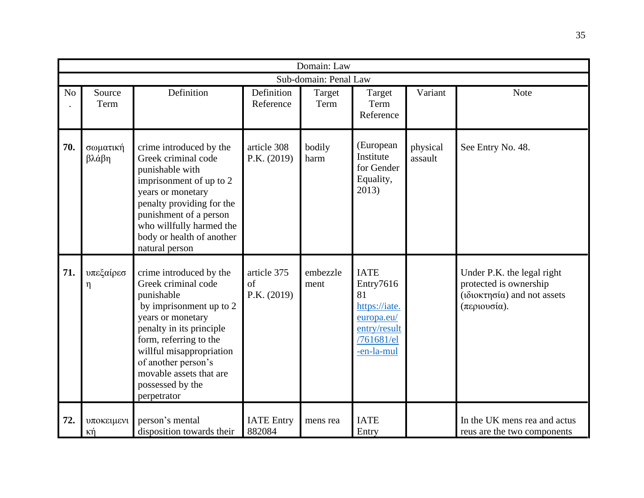|                | Domain: Law                         |                                                                                                                                                                                                                                                                                     |                                          |                  |                                                                                                           |                     |                                                                                                     |  |  |  |  |
|----------------|-------------------------------------|-------------------------------------------------------------------------------------------------------------------------------------------------------------------------------------------------------------------------------------------------------------------------------------|------------------------------------------|------------------|-----------------------------------------------------------------------------------------------------------|---------------------|-----------------------------------------------------------------------------------------------------|--|--|--|--|
|                | Sub-domain: Penal Law               |                                                                                                                                                                                                                                                                                     |                                          |                  |                                                                                                           |                     |                                                                                                     |  |  |  |  |
| N <sub>o</sub> | Source<br>Term                      | Definition                                                                                                                                                                                                                                                                          | Definition<br>Reference                  | Target<br>Term   | Target<br>Term<br>Reference                                                                               | Variant             | Note                                                                                                |  |  |  |  |
| 70.            | σωματική<br>βλάβη                   | crime introduced by the<br>Greek criminal code<br>punishable with<br>imprisonment of up to 2<br>years or monetary<br>penalty providing for the<br>punishment of a person<br>who willfully harmed the<br>body or health of another<br>natural person                                 | article 308<br>P.K. (2019)               | bodily<br>harm   | (European<br>Institute<br>for Gender<br>Equality,<br>2013)                                                | physical<br>assault | See Entry No. 48.                                                                                   |  |  |  |  |
| 71.            | υπεξαίρεσ<br>η                      | crime introduced by the<br>Greek criminal code<br>punishable<br>by imprisonment up to 2<br>years or monetary<br>penalty in its principle<br>form, referring to the<br>willful misappropriation<br>of another person's<br>movable assets that are<br>possessed by the<br>perpetrator | article 375<br>$\sigma$ f<br>P.K. (2019) | embezzle<br>ment | <b>IATE</b><br>Entry7616<br>81<br>https://iate.<br>europa.eu/<br>entry/result<br>/761681/el<br>-en-la-mul |                     | Under P.K. the legal right<br>protected is ownership<br>(ιδιοκτησία) and not assets<br>(περιουσία). |  |  |  |  |
| 72.            | υποκειμενι<br>$\kappa \acute{\eta}$ | person's mental<br>disposition towards their                                                                                                                                                                                                                                        | <b>IATE</b> Entry<br>882084              | mens rea         | <b>IATE</b><br>Entry                                                                                      |                     | In the UK mens rea and actus<br>reus are the two components                                         |  |  |  |  |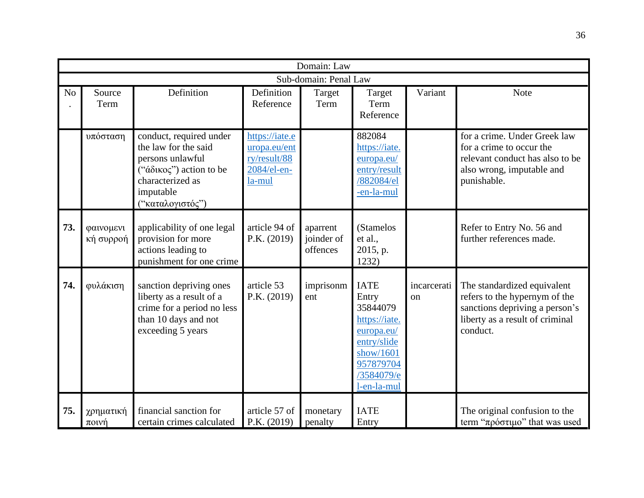|                | Domain: Law            |                                                                                                                                                     |                                                                         |                                    |                                                                                                                                       |                   |                                                                                                                                               |  |  |  |  |
|----------------|------------------------|-----------------------------------------------------------------------------------------------------------------------------------------------------|-------------------------------------------------------------------------|------------------------------------|---------------------------------------------------------------------------------------------------------------------------------------|-------------------|-----------------------------------------------------------------------------------------------------------------------------------------------|--|--|--|--|
|                | Sub-domain: Penal Law  |                                                                                                                                                     |                                                                         |                                    |                                                                                                                                       |                   |                                                                                                                                               |  |  |  |  |
| N <sub>o</sub> | Source<br>Term         | Definition                                                                                                                                          | Definition<br>Reference                                                 | Target<br>Term                     | Target<br>Term<br>Reference                                                                                                           | Variant           | <b>Note</b>                                                                                                                                   |  |  |  |  |
|                | υπόσταση               | conduct, required under<br>the law for the said<br>persons unlawful<br>("άδικος") action to be<br>characterized as<br>imputable<br>("καταλογιστός") | https://iate.e<br>uropa.eu/ent<br>ry/result/88<br>2084/el-en-<br>la-mul |                                    | 882084<br>https://iate.<br>europa.eu/<br>entry/result<br>/882084/el<br>-en-la-mul                                                     |                   | for a crime. Under Greek law<br>for a crime to occur the<br>relevant conduct has also to be<br>also wrong, imputable and<br>punishable.       |  |  |  |  |
| 73.            | φαινομενι<br>κή συρροή | applicability of one legal<br>provision for more<br>actions leading to<br>punishment for one crime                                                  | article 94 of<br>P.K. (2019)                                            | aparrent<br>joinder of<br>offences | (Stamelos<br>et al.,<br>2015, p.<br>1232)                                                                                             |                   | Refer to Entry No. 56 and<br>further references made.                                                                                         |  |  |  |  |
| 74.            | φυλάκιση               | sanction depriving ones<br>liberty as a result of a<br>crime for a period no less<br>than 10 days and not<br>exceeding 5 years                      | article 53<br>P.K. $(2019)$                                             | imprisonm<br>ent                   | <b>IATE</b><br>Entry<br>35844079<br>https://iate.<br>europa.eu/<br>entry/slide<br>show/1601<br>957879704<br>/3584079/e<br>l-en-la-mul | incarcerati<br>on | The standardized equivalent<br>refers to the hypernym of the<br>sanctions depriving a person's<br>liberty as a result of criminal<br>conduct. |  |  |  |  |
| 75.            | χρηματική<br>$\pi$ owή | financial sanction for<br>certain crimes calculated                                                                                                 | article 57 of<br>P.K. (2019)                                            | monetary<br>penalty                | <b>IATE</b><br>Entry                                                                                                                  |                   | The original confusion to the<br>term " $\pi \rho \acute{o} \sigma \tau \mu \acute{o}$ " that was used                                        |  |  |  |  |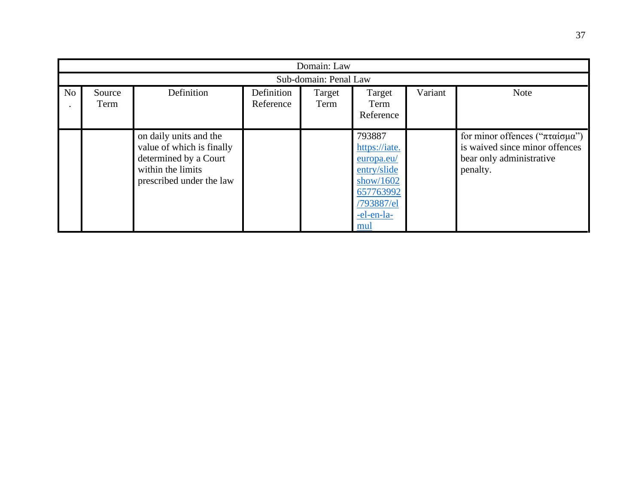|                | Domain: Law           |                                                                                                                               |                         |                |                                                                                                                      |         |                                                                                                          |  |  |
|----------------|-----------------------|-------------------------------------------------------------------------------------------------------------------------------|-------------------------|----------------|----------------------------------------------------------------------------------------------------------------------|---------|----------------------------------------------------------------------------------------------------------|--|--|
|                | Sub-domain: Penal Law |                                                                                                                               |                         |                |                                                                                                                      |         |                                                                                                          |  |  |
| N <sub>o</sub> | Source<br>Term        | Definition                                                                                                                    | Definition<br>Reference | Target<br>Term | Target<br>Term<br>Reference                                                                                          | Variant | <b>Note</b>                                                                                              |  |  |
|                |                       | on daily units and the<br>value of which is finally<br>determined by a Court<br>within the limits<br>prescribed under the law |                         |                | 793887<br>https://iate.<br>europa.eu/<br>entry/slide<br>show/ $1602$<br>657763992<br>/793887/el<br>-el-en-la-<br>mul |         | for minor offences ("πταίσμα")<br>is waived since minor offences<br>bear only administrative<br>penalty. |  |  |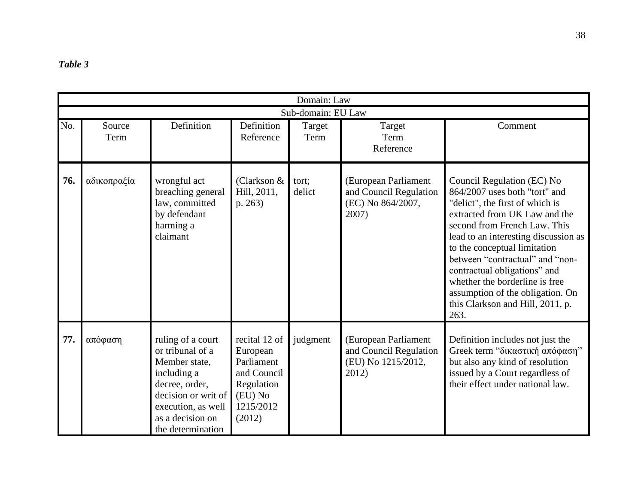| <i>cable</i> |  |
|--------------|--|
|--------------|--|

|     |                |                                                                                                                                                                               |                                                                                                        | Domain: Law        |                                                                               |                                                                                                                                                                                                                                                                                                                                                                                                                              |
|-----|----------------|-------------------------------------------------------------------------------------------------------------------------------------------------------------------------------|--------------------------------------------------------------------------------------------------------|--------------------|-------------------------------------------------------------------------------|------------------------------------------------------------------------------------------------------------------------------------------------------------------------------------------------------------------------------------------------------------------------------------------------------------------------------------------------------------------------------------------------------------------------------|
|     |                |                                                                                                                                                                               |                                                                                                        | Sub-domain: EU Law |                                                                               |                                                                                                                                                                                                                                                                                                                                                                                                                              |
| No. | Source<br>Term | Definition                                                                                                                                                                    | Definition<br>Reference                                                                                | Target<br>Term     | Target<br>Term<br>Reference                                                   | Comment                                                                                                                                                                                                                                                                                                                                                                                                                      |
| 76. | αδικοπραξία    | wrongful act<br>breaching general<br>law, committed<br>by defendant<br>harming a<br>claimant                                                                                  | (Clarkson $&$<br>Hill, 2011,<br>p. 263)                                                                | tort;<br>delict    | (European Parliament<br>and Council Regulation<br>(EC) No 864/2007,<br>2007)  | Council Regulation (EC) No<br>864/2007 uses both "tort" and<br>"delict", the first of which is<br>extracted from UK Law and the<br>second from French Law. This<br>lead to an interesting discussion as<br>to the conceptual limitation<br>between "contractual" and "non-<br>contractual obligations" and<br>whether the borderline is free<br>assumption of the obligation. On<br>this Clarkson and Hill, 2011, p.<br>263. |
| 77. | απόφαση        | ruling of a court<br>or tribunal of a<br>Member state,<br>including a<br>decree, order,<br>decision or writ of<br>execution, as well<br>as a decision on<br>the determination | recital 12 of<br>European<br>Parliament<br>and Council<br>Regulation<br>(EU) No<br>1215/2012<br>(2012) | judgment           | (European Parliament<br>and Council Regulation<br>(EU) No 1215/2012,<br>2012) | Definition includes not just the<br>Greek term "δικαστική απόφαση"<br>but also any kind of resolution<br>issued by a Court regardless of<br>their effect under national law.                                                                                                                                                                                                                                                 |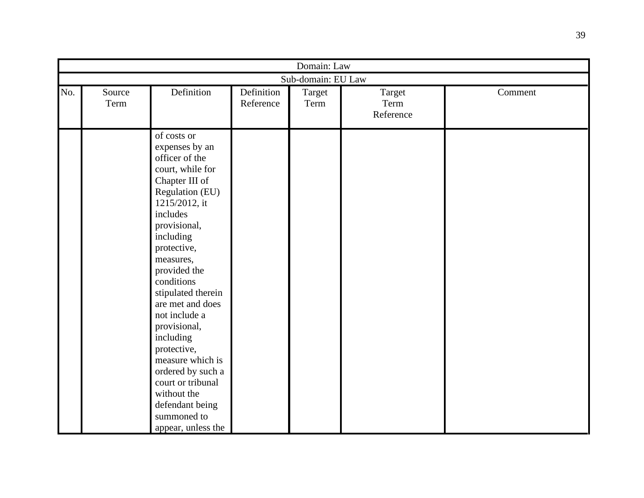|     | Domain: Law    |                                                                                                                                                                                                                                                                                                                                                                                                                                                                          |                         |                    |                             |         |  |  |
|-----|----------------|--------------------------------------------------------------------------------------------------------------------------------------------------------------------------------------------------------------------------------------------------------------------------------------------------------------------------------------------------------------------------------------------------------------------------------------------------------------------------|-------------------------|--------------------|-----------------------------|---------|--|--|
|     |                |                                                                                                                                                                                                                                                                                                                                                                                                                                                                          |                         | Sub-domain: EU Law |                             |         |  |  |
| No. | Source<br>Term | Definition                                                                                                                                                                                                                                                                                                                                                                                                                                                               | Definition<br>Reference | Target<br>Term     | Target<br>Term<br>Reference | Comment |  |  |
|     |                | of costs or<br>expenses by an<br>officer of the<br>court, while for<br>Chapter III of<br>Regulation (EU)<br>1215/2012, it<br>includes<br>provisional,<br>including<br>protective,<br>measures,<br>provided the<br>conditions<br>stipulated therein<br>are met and does<br>not include a<br>provisional,<br>including<br>protective,<br>measure which is<br>ordered by such a<br>court or tribunal<br>without the<br>defendant being<br>summoned to<br>appear, unless the |                         |                    |                             |         |  |  |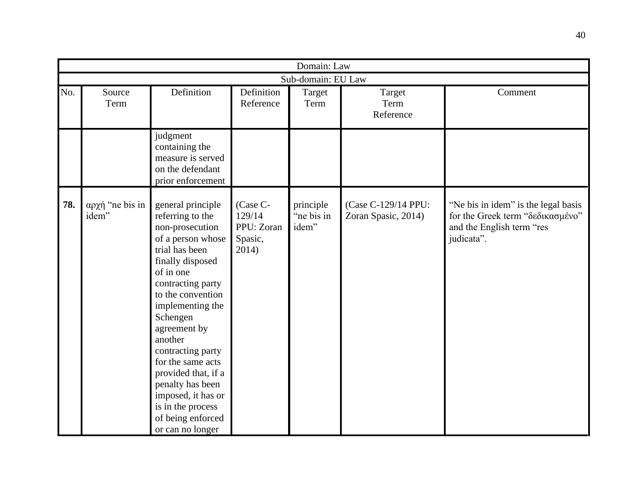|     |                          |                                                                                                                                                                                                                                                                                                                                                                                                                |                                                      | Domain: Law                      |                                            |                                                                                                                    |  |  |  |
|-----|--------------------------|----------------------------------------------------------------------------------------------------------------------------------------------------------------------------------------------------------------------------------------------------------------------------------------------------------------------------------------------------------------------------------------------------------------|------------------------------------------------------|----------------------------------|--------------------------------------------|--------------------------------------------------------------------------------------------------------------------|--|--|--|
|     | Sub-domain: EU Law       |                                                                                                                                                                                                                                                                                                                                                                                                                |                                                      |                                  |                                            |                                                                                                                    |  |  |  |
| No. | Source<br>Term           | Definition                                                                                                                                                                                                                                                                                                                                                                                                     | Definition<br>Reference                              | Target<br>Term                   | Target<br>Term<br>Reference                | Comment                                                                                                            |  |  |  |
|     |                          | judgment<br>containing the<br>measure is served<br>on the defendant<br>prior enforcement                                                                                                                                                                                                                                                                                                                       |                                                      |                                  |                                            |                                                                                                                    |  |  |  |
| 78. | αρχή "ne bis in<br>idem" | general principle<br>referring to the<br>non-prosecution<br>of a person whose<br>trial has been<br>finally disposed<br>of in one<br>contracting party<br>to the convention<br>implementing the<br>Schengen<br>agreement by<br>another<br>contracting party<br>for the same acts<br>provided that, if a<br>penalty has been<br>imposed, it has or<br>is in the process<br>of being enforced<br>or can no longer | (Case C-<br>129/14<br>PPU: Zoran<br>Spasic,<br>2014) | principle<br>"ne bis in<br>idem" | (Case C-129/14 PPU:<br>Zoran Spasic, 2014) | "Ne bis in idem" is the legal basis<br>for the Greek term "δεδικασμένο"<br>and the English term "res<br>judicata". |  |  |  |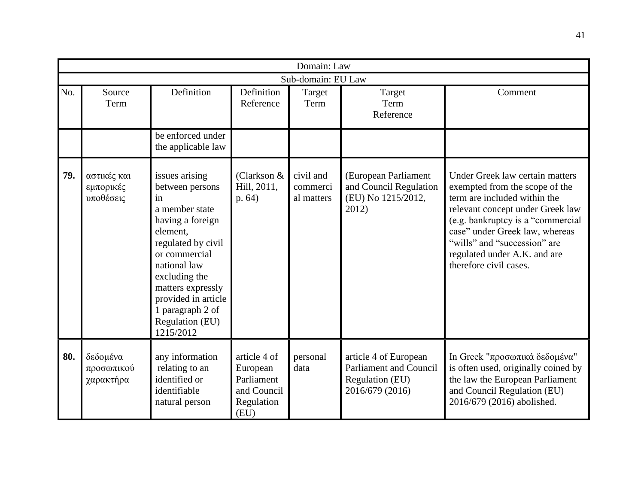|     |                                       |                                                                                                                                                                                                                                                                   |                                                                             | Domain: Law                         |                                                                                              |                                                                                                                                                                                                                                                                                                        |  |  |  |
|-----|---------------------------------------|-------------------------------------------------------------------------------------------------------------------------------------------------------------------------------------------------------------------------------------------------------------------|-----------------------------------------------------------------------------|-------------------------------------|----------------------------------------------------------------------------------------------|--------------------------------------------------------------------------------------------------------------------------------------------------------------------------------------------------------------------------------------------------------------------------------------------------------|--|--|--|
|     | Sub-domain: EU Law                    |                                                                                                                                                                                                                                                                   |                                                                             |                                     |                                                                                              |                                                                                                                                                                                                                                                                                                        |  |  |  |
| No. | Source<br>Term                        | Definition                                                                                                                                                                                                                                                        | Definition<br>Reference                                                     | Target<br>Term                      | Target<br>Term<br>Reference                                                                  | Comment                                                                                                                                                                                                                                                                                                |  |  |  |
|     |                                       | be enforced under<br>the applicable law                                                                                                                                                                                                                           |                                                                             |                                     |                                                                                              |                                                                                                                                                                                                                                                                                                        |  |  |  |
| 79. | αστικές και<br>εμπορικές<br>υποθέσεις | issues arising<br>between persons<br>in<br>a member state<br>having a foreign<br>element,<br>regulated by civil<br>or commercial<br>national law<br>excluding the<br>matters expressly<br>provided in article<br>1 paragraph 2 of<br>Regulation (EU)<br>1215/2012 | (Clarkson &<br>Hill, 2011,<br>p.64)                                         | civil and<br>commerci<br>al matters | (European Parliament<br>and Council Regulation<br>(EU) No 1215/2012,<br>2012)                | Under Greek law certain matters<br>exempted from the scope of the<br>term are included within the<br>relevant concept under Greek law<br>(e.g. bankruptcy is a "commercial<br>case" under Greek law, whereas<br>"wills" and "succession" are<br>regulated under A.K. and are<br>therefore civil cases. |  |  |  |
| 80. | δεδομένα<br>προσωπικού<br>χαρακτήρα   | any information<br>relating to an<br>identified or<br>identifiable<br>natural person                                                                                                                                                                              | article 4 of<br>European<br>Parliament<br>and Council<br>Regulation<br>(EU) | personal<br>data                    | article 4 of European<br><b>Parliament and Council</b><br>Regulation (EU)<br>2016/679 (2016) | In Greek "προσωπικά δεδομένα"<br>is often used, originally coined by<br>the law the European Parliament<br>and Council Regulation (EU)<br>2016/679 (2016) abolished.                                                                                                                                   |  |  |  |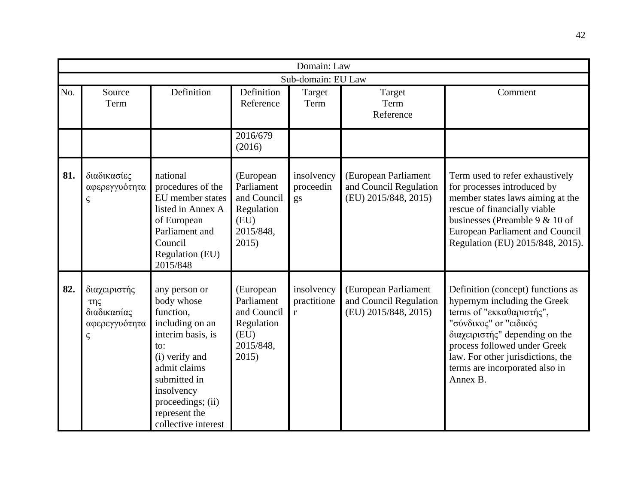|     |                                                                        |                                                                                                                                                                                                                      |                                                                                    | Domain: Law                    |                                                                        |                                                                                                                                                                                                                                                                              |  |  |  |
|-----|------------------------------------------------------------------------|----------------------------------------------------------------------------------------------------------------------------------------------------------------------------------------------------------------------|------------------------------------------------------------------------------------|--------------------------------|------------------------------------------------------------------------|------------------------------------------------------------------------------------------------------------------------------------------------------------------------------------------------------------------------------------------------------------------------------|--|--|--|
|     | Sub-domain: EU Law                                                     |                                                                                                                                                                                                                      |                                                                                    |                                |                                                                        |                                                                                                                                                                                                                                                                              |  |  |  |
| No. | Source<br>Term                                                         | Definition                                                                                                                                                                                                           | Definition<br>Reference                                                            | Target<br>Term                 | Target<br>Term<br>Reference                                            | Comment                                                                                                                                                                                                                                                                      |  |  |  |
|     |                                                                        |                                                                                                                                                                                                                      | 2016/679<br>(2016)                                                                 |                                |                                                                        |                                                                                                                                                                                                                                                                              |  |  |  |
| 81. | διαδικασίες<br>αφερεγγυότητα<br>ς                                      | national<br>procedures of the<br>EU member states<br>listed in Annex A<br>of European<br>Parliament and<br>Council<br>Regulation (EU)<br>2015/848                                                                    | (European<br>Parliament<br>and Council<br>Regulation<br>(EU)<br>2015/848,<br>2015) | insolvency<br>proceedin<br>gs  | (European Parliament<br>and Council Regulation<br>(EU) 2015/848, 2015) | Term used to refer exhaustively<br>for processes introduced by<br>member states laws aiming at the<br>rescue of financially viable<br>businesses (Preamble 9 $& 10$ of<br><b>European Parliament and Council</b><br>Regulation (EU) 2015/848, 2015).                         |  |  |  |
| 82. | διαχειριστής<br>$\tau \eta \zeta$<br>διαδικασίας<br>αφερεγγυότητα<br>ς | any person or<br>body whose<br>function,<br>including on an<br>interim basis, is<br>to:<br>(i) verify and<br>admit claims<br>submitted in<br>insolvency<br>proceedings; (ii)<br>represent the<br>collective interest | (European<br>Parliament<br>and Council<br>Regulation<br>(EU)<br>2015/848,<br>2015) | insolvency<br>practitione<br>r | (European Parliament<br>and Council Regulation<br>(EU) 2015/848, 2015) | Definition (concept) functions as<br>hypernym including the Greek<br>terms of "εκκαθαριστής",<br>"σύνδικος" or "ειδικός<br>διαχειριστής" depending on the<br>process followed under Greek<br>law. For other jurisdictions, the<br>terms are incorporated also in<br>Annex B. |  |  |  |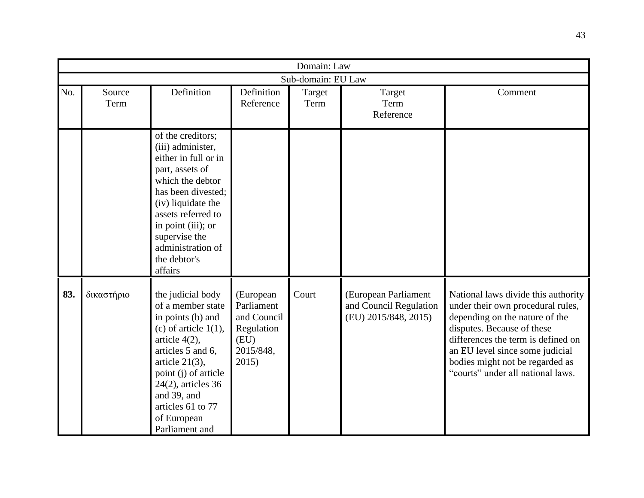|     |                |                                                                                                                                                                                                                                                                            |                                                                                    | Domain: Law        |                                                                        |                                                                                                                                                                                                                                                                                           |
|-----|----------------|----------------------------------------------------------------------------------------------------------------------------------------------------------------------------------------------------------------------------------------------------------------------------|------------------------------------------------------------------------------------|--------------------|------------------------------------------------------------------------|-------------------------------------------------------------------------------------------------------------------------------------------------------------------------------------------------------------------------------------------------------------------------------------------|
|     |                |                                                                                                                                                                                                                                                                            |                                                                                    | Sub-domain: EU Law |                                                                        |                                                                                                                                                                                                                                                                                           |
| No. | Source<br>Term | Definition                                                                                                                                                                                                                                                                 | Definition<br>Reference                                                            | Target<br>Term     | Target<br>Term<br>Reference                                            | Comment                                                                                                                                                                                                                                                                                   |
|     |                | of the creditors;<br>(iii) administer,<br>either in full or in<br>part, assets of<br>which the debtor<br>has been divested;<br>(iv) liquidate the<br>assets referred to<br>in point (iii); or<br>supervise the<br>administration of<br>the debtor's<br>affairs             |                                                                                    |                    |                                                                        |                                                                                                                                                                                                                                                                                           |
| 83. | δικαστήριο     | the judicial body<br>of a member state<br>in points (b) and<br>(c) of article $1(1)$ ,<br>article $4(2)$ ,<br>articles 5 and 6,<br>article $21(3)$ ,<br>point (j) of article<br>$24(2)$ , articles 36<br>and 39, and<br>articles 61 to 77<br>of European<br>Parliament and | (European<br>Parliament<br>and Council<br>Regulation<br>(EU)<br>2015/848,<br>2015) | Court              | (European Parliament<br>and Council Regulation<br>(EU) 2015/848, 2015) | National laws divide this authority<br>under their own procedural rules,<br>depending on the nature of the<br>disputes. Because of these<br>differences the term is defined on<br>an EU level since some judicial<br>bodies might not be regarded as<br>"courts" under all national laws. |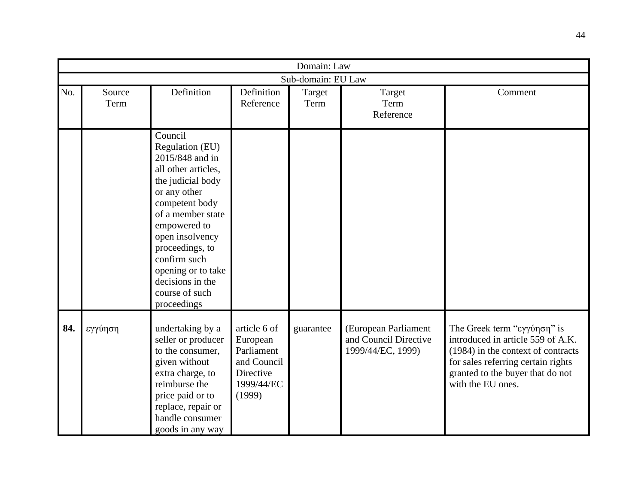|     |                |                                                                                                                                                                                                                                                                                                   |                                                                                            | Domain: Law        |                                                                    |                                                                                                                                                                                                       |
|-----|----------------|---------------------------------------------------------------------------------------------------------------------------------------------------------------------------------------------------------------------------------------------------------------------------------------------------|--------------------------------------------------------------------------------------------|--------------------|--------------------------------------------------------------------|-------------------------------------------------------------------------------------------------------------------------------------------------------------------------------------------------------|
|     |                |                                                                                                                                                                                                                                                                                                   |                                                                                            | Sub-domain: EU Law |                                                                    |                                                                                                                                                                                                       |
| No. | Source<br>Term | Definition                                                                                                                                                                                                                                                                                        | Definition<br>Reference                                                                    | Target<br>Term     | Target<br>Term<br>Reference                                        | Comment                                                                                                                                                                                               |
|     |                | Council<br>Regulation (EU)<br>2015/848 and in<br>all other articles,<br>the judicial body<br>or any other<br>competent body<br>of a member state<br>empowered to<br>open insolvency<br>proceedings, to<br>confirm such<br>opening or to take<br>decisions in the<br>course of such<br>proceedings |                                                                                            |                    |                                                                    |                                                                                                                                                                                                       |
| 84. | εγγύηση        | undertaking by a<br>seller or producer<br>to the consumer,<br>given without<br>extra charge, to<br>reimburse the<br>price paid or to<br>replace, repair or<br>handle consumer<br>goods in any way                                                                                                 | article 6 of<br>European<br>Parliament<br>and Council<br>Directive<br>1999/44/EC<br>(1999) | guarantee          | (European Parliament<br>and Council Directive<br>1999/44/EC, 1999) | The Greek term "εγγύηση" is<br>introduced in article 559 of A.K.<br>(1984) in the context of contracts<br>for sales referring certain rights<br>granted to the buyer that do not<br>with the EU ones. |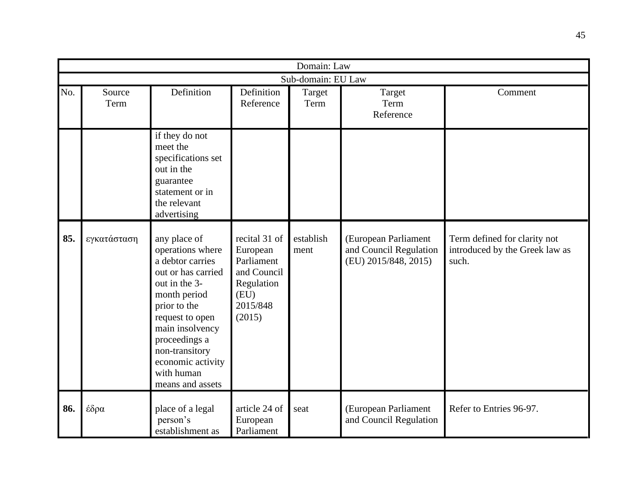|     |                    |                                                                                                                                                                                                                                                             |                                                                                                    | Domain: Law       |                                                                        |                                                                         |  |  |  |
|-----|--------------------|-------------------------------------------------------------------------------------------------------------------------------------------------------------------------------------------------------------------------------------------------------------|----------------------------------------------------------------------------------------------------|-------------------|------------------------------------------------------------------------|-------------------------------------------------------------------------|--|--|--|
|     | Sub-domain: EU Law |                                                                                                                                                                                                                                                             |                                                                                                    |                   |                                                                        |                                                                         |  |  |  |
| No. | Source<br>Term     | Definition                                                                                                                                                                                                                                                  | Definition<br>Reference                                                                            | Target<br>Term    | Target<br>Term<br>Reference                                            | Comment                                                                 |  |  |  |
|     |                    | if they do not<br>meet the<br>specifications set<br>out in the<br>guarantee<br>statement or in<br>the relevant<br>advertising                                                                                                                               |                                                                                                    |                   |                                                                        |                                                                         |  |  |  |
| 85. | εγκατάσταση        | any place of<br>operations where<br>a debtor carries<br>out or has carried<br>out in the 3-<br>month period<br>prior to the<br>request to open<br>main insolvency<br>proceedings a<br>non-transitory<br>economic activity<br>with human<br>means and assets | recital 31 of<br>European<br>Parliament<br>and Council<br>Regulation<br>(EU)<br>2015/848<br>(2015) | establish<br>ment | (European Parliament<br>and Council Regulation<br>(EU) 2015/848, 2015) | Term defined for clarity not<br>introduced by the Greek law as<br>such. |  |  |  |
| 86. | έδρα               | place of a legal<br>person's<br>establishment as                                                                                                                                                                                                            | article 24 of<br>European<br>Parliament                                                            | seat              | (European Parliament<br>and Council Regulation                         | Refer to Entries 96-97.                                                 |  |  |  |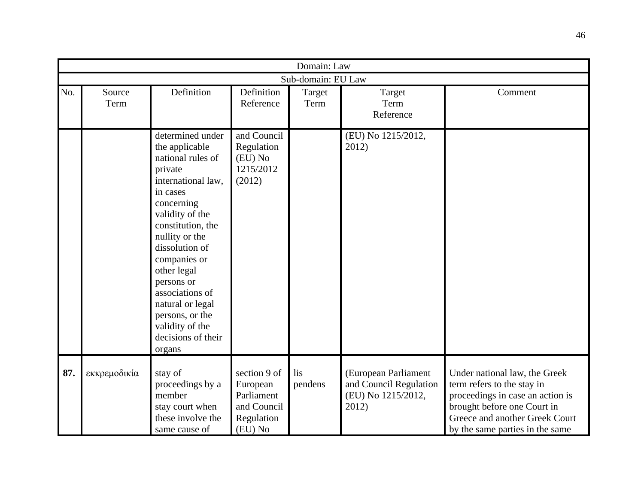|     |                |                                                                                                                                                                                                                                                                                                                                                          |                                                                                | Domain: Law        |                                                                               |                                                                                                                                                                                                     |
|-----|----------------|----------------------------------------------------------------------------------------------------------------------------------------------------------------------------------------------------------------------------------------------------------------------------------------------------------------------------------------------------------|--------------------------------------------------------------------------------|--------------------|-------------------------------------------------------------------------------|-----------------------------------------------------------------------------------------------------------------------------------------------------------------------------------------------------|
|     |                |                                                                                                                                                                                                                                                                                                                                                          |                                                                                | Sub-domain: EU Law |                                                                               |                                                                                                                                                                                                     |
| No. | Source<br>Term | Definition                                                                                                                                                                                                                                                                                                                                               | Definition<br>Reference                                                        | Target<br>Term     | Target<br>Term<br>Reference                                                   | Comment                                                                                                                                                                                             |
|     |                | determined under<br>the applicable<br>national rules of<br>private<br>international law,<br>in cases<br>concerning<br>validity of the<br>constitution, the<br>nullity or the<br>dissolution of<br>companies or<br>other legal<br>persons or<br>associations of<br>natural or legal<br>persons, or the<br>validity of the<br>decisions of their<br>organs | and Council<br>Regulation<br>(EU) No<br>1215/2012<br>(2012)                    |                    | (EU) No 1215/2012,<br>2012)                                                   |                                                                                                                                                                                                     |
| 87. | εκκρεμοδικία   | stay of<br>proceedings by a<br>member<br>stay court when<br>these involve the<br>same cause of                                                                                                                                                                                                                                                           | section 9 of<br>European<br>Parliament<br>and Council<br>Regulation<br>(EU) No | lis<br>pendens     | (European Parliament<br>and Council Regulation<br>(EU) No 1215/2012,<br>2012) | Under national law, the Greek<br>term refers to the stay in<br>proceedings in case an action is<br>brought before one Court in<br>Greece and another Greek Court<br>by the same parties in the same |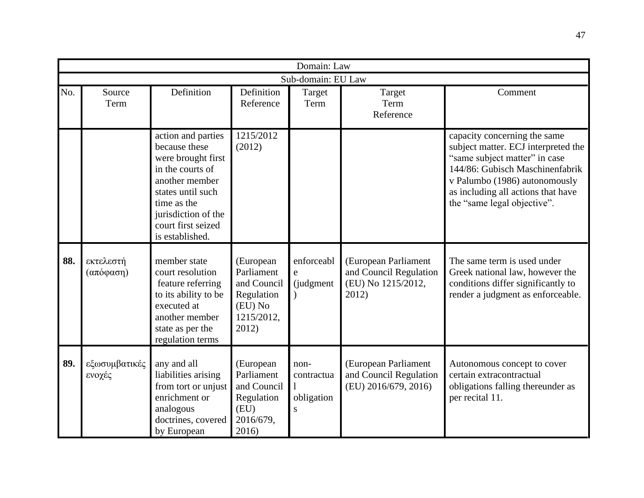|     |                         |                                                                                                                                                                                                     |                                                                                        | Domain: Law                           |                                                                               |                                                                                                                                                                                                                                               |
|-----|-------------------------|-----------------------------------------------------------------------------------------------------------------------------------------------------------------------------------------------------|----------------------------------------------------------------------------------------|---------------------------------------|-------------------------------------------------------------------------------|-----------------------------------------------------------------------------------------------------------------------------------------------------------------------------------------------------------------------------------------------|
|     |                         |                                                                                                                                                                                                     |                                                                                        | Sub-domain: EU Law                    |                                                                               |                                                                                                                                                                                                                                               |
| No. | Source<br>Term          | Definition                                                                                                                                                                                          | Definition<br>Reference                                                                | Target<br>Term                        | Target<br>Term<br>Reference                                                   | Comment                                                                                                                                                                                                                                       |
|     |                         | action and parties<br>because these<br>were brought first<br>in the courts of<br>another member<br>states until such<br>time as the<br>jurisdiction of the<br>court first seized<br>is established. | 1215/2012<br>(2012)                                                                    |                                       |                                                                               | capacity concerning the same<br>subject matter. ECJ interpreted the<br>"same subject matter" in case<br>144/86: Gubisch Maschinenfabrik<br>v Palumbo (1986) autonomously<br>as including all actions that have<br>the "same legal objective". |
| 88. | εκτελεστή<br>(απόφαση)  | member state<br>court resolution<br>feature referring<br>to its ability to be<br>executed at<br>another member<br>state as per the<br>regulation terms                                              | (European<br>Parliament<br>and Council<br>Regulation<br>(EU) No<br>1215/2012,<br>2012) | enforceabl<br>e<br>(judgment          | (European Parliament<br>and Council Regulation<br>(EU) No 1215/2012,<br>2012) | The same term is used under<br>Greek national law, however the<br>conditions differ significantly to<br>render a judgment as enforceable.                                                                                                     |
| 89. | εξωσυμβατικές<br>ενοχές | any and all<br>liabilities arising<br>from tort or unjust<br>enrichment or<br>analogous<br>doctrines, covered<br>by European                                                                        | (European<br>Parliament<br>and Council<br>Regulation<br>(EU)<br>2016/679,<br>2016)     | non-<br>contractua<br>obligation<br>S | (European Parliament<br>and Council Regulation<br>(EU) 2016/679, 2016)        | Autonomous concept to cover<br>certain extracontractual<br>obligations falling thereunder as<br>per recital 11.                                                                                                                               |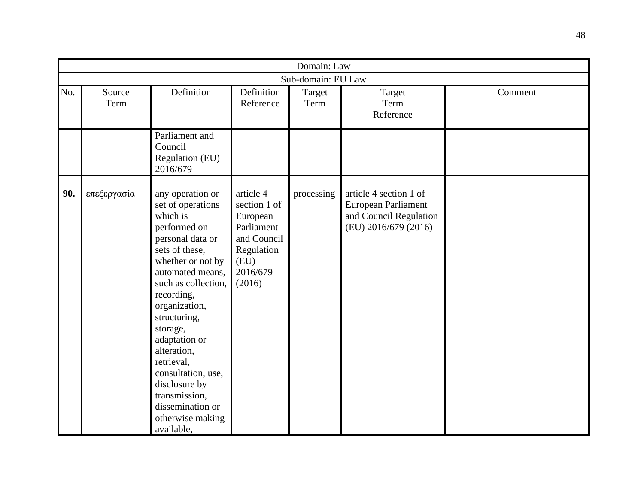|     | Domain: Law        |                                                                                                                                                                                                                                                                                                                                                                                                |                                                                                                                |                |                                                                                                 |         |  |  |  |  |
|-----|--------------------|------------------------------------------------------------------------------------------------------------------------------------------------------------------------------------------------------------------------------------------------------------------------------------------------------------------------------------------------------------------------------------------------|----------------------------------------------------------------------------------------------------------------|----------------|-------------------------------------------------------------------------------------------------|---------|--|--|--|--|
|     | Sub-domain: EU Law |                                                                                                                                                                                                                                                                                                                                                                                                |                                                                                                                |                |                                                                                                 |         |  |  |  |  |
| No. | Source<br>Term     | Definition                                                                                                                                                                                                                                                                                                                                                                                     | Definition<br>Reference                                                                                        | Target<br>Term | Target<br>Term<br>Reference                                                                     | Comment |  |  |  |  |
|     |                    | Parliament and<br>Council<br>Regulation (EU)<br>2016/679                                                                                                                                                                                                                                                                                                                                       |                                                                                                                |                |                                                                                                 |         |  |  |  |  |
| 90. | επεξεργασία        | any operation or<br>set of operations<br>which is<br>performed on<br>personal data or<br>sets of these,<br>whether or not by<br>automated means,<br>such as collection,<br>recording,<br>organization,<br>structuring,<br>storage,<br>adaptation or<br>alteration,<br>retrieval,<br>consultation, use,<br>disclosure by<br>transmission,<br>dissemination or<br>otherwise making<br>available, | article 4<br>section 1 of<br>European<br>Parliament<br>and Council<br>Regulation<br>(EU)<br>2016/679<br>(2016) | processing     | article 4 section 1 of<br>European Parliament<br>and Council Regulation<br>(EU) 2016/679 (2016) |         |  |  |  |  |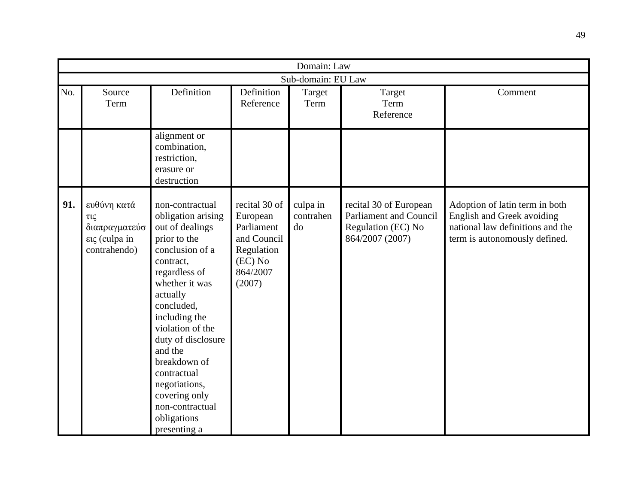|     | Domain: Law                                                          |                                                                                                                                                                                                                                                                                                                                                                |                                                                                                         |                             |                                                                                                  |                                                                                                                                   |  |  |  |  |
|-----|----------------------------------------------------------------------|----------------------------------------------------------------------------------------------------------------------------------------------------------------------------------------------------------------------------------------------------------------------------------------------------------------------------------------------------------------|---------------------------------------------------------------------------------------------------------|-----------------------------|--------------------------------------------------------------------------------------------------|-----------------------------------------------------------------------------------------------------------------------------------|--|--|--|--|
|     | Sub-domain: EU Law                                                   |                                                                                                                                                                                                                                                                                                                                                                |                                                                                                         |                             |                                                                                                  |                                                                                                                                   |  |  |  |  |
| No. | Source<br>Term                                                       | Definition                                                                                                                                                                                                                                                                                                                                                     | Definition<br>Reference                                                                                 | Target<br>Term              | Target<br>Term<br>Reference                                                                      | Comment                                                                                                                           |  |  |  |  |
|     |                                                                      | alignment or<br>combination,<br>restriction,<br>erasure or<br>destruction                                                                                                                                                                                                                                                                                      |                                                                                                         |                             |                                                                                                  |                                                                                                                                   |  |  |  |  |
| 91. | ευθύνη κατά<br>τις<br>διαπραγματεύσ<br>εις (culpa in<br>contrahendo) | non-contractual<br>obligation arising<br>out of dealings<br>prior to the<br>conclusion of a<br>contract,<br>regardless of<br>whether it was<br>actually<br>concluded,<br>including the<br>violation of the<br>duty of disclosure<br>and the<br>breakdown of<br>contractual<br>negotiations,<br>covering only<br>non-contractual<br>obligations<br>presenting a | recital 30 of<br>European<br>Parliament<br>and Council<br>Regulation<br>$(EC)$ No<br>864/2007<br>(2007) | culpa in<br>contrahen<br>do | recital 30 of European<br><b>Parliament and Council</b><br>Regulation (EC) No<br>864/2007 (2007) | Adoption of latin term in both<br>English and Greek avoiding<br>national law definitions and the<br>term is autonomously defined. |  |  |  |  |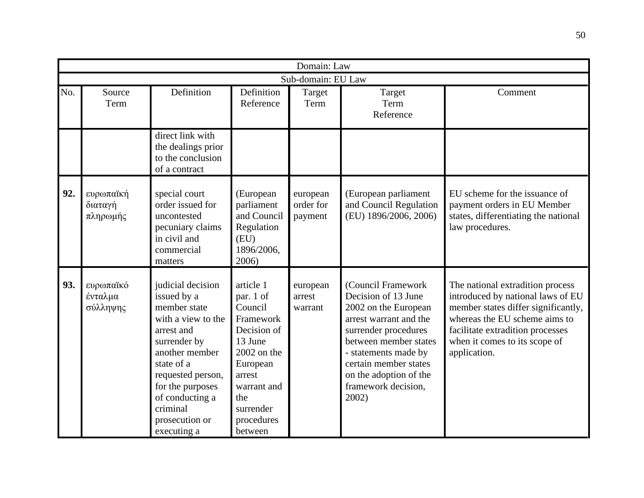|     | Domain: Law                      |                                                                                                                                                                                                                                               |                                                                                                                                                                             |                                  |                                                                                                                                                                                                                                                         |                                                                                                                                                                                                                                    |  |  |  |
|-----|----------------------------------|-----------------------------------------------------------------------------------------------------------------------------------------------------------------------------------------------------------------------------------------------|-----------------------------------------------------------------------------------------------------------------------------------------------------------------------------|----------------------------------|---------------------------------------------------------------------------------------------------------------------------------------------------------------------------------------------------------------------------------------------------------|------------------------------------------------------------------------------------------------------------------------------------------------------------------------------------------------------------------------------------|--|--|--|
|     | Sub-domain: EU Law               |                                                                                                                                                                                                                                               |                                                                                                                                                                             |                                  |                                                                                                                                                                                                                                                         |                                                                                                                                                                                                                                    |  |  |  |
| No. | Source<br>Term                   | Definition                                                                                                                                                                                                                                    | Definition<br>Reference                                                                                                                                                     | Target<br>Term                   | Target<br>Term<br>Reference                                                                                                                                                                                                                             | Comment                                                                                                                                                                                                                            |  |  |  |
|     |                                  | direct link with<br>the dealings prior<br>to the conclusion<br>of a contract                                                                                                                                                                  |                                                                                                                                                                             |                                  |                                                                                                                                                                                                                                                         |                                                                                                                                                                                                                                    |  |  |  |
| 92. | ευρωπαϊκή<br>διαταγή<br>πληρωμής | special court<br>order issued for<br>uncontested<br>pecuniary claims<br>in civil and<br>commercial<br>matters                                                                                                                                 | (European<br>parliament<br>and Council<br>Regulation<br>(EU)<br>1896/2006,<br>2006)                                                                                         | european<br>order for<br>payment | (European parliament<br>and Council Regulation<br>(EU) 1896/2006, 2006)                                                                                                                                                                                 | EU scheme for the issuance of<br>payment orders in EU Member<br>states, differentiating the national<br>law procedures.                                                                                                            |  |  |  |
| 93. | ευρωπαϊκό<br>ένταλμα<br>σύλληψης | judicial decision<br>issued by a<br>member state<br>with a view to the<br>arrest and<br>surrender by<br>another member<br>state of a<br>requested person,<br>for the purposes<br>of conducting a<br>criminal<br>prosecution or<br>executing a | article 1<br>par. 1 of<br>Council<br>Framework<br>Decision of<br>13 June<br>$2002$ on the<br>European<br>arrest<br>warrant and<br>the<br>surrender<br>procedures<br>between | european<br>arrest<br>warrant    | (Council Framework<br>Decision of 13 June<br>2002 on the European<br>arrest warrant and the<br>surrender procedures<br>between member states<br>- statements made by<br>certain member states<br>on the adoption of the<br>framework decision,<br>2002) | The national extradition process<br>introduced by national laws of EU<br>member states differ significantly,<br>whereas the EU scheme aims to<br>facilitate extradition processes<br>when it comes to its scope of<br>application. |  |  |  |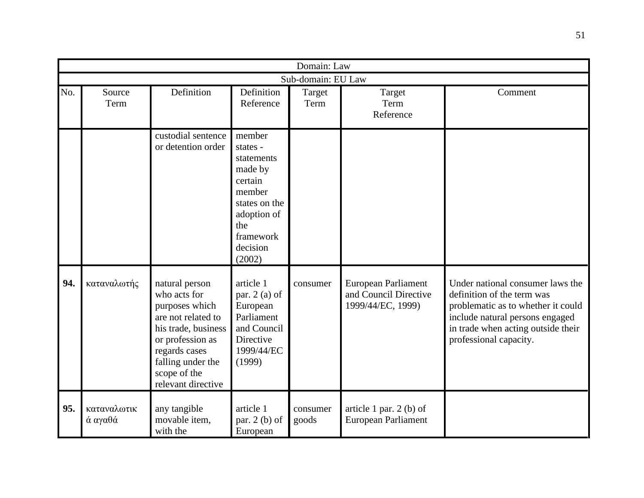|     | Domain: Law            |                                                                                                                                                                                               |                                                                                                                                            |                    |                                                                   |                                                                                                                                                                                                         |  |  |  |
|-----|------------------------|-----------------------------------------------------------------------------------------------------------------------------------------------------------------------------------------------|--------------------------------------------------------------------------------------------------------------------------------------------|--------------------|-------------------------------------------------------------------|---------------------------------------------------------------------------------------------------------------------------------------------------------------------------------------------------------|--|--|--|
|     |                        |                                                                                                                                                                                               |                                                                                                                                            | Sub-domain: EU Law |                                                                   |                                                                                                                                                                                                         |  |  |  |
| No. | Source<br>Term         | Definition                                                                                                                                                                                    | Definition<br>Reference                                                                                                                    | Target<br>Term     | Target<br>Term<br>Reference                                       | Comment                                                                                                                                                                                                 |  |  |  |
|     |                        | custodial sentence<br>or detention order                                                                                                                                                      | member<br>states -<br>statements<br>made by<br>certain<br>member<br>states on the<br>adoption of<br>the<br>framework<br>decision<br>(2002) |                    |                                                                   |                                                                                                                                                                                                         |  |  |  |
| 94. | καταναλωτής            | natural person<br>who acts for<br>purposes which<br>are not related to<br>his trade, business<br>or profession as<br>regards cases<br>falling under the<br>scope of the<br>relevant directive | article 1<br>par. $2$ (a) of<br>European<br>Parliament<br>and Council<br>Directive<br>1999/44/EC<br>(1999)                                 | consumer           | European Parliament<br>and Council Directive<br>1999/44/EC, 1999) | Under national consumer laws the<br>definition of the term was<br>problematic as to whether it could<br>include natural persons engaged<br>in trade when acting outside their<br>professional capacity. |  |  |  |
| 95. | καταναλωτικ<br>ά αγαθά | any tangible<br>movable item,<br>with the                                                                                                                                                     | article 1<br>par. $2(b)$ of<br>European                                                                                                    | consumer<br>goods  | article 1 par. $2$ (b) of<br>European Parliament                  |                                                                                                                                                                                                         |  |  |  |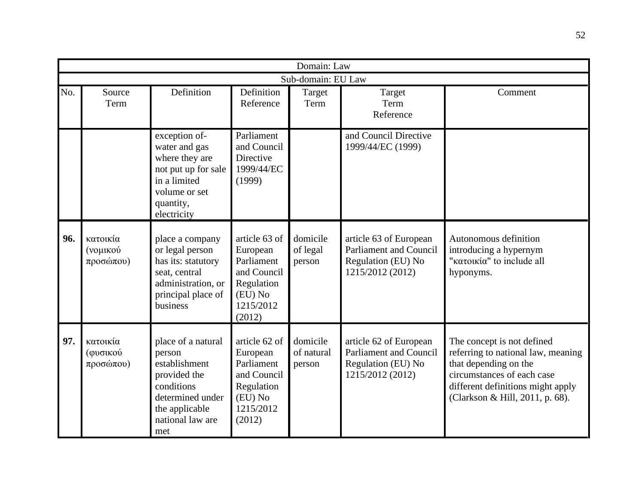|     | Domain: Law                       |                                                                                                                                              |                                                                                                        |                                  |                                                                                                   |                                                                                                                                                                                                 |  |  |  |
|-----|-----------------------------------|----------------------------------------------------------------------------------------------------------------------------------------------|--------------------------------------------------------------------------------------------------------|----------------------------------|---------------------------------------------------------------------------------------------------|-------------------------------------------------------------------------------------------------------------------------------------------------------------------------------------------------|--|--|--|
|     |                                   |                                                                                                                                              |                                                                                                        | Sub-domain: EU Law               |                                                                                                   |                                                                                                                                                                                                 |  |  |  |
| No. | Source<br>Term                    | Definition                                                                                                                                   | Definition<br>Reference                                                                                | Target<br>Term                   | Target<br>Term<br>Reference                                                                       | Comment                                                                                                                                                                                         |  |  |  |
|     |                                   | exception of-<br>water and gas<br>where they are<br>not put up for sale<br>in a limited<br>volume or set<br>quantity,<br>electricity         | Parliament<br>and Council<br>Directive<br>1999/44/EC<br>(1999)                                         |                                  | and Council Directive<br>1999/44/EC (1999)                                                        |                                                                                                                                                                                                 |  |  |  |
| 96. | κατοικία<br>(νομικού<br>προσώπου) | place a company<br>or legal person<br>has its: statutory<br>seat, central<br>administration, or<br>principal place of<br>business            | article 63 of<br>European<br>Parliament<br>and Council<br>Regulation<br>(EU) No<br>1215/2012<br>(2012) | domicile<br>of legal<br>person   | article 63 of European<br><b>Parliament and Council</b><br>Regulation (EU) No<br>1215/2012 (2012) | Autonomous definition<br>introducing a hypernym<br>"κατοικία" to include all<br>hyponyms.                                                                                                       |  |  |  |
| 97. | κατοικία<br>(φυσικού<br>προσώπου) | place of a natural<br>person<br>establishment<br>provided the<br>conditions<br>determined under<br>the applicable<br>national law are<br>met | article 62 of<br>European<br>Parliament<br>and Council<br>Regulation<br>(EU) No<br>1215/2012<br>(2012) | domicile<br>of natural<br>person | article 62 of European<br><b>Parliament and Council</b><br>Regulation (EU) No<br>1215/2012 (2012) | The concept is not defined<br>referring to national law, meaning<br>that depending on the<br>circumstances of each case<br>different definitions might apply<br>(Clarkson & Hill, 2011, p. 68). |  |  |  |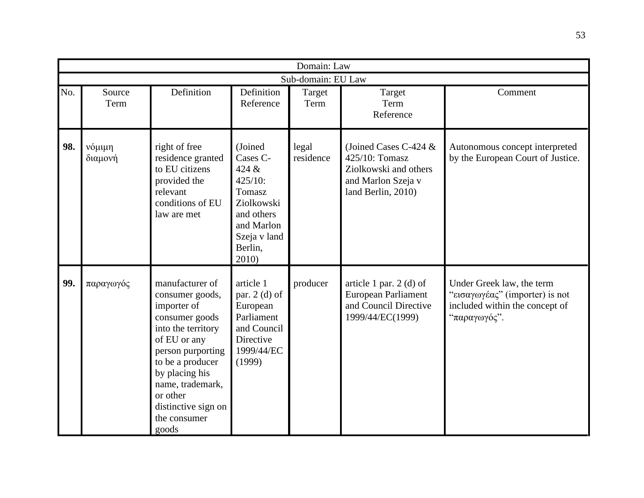|     | Domain: Law       |                                                                                                                                                                                                                                                      |                                                                                                                                 |                    |                                                                                                                |                                                                                                               |  |  |  |
|-----|-------------------|------------------------------------------------------------------------------------------------------------------------------------------------------------------------------------------------------------------------------------------------------|---------------------------------------------------------------------------------------------------------------------------------|--------------------|----------------------------------------------------------------------------------------------------------------|---------------------------------------------------------------------------------------------------------------|--|--|--|
|     |                   |                                                                                                                                                                                                                                                      |                                                                                                                                 | Sub-domain: EU Law |                                                                                                                |                                                                                                               |  |  |  |
| No. | Source<br>Term    | Definition                                                                                                                                                                                                                                           | Definition<br>Reference                                                                                                         | Target<br>Term     | Target<br>Term<br>Reference                                                                                    | Comment                                                                                                       |  |  |  |
| 98. | νόμιμη<br>διαμονή | right of free<br>residence granted<br>to EU citizens<br>provided the<br>relevant<br>conditions of EU<br>law are met                                                                                                                                  | (Joined<br>Cases C-<br>424 &<br>425/10:<br>Tomasz<br>Ziolkowski<br>and others<br>and Marlon<br>Szeja v land<br>Berlin,<br>2010) | legal<br>residence | (Joined Cases C-424 $&$<br>425/10: Tomasz<br>Ziolkowski and others<br>and Marlon Szeja v<br>land Berlin, 2010) | Autonomous concept interpreted<br>by the European Court of Justice.                                           |  |  |  |
| 99. | παραγωγός         | manufacturer of<br>consumer goods,<br>importer of<br>consumer goods<br>into the territory<br>of EU or any<br>person purporting<br>to be a producer<br>by placing his<br>name, trademark,<br>or other<br>distinctive sign on<br>the consumer<br>goods | article 1<br>par. $2$ (d) of<br>European<br>Parliament<br>and Council<br>Directive<br>1999/44/EC<br>(1999)                      | producer           | article 1 par. $2$ (d) of<br>European Parliament<br>and Council Directive<br>1999/44/EC(1999)                  | Under Greek law, the term<br>"εισαγωγέας" (importer) is not<br>included within the concept of<br>"παραγωγός". |  |  |  |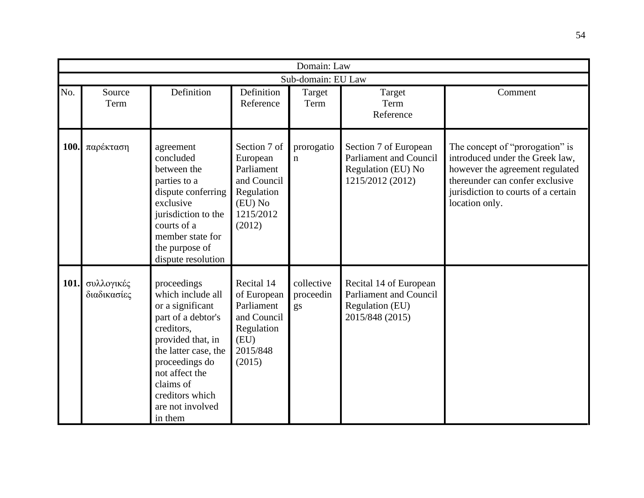|             | Domain: Law               |                                                                                                                                                                                                                                          |                                                                                                       |                               |                                                                                                  |                                                                                                                                                                                                   |  |  |  |  |
|-------------|---------------------------|------------------------------------------------------------------------------------------------------------------------------------------------------------------------------------------------------------------------------------------|-------------------------------------------------------------------------------------------------------|-------------------------------|--------------------------------------------------------------------------------------------------|---------------------------------------------------------------------------------------------------------------------------------------------------------------------------------------------------|--|--|--|--|
|             | Sub-domain: EU Law        |                                                                                                                                                                                                                                          |                                                                                                       |                               |                                                                                                  |                                                                                                                                                                                                   |  |  |  |  |
| No.         | Source<br>Term            | Definition                                                                                                                                                                                                                               | Definition<br>Reference                                                                               | Target<br>Term                | Target<br>Term<br>Reference                                                                      | Comment                                                                                                                                                                                           |  |  |  |  |
| 100.        | παρέκταση                 | agreement<br>concluded<br>between the<br>parties to a<br>dispute conferring<br>exclusive<br>jurisdiction to the<br>courts of a<br>member state for<br>the purpose of<br>dispute resolution                                               | Section 7 of<br>European<br>Parliament<br>and Council<br>Regulation<br>(EU) No<br>1215/2012<br>(2012) | prorogatio<br>$\mathbf n$     | Section 7 of European<br><b>Parliament and Council</b><br>Regulation (EU) No<br>1215/2012 (2012) | The concept of "prorogation" is<br>introduced under the Greek law,<br>however the agreement regulated<br>thereunder can confer exclusive<br>jurisdiction to courts of a certain<br>location only. |  |  |  |  |
| <b>101.</b> | συλλογικές<br>διαδικασίες | proceedings<br>which include all<br>or a significant<br>part of a debtor's<br>creditors,<br>provided that, in<br>the latter case, the<br>proceedings do<br>not affect the<br>claims of<br>creditors which<br>are not involved<br>in them | Recital 14<br>of European<br>Parliament<br>and Council<br>Regulation<br>(EU)<br>2015/848<br>(2015)    | collective<br>proceedin<br>gs | Recital 14 of European<br>Parliament and Council<br>Regulation (EU)<br>2015/848 (2015)           |                                                                                                                                                                                                   |  |  |  |  |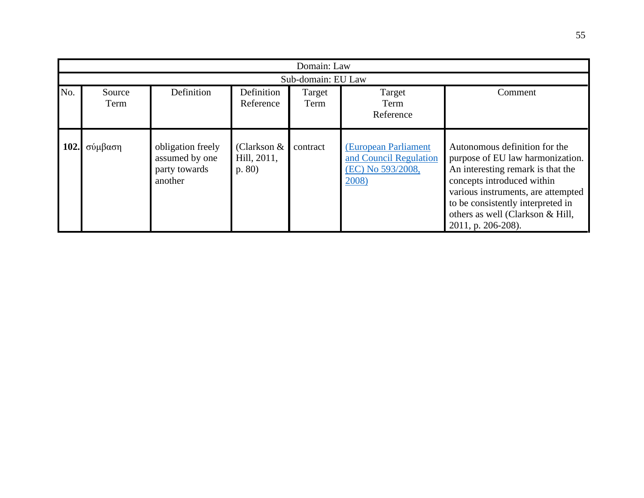|      | Domain: Law    |                                                                 |                                       |                    |                                                                              |                                                                                                                                                                                                                                                                           |  |  |  |
|------|----------------|-----------------------------------------------------------------|---------------------------------------|--------------------|------------------------------------------------------------------------------|---------------------------------------------------------------------------------------------------------------------------------------------------------------------------------------------------------------------------------------------------------------------------|--|--|--|
|      |                |                                                                 |                                       | Sub-domain: EU Law |                                                                              |                                                                                                                                                                                                                                                                           |  |  |  |
| No.  | Source<br>Term | Definition                                                      | Definition<br>Reference               | Target<br>Term     | Target<br>Term<br>Reference                                                  | Comment                                                                                                                                                                                                                                                                   |  |  |  |
| 102. | σύμβαση        | obligation freely<br>assumed by one<br>party towards<br>another | (Clarkson $&$<br>Hill, 2011,<br>p. 80 | contract           | (European Parliament<br>and Council Regulation<br>(EC) No 593/2008,<br>2008) | Autonomous definition for the<br>purpose of EU law harmonization.<br>An interesting remark is that the<br>concepts introduced within<br>various instruments, are attempted<br>to be consistently interpreted in<br>others as well (Clarkson & Hill,<br>2011, p. 206-208). |  |  |  |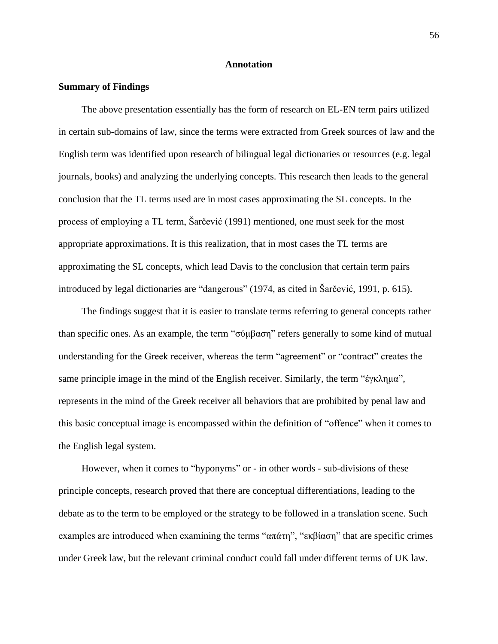### **Annotation**

## **Summary of Findings**

The above presentation essentially has the form of research on EL-EN term pairs utilized in certain sub-domains of law, since the terms were extracted from Greek sources of law and the English term was identified upon research of bilingual legal dictionaries or resources (e.g. legal journals, books) and analyzing the underlying concepts. This research then leads to the general conclusion that the TL terms used are in most cases approximating the SL concepts. In the process of employing a TL term, Šarčević (1991) mentioned, one must seek for the most appropriate approximations. It is this realization, that in most cases the TL terms are approximating the SL concepts, which lead Davis to the conclusion that certain term pairs introduced by legal dictionaries are "dangerous" (1974, as cited in Šarčević, 1991, p. 615).

The findings suggest that it is easier to translate terms referring to general concepts rather than specific ones. As an example, the term "σύμβαση" refers generally to some kind of mutual understanding for the Greek receiver, whereas the term "agreement" or "contract" creates the same principle image in the mind of the English receiver. Similarly, the term "έγκλημα", represents in the mind of the Greek receiver all behaviors that are prohibited by penal law and this basic conceptual image is encompassed within the definition of "offence" when it comes to the English legal system.

However, when it comes to "hyponyms" or - in other words - sub-divisions of these principle concepts, research proved that there are conceptual differentiations, leading to the debate as to the term to be employed or the strategy to be followed in a translation scene. Such examples are introduced when examining the terms "απάτη", "εκβίαση" that are specific crimes under Greek law, but the relevant criminal conduct could fall under different terms of UK law.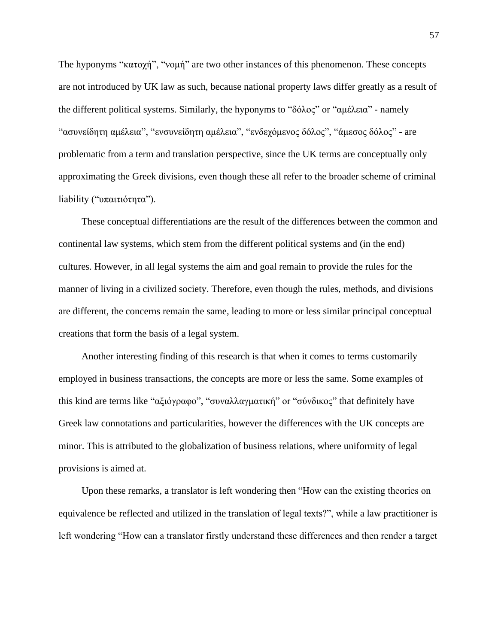The hyponyms "κατοχή", "νομή" are two other instances of this phenomenon. These concepts are not introduced by UK law as such, because national property laws differ greatly as a result of the different political systems. Similarly, the hyponyms to "δόλος" or "αμέλεια" - namely "ασυνείδητη αμέλεια", "ενσυνείδητη αμέλεια", "ενδεχόμενος δόλος", "άμεσος δόλος" - are problematic from a term and translation perspective, since the UK terms are conceptually only approximating the Greek divisions, even though these all refer to the broader scheme of criminal liability ("υπαιτιότητα").

These conceptual differentiations are the result of the differences between the common and continental law systems, which stem from the different political systems and (in the end) cultures. However, in all legal systems the aim and goal remain to provide the rules for the manner of living in a civilized society. Therefore, even though the rules, methods, and divisions are different, the concerns remain the same, leading to more or less similar principal conceptual creations that form the basis of a legal system.

Another interesting finding of this research is that when it comes to terms customarily employed in business transactions, the concepts are more or less the same. Some examples of this kind are terms like "αξιόγραφο", "συναλλαγματική" or "σύνδικος" that definitely have Greek law connotations and particularities, however the differences with the UK concepts are minor. This is attributed to the globalization of business relations, where uniformity of legal provisions is aimed at.

Upon these remarks, a translator is left wondering then "How can the existing theories on equivalence be reflected and utilized in the translation of legal texts?", while a law practitioner is left wondering "How can a translator firstly understand these differences and then render a target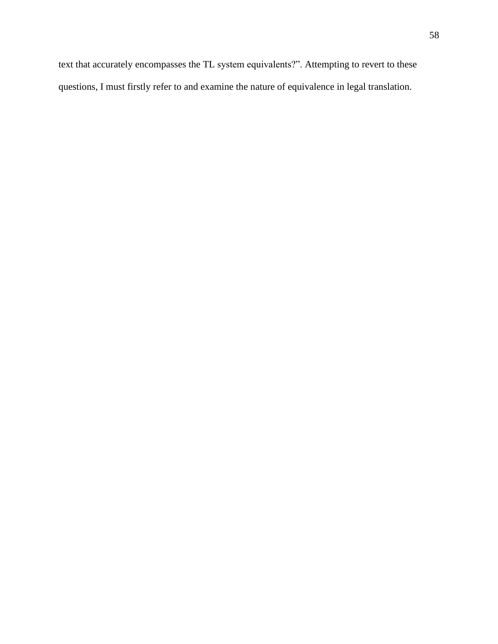text that accurately encompasses the TL system equivalents?". Attempting to revert to these questions, I must firstly refer to and examine the nature of equivalence in legal translation.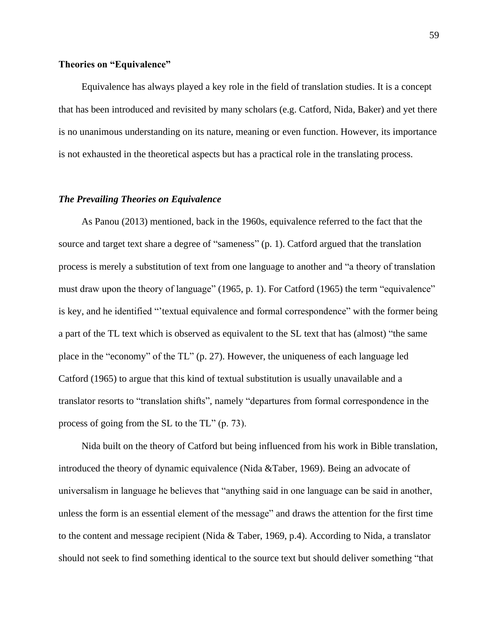# **Theories on "Equivalence"**

Equivalence has always played a key role in the field of translation studies. It is a concept that has been introduced and revisited by many scholars (e.g. Catford, Nida, Baker) and yet there is no unanimous understanding on its nature, meaning or even function. However, its importance is not exhausted in the theoretical aspects but has a practical role in the translating process.

# *The Prevailing Theories on Equivalence*

As Panou (2013) mentioned, back in the 1960s, equivalence referred to the fact that the source and target text share a degree of "sameness" (p. 1). Catford argued that the translation process is merely a substitution of text from one language to another and "a theory of translation must draw upon the theory of language" (1965, p. 1). For Catford (1965) the term "equivalence" is key, and he identified "'textual equivalence and formal correspondence" with the former being a part of the TL text which is observed as equivalent to the SL text that has (almost) "the same place in the "economy" of the TL" (p. 27). However, the uniqueness of each language led Catford (1965) to argue that this kind of textual substitution is usually unavailable and a translator resorts to "translation shifts", namely "departures from formal correspondence in the process of going from the SL to the TL" (p. 73).

Nida built on the theory of Catford but being influenced from his work in Bible translation, introduced the theory of dynamic equivalence (Nida &Taber, 1969). Being an advocate of universalism in language he believes that "anything said in one language can be said in another, unless the form is an essential element of the message" and draws the attention for the first time to the content and message recipient (Nida & Taber, 1969, p.4). According to Nida, a translator should not seek to find something identical to the source text but should deliver something "that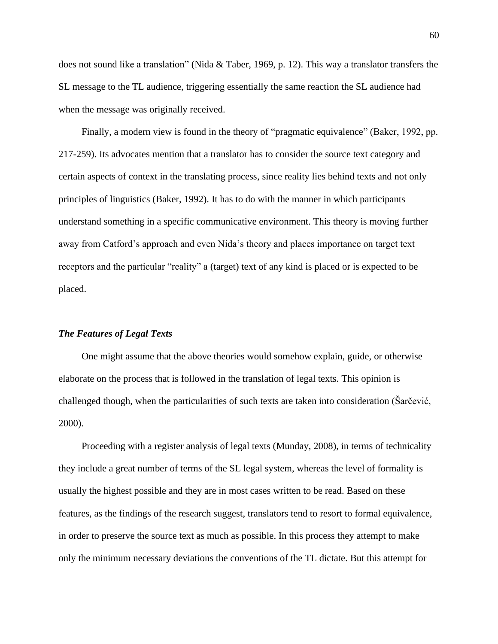does not sound like a translation" (Nida & Taber, 1969, p. 12). This way a translator transfers the SL message to the TL audience, triggering essentially the same reaction the SL audience had when the message was originally received.

Finally, a modern view is found in the theory of "pragmatic equivalence" (Baker, 1992, pp. 217-259). Its advocates mention that a translator has to consider the source text category and certain aspects of context in the translating process, since reality lies behind texts and not only principles of linguistics (Baker, 1992). It has to do with the manner in which participants understand something in a specific communicative environment. This theory is moving further away from Catford's approach and even Nida's theory and places importance on target text receptors and the particular "reality" a (target) text of any kind is placed or is expected to be placed.

## *The Features of Legal Texts*

One might assume that the above theories would somehow explain, guide, or otherwise elaborate on the process that is followed in the translation of legal texts. This opinion is challenged though, when the particularities of such texts are taken into consideration (Šarčević, 2000).

Proceeding with a register analysis of legal texts (Munday, 2008), in terms of technicality they include a great number of terms of the SL legal system, whereas the level of formality is usually the highest possible and they are in most cases written to be read. Based on these features, as the findings of the research suggest, translators tend to resort to formal equivalence, in order to preserve the source text as much as possible. In this process they attempt to make only the minimum necessary deviations the conventions of the TL dictate. But this attempt for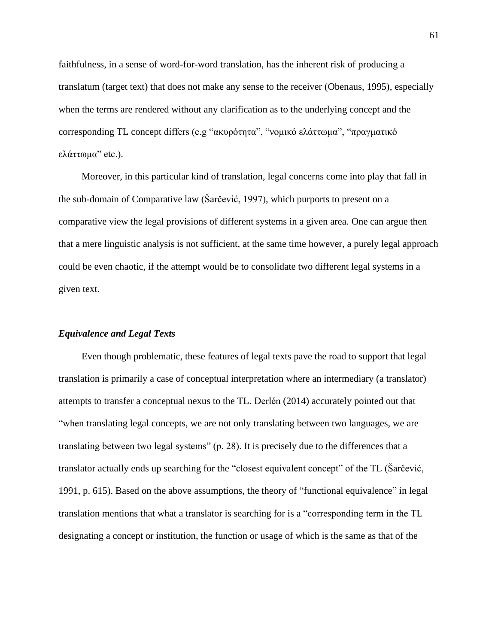faithfulness, in a sense of word-for-word translation, has the inherent risk of producing a translatum (target text) that does not make any sense to the receiver (Obenaus, 1995), especially when the terms are rendered without any clarification as to the underlying concept and the corresponding TL concept differs (e.g "ακυρότητα", "νομικό ελάττωμα", "πραγματικό ελάττωμα" etc.).

Moreover, in this particular kind of translation, legal concerns come into play that fall in the sub-domain of Comparative law (Šarčević, 1997), which purports to present on a comparative view the legal provisions of different systems in a given area. One can argue then that a mere linguistic analysis is not sufficient, at the same time however, a purely legal approach could be even chaotic, if the attempt would be to consolidate two different legal systems in a given text.

# *Equivalence and Legal Texts*

Even though problematic, these features of legal texts pave the road to support that legal translation is primarily a case of conceptual interpretation where an intermediary (a translator) attempts to transfer a conceptual nexus to the TL. Derlén (2014) accurately pointed out that "when translating legal concepts, we are not only translating between two languages, we are translating between two legal systems" (p. 28). It is precisely due to the differences that a translator actually ends up searching for the "closest equivalent concept" of the TL (Šarčević, 1991, p. 615). Based on the above assumptions, the theory of "functional equivalence" in legal translation mentions that what a translator is searching for is a "corresponding term in the TL designating a concept or institution, the function or usage of which is the same as that of the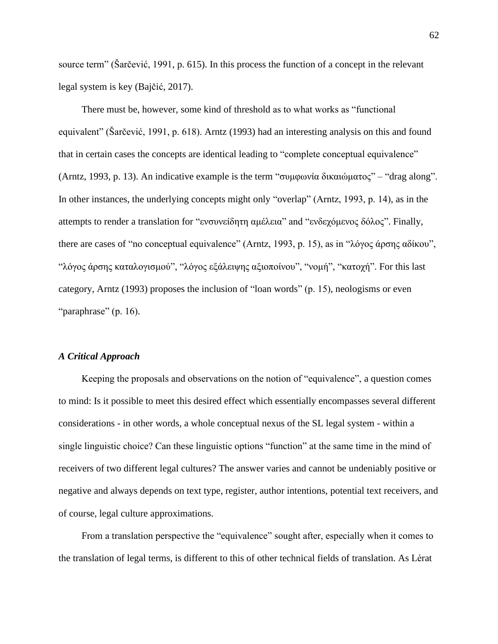source term" (Šarčević, 1991, p. 615). In this process the function of a concept in the relevant legal system is key (Bajčić, 2017).

There must be, however, some kind of threshold as to what works as "functional equivalent" (Šarčević, 1991, p. 618). Arntz (1993) had an interesting analysis on this and found that in certain cases the concepts are identical leading to "complete conceptual equivalence" (Arntz, 1993, p. 13). An indicative example is the term "συμφωνία δικαιώματος" – "drag along". In other instances, the underlying concepts might only "overlap" (Arntz, 1993, p. 14), as in the attempts to render a translation for "ενσυνείδητη αμέλεια" and "ενδεχόμενος δόλος". Finally, there are cases of "no conceptual equivalence" (Arntz, 1993, p. 15), as in "λόγος άρσης αδίκου", "λόγος άρσης καταλογισμού", "λόγος εξάλειψης αξιοποίνου", "νομή", "κατοχή". For this last category, Arntz (1993) proposes the inclusion of "loan words" (p. 15), neologisms or even "paraphrase" (p. 16).

# *A Critical Approach*

Keeping the proposals and observations on the notion of "equivalence", a question comes to mind: Is it possible to meet this desired effect which essentially encompasses several different considerations - in other words, a whole conceptual nexus of the SL legal system - within a single linguistic choice? Can these linguistic options "function" at the same time in the mind of receivers of two different legal cultures? The answer varies and cannot be undeniably positive or negative and always depends on text type, register, author intentions, potential text receivers, and of course, legal culture approximations.

From a translation perspective the "equivalence" sought after, especially when it comes to the translation of legal terms, is different to this of other technical fields of translation. As Lérat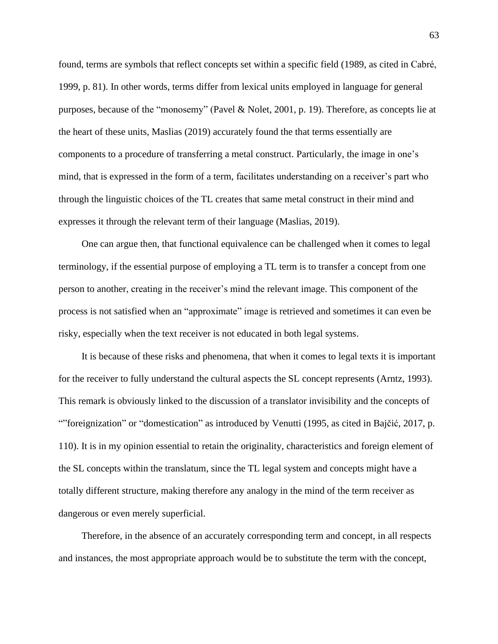found, terms are symbols that reflect concepts set within a specific field (1989, as cited in Cabré, 1999, p. 81). In other words, terms differ from lexical units employed in language for general purposes, because of the "monosemy" (Pavel & Nolet, 2001, p. 19). Therefore, as concepts lie at the heart of these units, Maslias (2019) accurately found the that terms essentially are components to a procedure of transferring a metal construct. Particularly, the image in one's mind, that is expressed in the form of a term, facilitates understanding on a receiver's part who through the linguistic choices of the TL creates that same metal construct in their mind and expresses it through the relevant term of their language (Maslias, 2019).

One can argue then, that functional equivalence can be challenged when it comes to legal terminology, if the essential purpose of employing a TL term is to transfer a concept from one person to another, creating in the receiver's mind the relevant image. This component of the process is not satisfied when an "approximate" image is retrieved and sometimes it can even be risky, especially when the text receiver is not educated in both legal systems.

It is because of these risks and phenomena, that when it comes to legal texts it is important for the receiver to fully understand the cultural aspects the SL concept represents (Arntz, 1993). This remark is obviously linked to the discussion of a translator invisibility and the concepts of ""foreignization" or "domestication" as introduced by Venutti (1995, as cited in Bajčić, 2017, p. 110). It is in my opinion essential to retain the originality, characteristics and foreign element of the SL concepts within the translatum, since the TL legal system and concepts might have a totally different structure, making therefore any analogy in the mind of the term receiver as dangerous or even merely superficial.

Therefore, in the absence of an accurately corresponding term and concept, in all respects and instances, the most appropriate approach would be to substitute the term with the concept,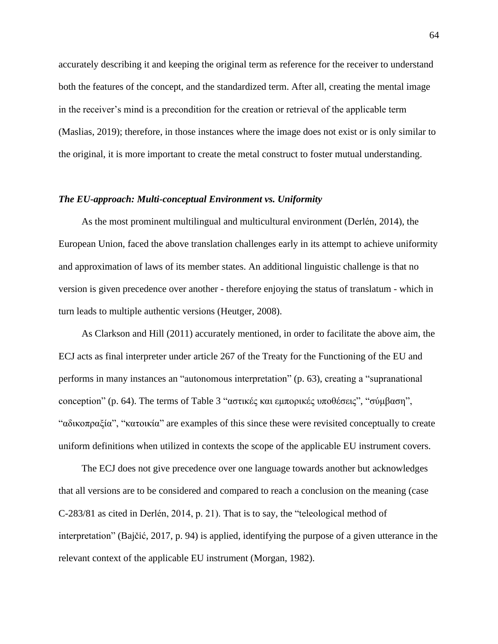accurately describing it and keeping the original term as reference for the receiver to understand both the features of the concept, and the standardized term. After all, creating the mental image in the receiver's mind is a precondition for the creation or retrieval of the applicable term (Maslias, 2019); therefore, in those instances where the image does not exist or is only similar to the original, it is more important to create the metal construct to foster mutual understanding.

#### *The EU-approach: Multi-conceptual Environment vs. Uniformity*

As the most prominent multilingual and multicultural environment (Derlén, 2014), the European Union, faced the above translation challenges early in its attempt to achieve uniformity and approximation of laws of its member states. An additional linguistic challenge is that no version is given precedence over another - therefore enjoying the status of translatum - which in turn leads to multiple authentic versions (Heutger, 2008).

As Clarkson and Hill (2011) accurately mentioned, in order to facilitate the above aim, the ECJ acts as final interpreter under article 267 of the Treaty for the Functioning of the EU and performs in many instances an "autonomous interpretation" (p. 63), creating a "supranational conception" (p. 64). The terms of Table 3 "αστικές και εμπορικές υποθέσεις", "σύμβαση", "αδικοπραξία", "κατοικία" are examples of this since these were revisited conceptually to create uniform definitions when utilized in contexts the scope of the applicable EU instrument covers.

The ECJ does not give precedence over one language towards another but acknowledges that all versions are to be considered and compared to reach a conclusion on the meaning (case C-283/81 as cited in Derlén, 2014, p. 21). That is to say, the "teleological method of interpretation" (Bajčić, 2017, p. 94) is applied, identifying the purpose of a given utterance in the relevant context of the applicable EU instrument (Morgan, 1982).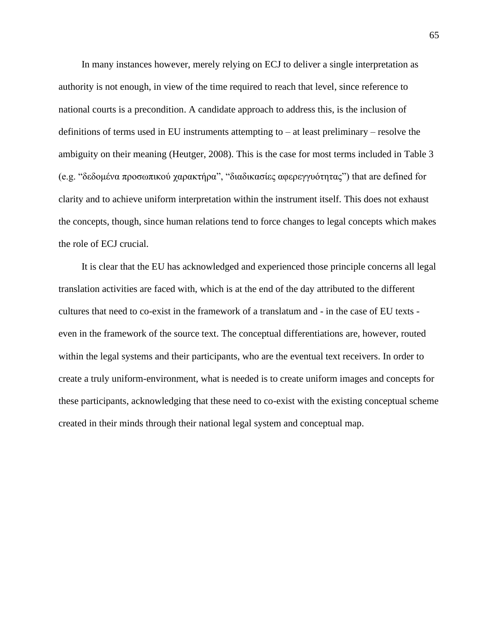In many instances however, merely relying on ECJ to deliver a single interpretation as authority is not enough, in view of the time required to reach that level, since reference to national courts is a precondition. A candidate approach to address this, is the inclusion of definitions of terms used in EU instruments attempting to – at least preliminary – resolve the ambiguity on their meaning (Heutger, 2008). This is the case for most terms included in Table 3 (e.g. "δεδομένα προσωπικού χαρακτήρα", "διαδικασίες αφερεγγυότητας") that are defined for clarity and to achieve uniform interpretation within the instrument itself. This does not exhaust the concepts, though, since human relations tend to force changes to legal concepts which makes the role of ECJ crucial.

It is clear that the EU has acknowledged and experienced those principle concerns all legal translation activities are faced with, which is at the end of the day attributed to the different cultures that need to co-exist in the framework of a translatum and - in the case of EU texts even in the framework of the source text. The conceptual differentiations are, however, routed within the legal systems and their participants, who are the eventual text receivers. In order to create a truly uniform-environment, what is needed is to create uniform images and concepts for these participants, acknowledging that these need to co-exist with the existing conceptual scheme created in their minds through their national legal system and conceptual map.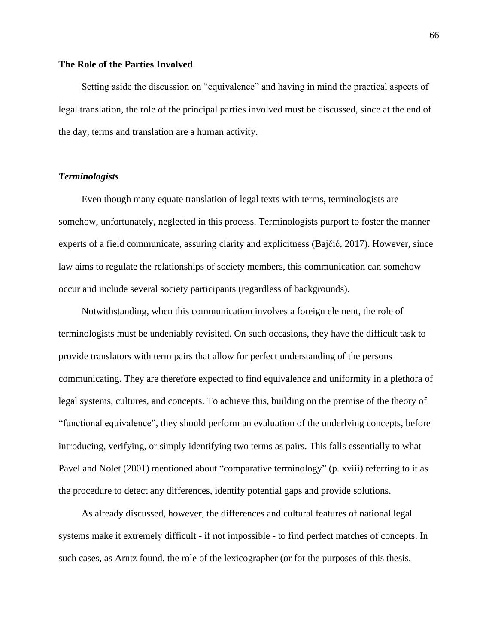# **The Role of the Parties Involved**

Setting aside the discussion on "equivalence" and having in mind the practical aspects of legal translation, the role of the principal parties involved must be discussed, since at the end of the day, terms and translation are a human activity.

# *Terminologists*

Even though many equate translation of legal texts with terms, terminologists are somehow, unfortunately, neglected in this process. Terminologists purport to foster the manner experts of a field communicate, assuring clarity and explicitness (Bajčić, 2017). However, since law aims to regulate the relationships of society members, this communication can somehow occur and include several society participants (regardless of backgrounds).

Notwithstanding, when this communication involves a foreign element, the role of terminologists must be undeniably revisited. On such occasions, they have the difficult task to provide translators with term pairs that allow for perfect understanding of the persons communicating. They are therefore expected to find equivalence and uniformity in a plethora of legal systems, cultures, and concepts. To achieve this, building on the premise of the theory of "functional equivalence", they should perform an evaluation of the underlying concepts, before introducing, verifying, or simply identifying two terms as pairs. This falls essentially to what Pavel and Nolet (2001) mentioned about "comparative terminology" (p. xviii) referring to it as the procedure to detect any differences, identify potential gaps and provide solutions.

As already discussed, however, the differences and cultural features of national legal systems make it extremely difficult - if not impossible - to find perfect matches of concepts. In such cases, as Arntz found, the role of the lexicographer (or for the purposes of this thesis,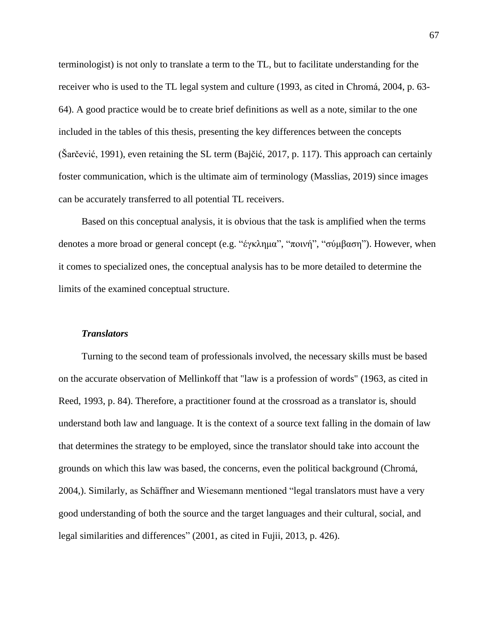terminologist) is not only to translate a term to the TL, but to facilitate understanding for the receiver who is used to the TL legal system and culture (1993, as cited in Chromá, 2004, p. 63- 64). A good practice would be to create brief definitions as well as a note, similar to the one included in the tables of this thesis, presenting the key differences between the concepts (Šarčević, 1991), even retaining the SL term (Bajčić, 2017, p. 117). This approach can certainly foster communication, which is the ultimate aim of terminology (Masslias, 2019) since images can be accurately transferred to all potential TL receivers.

Based on this conceptual analysis, it is obvious that the task is amplified when the terms denotes a more broad or general concept (e.g. "έγκλημα", "ποινή", "σύμβαση"). However, when it comes to specialized ones, the conceptual analysis has to be more detailed to determine the limits of the examined conceptual structure.

#### *Translators*

Turning to the second team of professionals involved, the necessary skills must be based on the accurate observation of Mellinkoff that "law is a profession of words" (1963, as cited in Reed, 1993, p. 84). Therefore, a practitioner found at the crossroad as a translator is, should understand both law and language. It is the context of a source text falling in the domain of law that determines the strategy to be employed, since the translator should take into account the grounds on which this law was based, the concerns, even the political background (Chromá, 2004,). Similarly, as Schäffner and Wiesemann mentioned "legal translators must have a very good understanding of both the source and the target languages and their cultural, social, and legal similarities and differences" (2001, as cited in Fujii, 2013, p. 426).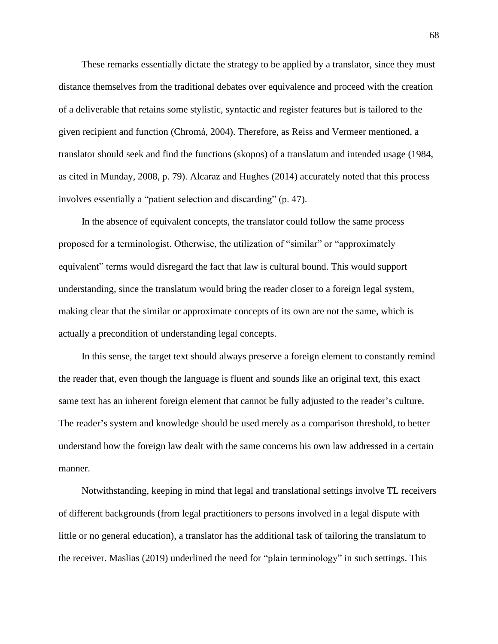These remarks essentially dictate the strategy to be applied by a translator, since they must distance themselves from the traditional debates over equivalence and proceed with the creation of a deliverable that retains some stylistic, syntactic and register features but is tailored to the given recipient and function (Chromá, 2004). Therefore, as Reiss and Vermeer mentioned, a translator should seek and find the functions (skopos) of a translatum and intended usage (1984, as cited in Munday, 2008, p. 79). Alcaraz and Hughes (2014) accurately noted that this process involves essentially a "patient selection and discarding" (p. 47).

In the absence of equivalent concepts, the translator could follow the same process proposed for a terminologist. Otherwise, the utilization of "similar" or "approximately equivalent" terms would disregard the fact that law is cultural bound. This would support understanding, since the translatum would bring the reader closer to a foreign legal system, making clear that the similar or approximate concepts of its own are not the same, which is actually a precondition of understanding legal concepts.

In this sense, the target text should always preserve a foreign element to constantly remind the reader that, even though the language is fluent and sounds like an original text, this exact same text has an inherent foreign element that cannot be fully adjusted to the reader's culture. The reader's system and knowledge should be used merely as a comparison threshold, to better understand how the foreign law dealt with the same concerns his own law addressed in a certain manner.

Notwithstanding, keeping in mind that legal and translational settings involve TL receivers of different backgrounds (from legal practitioners to persons involved in a legal dispute with little or no general education), a translator has the additional task of tailoring the translatum to the receiver. Maslias (2019) underlined the need for "plain terminology" in such settings. This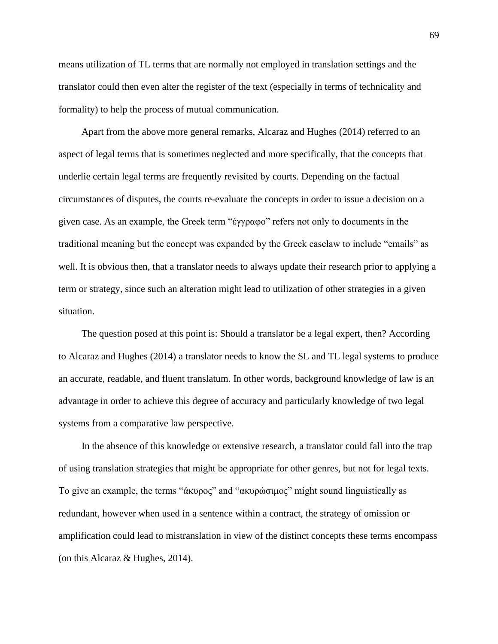means utilization of TL terms that are normally not employed in translation settings and the translator could then even alter the register of the text (especially in terms of technicality and formality) to help the process of mutual communication.

Apart from the above more general remarks, Alcaraz and Hughes (2014) referred to an aspect of legal terms that is sometimes neglected and more specifically, that the concepts that underlie certain legal terms are frequently revisited by courts. Depending on the factual circumstances of disputes, the courts re-evaluate the concepts in order to issue a decision on a given case. As an example, the Greek term "έγγραφο" refers not only to documents in the traditional meaning but the concept was expanded by the Greek caselaw to include "emails" as well. It is obvious then, that a translator needs to always update their research prior to applying a term or strategy, since such an alteration might lead to utilization of other strategies in a given situation.

The question posed at this point is: Should a translator be a legal expert, then? According to Alcaraz and Hughes (2014) a translator needs to know the SL and TL legal systems to produce an accurate, readable, and fluent translatum. In other words, background knowledge of law is an advantage in order to achieve this degree of accuracy and particularly knowledge of two legal systems from a comparative law perspective.

In the absence of this knowledge or extensive research, a translator could fall into the trap of using translation strategies that might be appropriate for other genres, but not for legal texts. To give an example, the terms "άκυρος" and "ακυρώσιμος" might sound linguistically as redundant, however when used in a sentence within a contract, the strategy of omission or amplification could lead to mistranslation in view of the distinct concepts these terms encompass (on this Alcaraz & Hughes, 2014).

69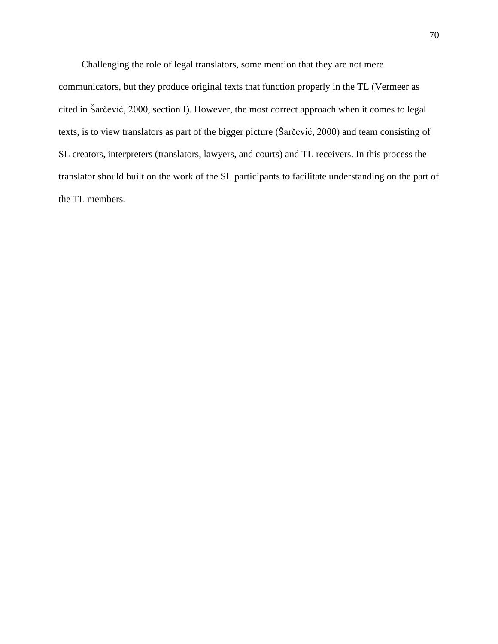Challenging the role of legal translators, some mention that they are not mere communicators, but they produce original texts that function properly in the TL (Vermeer as cited in Šarčević, 2000, section I). However, the most correct approach when it comes to legal texts, is to view translators as part of the bigger picture (Šarčević, 2000) and team consisting of SL creators, interpreters (translators, lawyers, and courts) and TL receivers. In this process the translator should built on the work of the SL participants to facilitate understanding on the part of the TL members.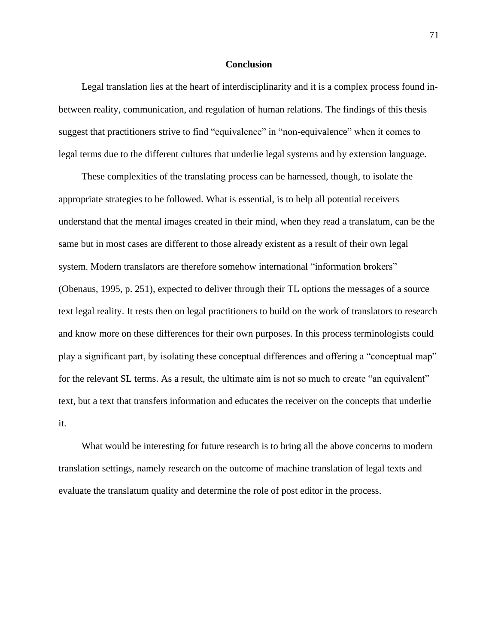## **Conclusion**

Legal translation lies at the heart of interdisciplinarity and it is a complex process found inbetween reality, communication, and regulation of human relations. The findings of this thesis suggest that practitioners strive to find "equivalence" in "non-equivalence" when it comes to legal terms due to the different cultures that underlie legal systems and by extension language.

These complexities of the translating process can be harnessed, though, to isolate the appropriate strategies to be followed. What is essential, is to help all potential receivers understand that the mental images created in their mind, when they read a translatum, can be the same but in most cases are different to those already existent as a result of their own legal system. Modern translators are therefore somehow international "information brokers" (Obenaus, 1995, p. 251), expected to deliver through their TL options the messages of a source text legal reality. It rests then on legal practitioners to build on the work of translators to research and know more on these differences for their own purposes. In this process terminologists could play a significant part, by isolating these conceptual differences and offering a "conceptual map" for the relevant SL terms. As a result, the ultimate aim is not so much to create "an equivalent" text, but a text that transfers information and educates the receiver on the concepts that underlie it.

What would be interesting for future research is to bring all the above concerns to modern translation settings, namely research on the outcome of machine translation of legal texts and evaluate the translatum quality and determine the role of post editor in the process.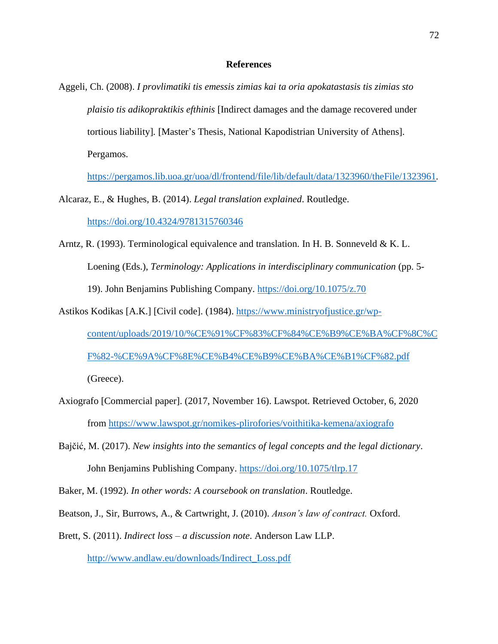# **References**

Aggeli, Ch. (2008). *I provlimatiki tis emessis zimias kai ta oria apokatastasis tis zimias sto plaisio tis adikopraktikis efthinis* [Indirect damages and the damage recovered under tortious liability]*.* [Master's Thesis, National Kapodistrian University of Athens]. Pergamos.

<https://pergamos.lib.uoa.gr/uoa/dl/frontend/file/lib/default/data/1323960/theFile/1323961>*.*

Alcaraz, E., & Hughes, B. (2014). *Legal translation explained*. Routledge.

<https://doi.org/10.4324/9781315760346>

- Arntz, R. (1993). Terminological equivalence and translation. In H. B. Sonneveld & K. L. Loening (Eds.), *Terminology: Applications in interdisciplinary communication* (pp. 5-19). John Benjamins Publishing Company. <https://doi.org/10.1075/z.70>
- Astikos Kodikas [A.K.] [Civil code]. (1984). [https://www.ministryofjustice.gr/wp](https://www.ministryofjustice.gr/wp-content/uploads/2019/10/%CE%91%CF%83%CF%84%CE%B9%CE%BA%CF%8C%CF%82-%CE%9A%CF%8E%CE%B4%CE%B9%CE%BA%CE%B1%CF%82.pdf)[content/uploads/2019/10/%CE%91%CF%83%CF%84%CE%B9%CE%BA%CF%8C%C](https://www.ministryofjustice.gr/wp-content/uploads/2019/10/%CE%91%CF%83%CF%84%CE%B9%CE%BA%CF%8C%CF%82-%CE%9A%CF%8E%CE%B4%CE%B9%CE%BA%CE%B1%CF%82.pdf) [F%82-%CE%9A%CF%8E%CE%B4%CE%B9%CE%BA%CE%B1%CF%82.pdf](https://www.ministryofjustice.gr/wp-content/uploads/2019/10/%CE%91%CF%83%CF%84%CE%B9%CE%BA%CF%8C%CF%82-%CE%9A%CF%8E%CE%B4%CE%B9%CE%BA%CE%B1%CF%82.pdf) (Greece).
- Axiografo [Commercial paper]. (2017, November 16). Lawspot. Retrieved October, 6, 2020 from<https://www.lawspot.gr/nomikes-plirofories/voithitika-kemena/axiografo>
- Bajčić, M. (2017). *New insights into the semantics of legal concepts and the legal dictionary*. John Benjamins Publishing Company. <https://doi.org/10.1075/tlrp.17>
- Baker, M. (1992). *In other words: A coursebook on translation*. Routledge.
- Beatson, J., Sir, Burrows, A., & Cartwright, J. (2010). *Anson's law of contract.* Oxford.
- Brett, S. (2011). *Indirect loss – a discussion note*. Anderson Law LLP. [http://www.andlaw.eu/downloads/Indirect\\_Loss.pdf](http://www.andlaw.eu/downloads/Indirect_Loss.pdf)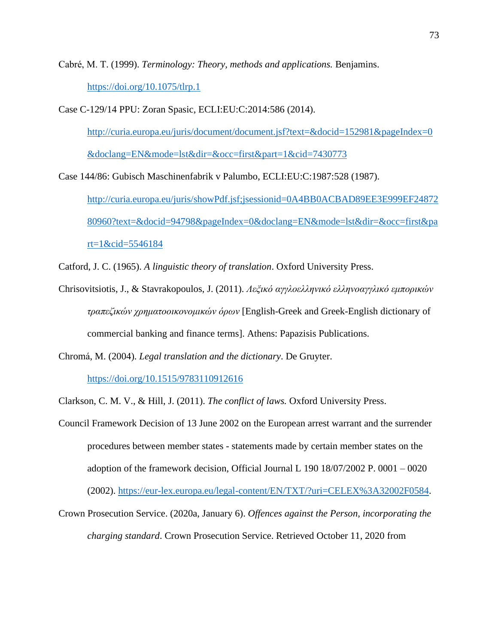Cabré, M. T. (1999). *Terminology: Theory, methods and applications.* Benjamins. <https://doi.org/10.1075/tlrp.1>

Case C-129/14 PPU: Zoran Spasic, ECLI:EU:C:2014:586 (2014).

[http://curia.europa.eu/juris/document/document.jsf?text=&docid=152981&pageIndex=0](http://curia.europa.eu/juris/document/document.jsf?text=&docid=152981&pageIndex=0&doclang=EN&mode=lst&dir=&occ=first&part=1&cid=7430773) [&doclang=EN&mode=lst&dir=&occ=first&part=1&cid=7430773](http://curia.europa.eu/juris/document/document.jsf?text=&docid=152981&pageIndex=0&doclang=EN&mode=lst&dir=&occ=first&part=1&cid=7430773)

Case 144/86: Gubisch Maschinenfabrik v Palumbo, ECLI:EU:C:1987:528 (1987). [http://curia.europa.eu/juris/showPdf.jsf;jsessionid=0A4BB0ACBAD89EE3E999EF24872](http://curia.europa.eu/juris/showPdf.jsf;jsessionid=0A4BB0ACBAD89EE3E999EF2487280960?text=&docid=94798&pageIndex=0&doclang=EN&mode=lst&dir=&occ=first&part=1&cid=5546184) [80960?text=&docid=94798&pageIndex=0&doclang=EN&mode=lst&dir=&occ=first&pa](http://curia.europa.eu/juris/showPdf.jsf;jsessionid=0A4BB0ACBAD89EE3E999EF2487280960?text=&docid=94798&pageIndex=0&doclang=EN&mode=lst&dir=&occ=first&part=1&cid=5546184) [rt=1&cid=5546184](http://curia.europa.eu/juris/showPdf.jsf;jsessionid=0A4BB0ACBAD89EE3E999EF2487280960?text=&docid=94798&pageIndex=0&doclang=EN&mode=lst&dir=&occ=first&part=1&cid=5546184)

Catford, J. C. (1965). *A linguistic theory of translation*. Oxford University Press.

Chrisovitsiotis, J., & Stavrakopoulos, J. (2011). *Λεξικό αγγλοελληνικό ελληνοαγγλικό εμπορικών τραπεζικών χρηματοοικονομικών όρων* [English-Greek and Greek-English dictionary of commercial banking and finance terms]. Athens: Papazisis Publications.

Chromá, M. (2004). *Legal translation and the dictionary*. De Gruyter.

<https://doi.org/10.1515/9783110912616>

Clarkson, C. M. V., & Hill, J. (2011). *The conflict of laws.* Oxford University Press.

Council Framework Decision of 13 June 2002 on the European arrest warrant and the surrender procedures between member states - statements made by certain member states on the adoption of the framework decision, Official Journal L 190 18/07/2002 P. 0001 – 0020 (2002). [https://eur-lex.europa.eu/legal-content/EN/TXT/?uri=CELEX%3A32002F0584.](https://eur-lex.europa.eu/legal-content/EN/TXT/?uri=CELEX%3A32002F0584)

Crown Prosecution Service. (2020a, January 6). *Offences against the Person, incorporating the charging standard*. Crown Prosecution Service. Retrieved October 11, 2020 from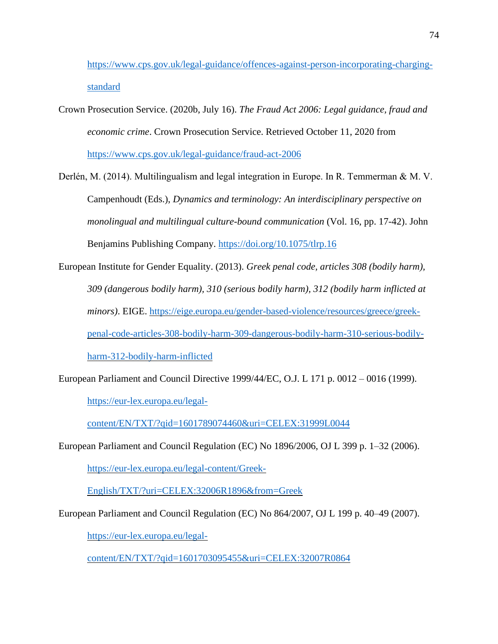[https://www.cps.gov.uk/legal-guidance/offences-against-person-incorporating-charging](https://www.cps.gov.uk/legal-guidance/offences-against-person-incorporating-charging-standard)[standard](https://www.cps.gov.uk/legal-guidance/offences-against-person-incorporating-charging-standard)

Crown Prosecution Service. (2020b, July 16). *The Fraud Act 2006: Legal guidance, fraud and economic crime*. Crown Prosecution Service. Retrieved October 11, 2020 from <https://www.cps.gov.uk/legal-guidance/fraud-act-2006>

Derlén, M. (2014). Multilingualism and legal integration in Europe. In R. Temmerman & M. V. Campenhoudt (Eds.), *Dynamics and terminology: An interdisciplinary perspective on monolingual and multilingual culture-bound communication* (Vol. 16, pp. 17-42). John Benjamins Publishing Company. <https://doi.org/10.1075/tlrp.16>

European Institute for Gender Equality. (2013). *Greek penal code, articles 308 (bodily harm), 309 (dangerous bodily harm), 310 (serious bodily harm), 312 (bodily harm inflicted at minors)*. EIGE. [https://eige.europa.eu/gender-based-violence/resources/greece/greek](https://eige.europa.eu/gender-based-violence/resources/greece/greek-penal-code-articles-308-bodily-harm-309-dangerous-bodily-harm-310-serious-bodily-harm-312-bodily-harm-inflicted)[penal-code-articles-308-bodily-harm-309-dangerous-bodily-harm-310-serious-bodily](https://eige.europa.eu/gender-based-violence/resources/greece/greek-penal-code-articles-308-bodily-harm-309-dangerous-bodily-harm-310-serious-bodily-harm-312-bodily-harm-inflicted)[harm-312-bodily-harm-inflicted](https://eige.europa.eu/gender-based-violence/resources/greece/greek-penal-code-articles-308-bodily-harm-309-dangerous-bodily-harm-310-serious-bodily-harm-312-bodily-harm-inflicted)

European Parliament and Council Directive 1999/44/EC, O.J. L 171 p. 0012 – 0016 (1999).

[https://eur-lex.europa.eu/legal-](https://eur-lex.europa.eu/legal-content/EN/TXT/?qid=1601789074460&uri=CELEX:31999L0044)

[content/EN/TXT/?qid=1601789074460&uri=CELEX:31999L0044](https://eur-lex.europa.eu/legal-content/EN/TXT/?qid=1601789074460&uri=CELEX:31999L0044)

European Parliament and Council Regulation (EC) No 1896/2006, OJ L 399 p. 1–32 (2006).

[https://eur-lex.europa.eu/legal-content/Greek-](https://eur-lex.europa.eu/legal-content/Greek-English/TXT/?uri=CELEX:32006R1896&from=Greek)

[English/TXT/?uri=CELEX:32006R1896&from=Greek](https://eur-lex.europa.eu/legal-content/Greek-English/TXT/?uri=CELEX:32006R1896&from=Greek)

European Parliament and Council Regulation (EC) No 864/2007, OJ L 199 p. 40–49 (2007).

[https://eur-lex.europa.eu/legal-](https://eur-lex.europa.eu/legal-content/EN/TXT/?qid=1601703095455&uri=CELEX:32007R0864)

[content/EN/TXT/?qid=1601703095455&uri=CELEX:32007R0864](https://eur-lex.europa.eu/legal-content/EN/TXT/?qid=1601703095455&uri=CELEX:32007R0864)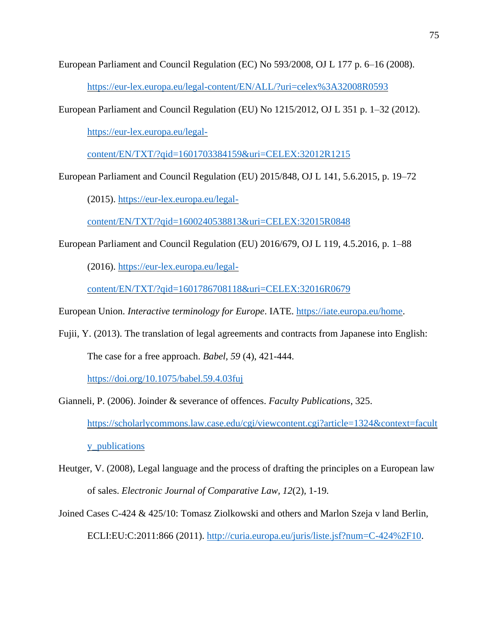European Parliament and Council Regulation (EC) No 593/2008, OJ L 177 p. 6–16 (2008).

<https://eur-lex.europa.eu/legal-content/EN/ALL/?uri=celex%3A32008R0593>

European Parliament and Council Regulation (EU) No 1215/2012, OJ L 351 p. 1–32 (2012).

[https://eur-lex.europa.eu/legal-](https://eur-lex.europa.eu/legal-content/EN/TXT/?qid=1601703384159&uri=CELEX:32012R1215)

[content/EN/TXT/?qid=1601703384159&uri=CELEX:32012R1215](https://eur-lex.europa.eu/legal-content/EN/TXT/?qid=1601703384159&uri=CELEX:32012R1215)

European Parliament and Council Regulation (EU) 2015/848, OJ L 141, 5.6.2015, p. 19–72

(2015). [https://eur-lex.europa.eu/legal-](https://eur-lex.europa.eu/legal-content/EN/TXT/?qid=1600240538813&uri=CELEX:32015R0848)

[content/EN/TXT/?qid=1600240538813&uri=CELEX:32015R0848](https://eur-lex.europa.eu/legal-content/EN/TXT/?qid=1600240538813&uri=CELEX:32015R0848)

European Parliament and Council Regulation (EU) 2016/679, OJ L 119, 4.5.2016, p. 1–88

(2016). [https://eur-lex.europa.eu/legal-](https://eur-lex.europa.eu/legal-content/EN/TXT/?qid=1601786708118&uri=CELEX:32016R0679)

[content/EN/TXT/?qid=1601786708118&uri=CELEX:32016R0679](https://eur-lex.europa.eu/legal-content/EN/TXT/?qid=1601786708118&uri=CELEX:32016R0679)

European Union. *Interactive terminology for Europe*. IATE. [https://iate.europa.eu/home.](https://iate.europa.eu/home)

Fujii, Y. (2013). The translation of legal agreements and contracts from Japanese into English: The case for a free approach. *Babel, 59* (4), 421-444.

<https://doi.org/10.1075/babel.59.4.03fuj>

Gianneli, P. (2006). Joinder & severance of offences. *Faculty Publications*, 325.

[https://scholarlycommons.law.case.edu/cgi/viewcontent.cgi?article=1324&context=facult](https://scholarlycommons.law.case.edu/cgi/viewcontent.cgi?article=1324&context=faculty_publications) [y\\_publications](https://scholarlycommons.law.case.edu/cgi/viewcontent.cgi?article=1324&context=faculty_publications)

- Heutger, V. (2008), Legal language and the process of drafting the principles on a European law of sales. *Electronic Journal of Comparative Law, 12*(2)*,* 1-19*.*
- Joined Cases C-424 & 425/10: Tomasz Ziolkowski and others and Marlon Szeja v land Berlin*,* ECLI:EU:C:2011:866 (2011). [http://curia.europa.eu/juris/liste.jsf?num=C-424%2F10.](http://curia.europa.eu/juris/liste.jsf?num=C-424%2F10)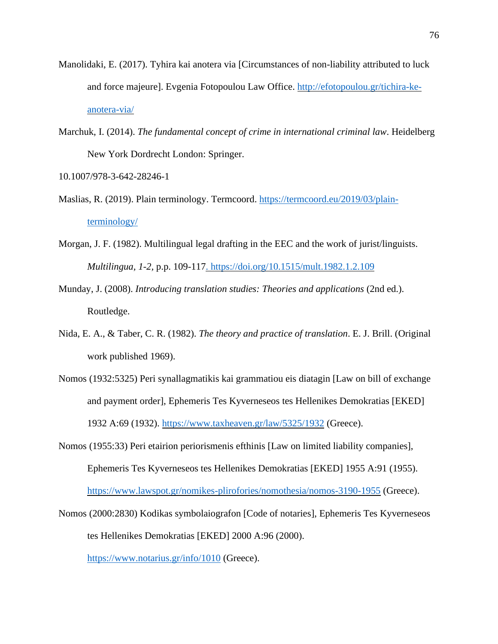- Manolidaki, E. (2017). Tyhira kai anotera via [Circumstances of non-liability attributed to luck and force majeure]. Evgenia Fotopoulou Law Office. [http://efotopoulou.gr/tichira-ke](http://efotopoulou.gr/tichira-ke-anotera-via/)[anotera-via/](http://efotopoulou.gr/tichira-ke-anotera-via/)
- Marchuk, I. (2014). *The fundamental concept of crime in international criminal law*. Heidelberg New York Dordrecht London: Springer.

10.1007/978-3-642-28246-1

- Maslias, R. (2019). Plain terminology. Termcoord. [https://termcoord.eu/2019/03/plain](https://termcoord.eu/2019/03/plain-terminology/)[terminology/](https://termcoord.eu/2019/03/plain-terminology/)
- Morgan, J. F. (1982). Multilingual legal drafting in the EEC and the work of jurist/linguists. *Multilingua, 1-2,* p.p. 109-117.<https://doi.org/10.1515/mult.1982.1.2.109>
- Munday, J. (2008). *Introducing translation studies: Theories and applications* (2nd ed.). Routledge.
- Nida, E. A., & Taber, C. R. (1982). *The theory and practice of translation*. E. J. Brill. (Original work published 1969).
- Nomos (1932:5325) Peri synallagmatikis kai grammatiou eis diatagin [Law on bill of exchange and payment order], Ephemeris Tes Kyverneseos tes Hellenikes Demokratias [EKED] 1932 A:69 (1932). <https://www.taxheaven.gr/law/5325/1932> (Greece).
- Nomos (1955:33) Peri etairion periorismenis efthinis [Law on limited liability companies], Ephemeris Tes Kyverneseos tes Hellenikes Demokratias [EKED] 1955 A:91 (1955). <https://www.lawspot.gr/nomikes-plirofories/nomothesia/nomos-3190-1955> (Greece).
- Nomos (2000:2830) Kodikas symbolaiografon [Code of notaries], Ephemeris Tes Kyverneseos tes Hellenikes Demokratias [EKED] 2000 A:96 (2000).

<https://www.notarius.gr/info/1010> (Greece).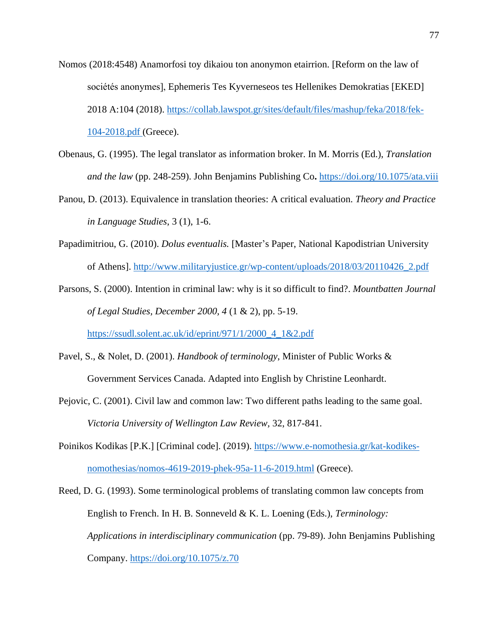- Nomos (2018:4548) Anamorfosi toy dikaiou ton anonymon etairrion. [Reform on the law of sociétés anonymes], Ephemeris Tes Kyverneseos tes Hellenikes Demokratias [EKED] 2018 A:104 (2018). [https://collab.lawspot.gr/sites/default/files/mashup/feka/2018/fek-](https://collab.lawspot.gr/sites/default/files/mashup/feka/2018/fek-104-2018.pdf)[104-2018.pdf](https://collab.lawspot.gr/sites/default/files/mashup/feka/2018/fek-104-2018.pdf) (Greece).
- Obenaus, G. (1995). The legal translator as information broker. In M. Morris (Ed.), *Translation and the law* (pp. 248-259). John Benjamins Publishing Co**.** <https://doi.org/10.1075/ata.viii>
- Panou, D. (2013). Equivalence in translation theories: A critical evaluation. *Theory and Practice in Language Studies*, 3 (1), 1-6.
- Papadimitriou, G. (2010). *Dolus eventualis.* [Master's Paper, National Kapodistrian University of Athens]. [http://www.militaryjustice.gr/wp-content/uploads/2018/03/20110426\\_2.pdf](http://www.militaryjustice.gr/wp-content/uploads/2018/03/20110426_2.pdf)
- Parsons, S. (2000). Intention in criminal law: why is it so difficult to find?. *Mountbatten Journal of Legal Studies, December 2000, 4* (1 & 2), pp. 5-19.

[https://ssudl.solent.ac.uk/id/eprint/971/1/2000\\_4\\_1&2.pdf](https://ssudl.solent.ac.uk/id/eprint/971/1/2000_4_1&2.pdf)

- Pavel, S., & Nolet, D. (2001). *Handbook of terminology*, Minister of Public Works & Government Services Canada. Adapted into English by Christine Leonhardt.
- Pejovic, C. (2001). Civil law and common law: Two different paths leading to the same goal. *Victoria University of Wellington Law Review,* 32, 817-841.
- Poinikos Kodikas [P.K.] [Criminal code]. (2019). [https://www.e-nomothesia.gr/kat-kodikes](https://www.e-nomothesia.gr/kat-kodikes-nomothesias/nomos-4619-2019-phek-95a-11-6-2019.html)[nomothesias/nomos-4619-2019-phek-95a-11-6-2019.html](https://www.e-nomothesia.gr/kat-kodikes-nomothesias/nomos-4619-2019-phek-95a-11-6-2019.html) (Greece).
- Reed, D. G. (1993). Some terminological problems of translating common law concepts from English to French. In H. B. Sonneveld & K. L. Loening (Eds.), *Terminology: Applications in interdisciplinary communication* (pp. 79-89). John Benjamins Publishing Company. <https://doi.org/10.1075/z.70>